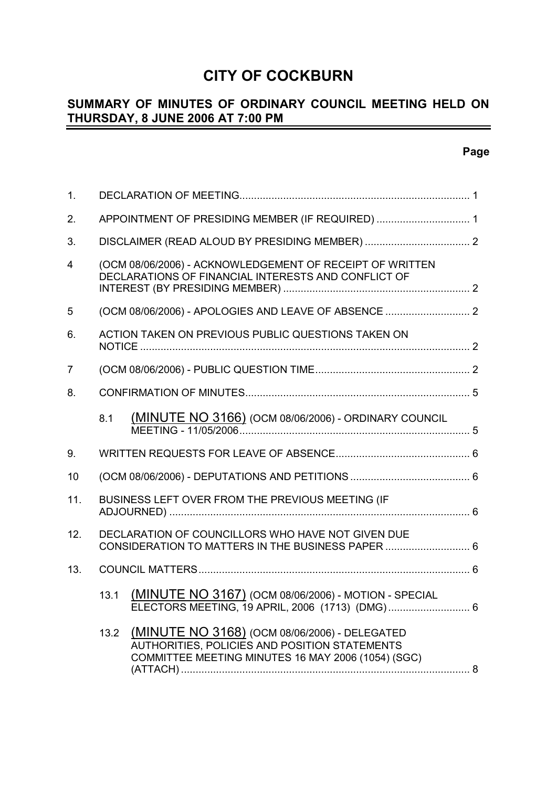# **CITY OF COCKBURN**

#### **SUMMARY OF MINUTES OF ORDINARY COUNCIL MEETING HELD ON THURSDAY, 8 JUNE 2006 AT 7:00 PM** -

| 1.             |      |                                                                                                                 |  |
|----------------|------|-----------------------------------------------------------------------------------------------------------------|--|
| 2.             |      | APPOINTMENT OF PRESIDING MEMBER (IF REQUIRED)  1                                                                |  |
| 3.             |      |                                                                                                                 |  |
| $\overline{4}$ |      | (OCM 08/06/2006) - ACKNOWLEDGEMENT OF RECEIPT OF WRITTEN<br>DECLARATIONS OF FINANCIAL INTERESTS AND CONFLICT OF |  |
| $\overline{5}$ |      |                                                                                                                 |  |
| 6.             |      | ACTION TAKEN ON PREVIOUS PUBLIC QUESTIONS TAKEN ON                                                              |  |
| $\overline{7}$ |      |                                                                                                                 |  |
| 8.             |      |                                                                                                                 |  |
|                | 8.1  | (MINUTE NO 3166) (OCM 08/06/2006) - ORDINARY COUNCIL                                                            |  |
| 9.             |      |                                                                                                                 |  |
| 10             |      |                                                                                                                 |  |
| 11.            |      | BUSINESS LEFT OVER FROM THE PREVIOUS MEETING (IF                                                                |  |
|                |      |                                                                                                                 |  |
| 12.            |      | DECLARATION OF COUNCILLORS WHO HAVE NOT GIVEN DUE<br>CONSIDERATION TO MATTERS IN THE BUSINESS PAPER  6          |  |
| 13.            |      |                                                                                                                 |  |
|                | 13.1 | (MINUTE NO 3167) (OCM 08/06/2006) - MOTION - SPECIAL<br>ELECTORS MEETING, 19 APRIL, 2006 (1713) (DMG) 6         |  |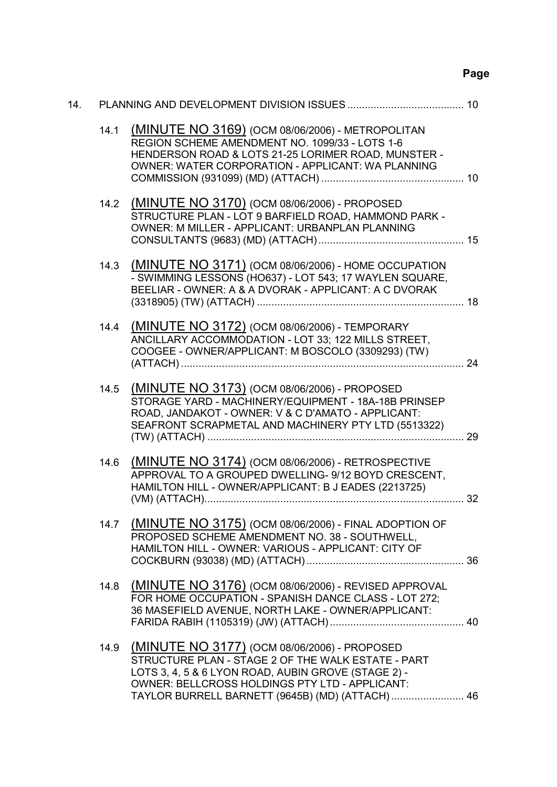# **Page**

| 14. |      |                                                                                                                                                                                                                                                                |  |
|-----|------|----------------------------------------------------------------------------------------------------------------------------------------------------------------------------------------------------------------------------------------------------------------|--|
|     | 14.1 | (MINUTE NO 3169) (OCM 08/06/2006) - METROPOLITAN<br>REGION SCHEME AMENDMENT NO. 1099/33 - LOTS 1-6<br>HENDERSON ROAD & LOTS 21-25 LORIMER ROAD, MUNSTER -<br>OWNER: WATER CORPORATION - APPLICANT: WA PLANNING                                                 |  |
|     |      | 14.2 (MINUTE NO 3170) (OCM 08/06/2006) - PROPOSED<br>STRUCTURE PLAN - LOT 9 BARFIELD ROAD, HAMMOND PARK -<br>OWNER: M MILLER - APPLICANT: URBANPLAN PLANNING                                                                                                   |  |
|     | 14.3 | (MINUTE NO 3171) (OCM 08/06/2006) - HOME OCCUPATION<br>- SWIMMING LESSONS (HO637) - LOT 543; 17 WAYLEN SQUARE,<br>BEELIAR - OWNER: A & A DVORAK - APPLICANT: A C DVORAK                                                                                        |  |
|     | 14.4 | (MINUTE NO 3172) (OCM 08/06/2006) - TEMPORARY<br>ANCILLARY ACCOMMODATION - LOT 33; 122 MILLS STREET,<br>COOGEE - OWNER/APPLICANT: M BOSCOLO (3309293) (TW)                                                                                                     |  |
|     | 14.5 | (MINUTE NO 3173) (OCM 08/06/2006) - PROPOSED<br>STORAGE YARD - MACHINERY/EQUIPMENT - 18A-18B PRINSEP<br>ROAD, JANDAKOT - OWNER: V & C D'AMATO - APPLICANT:<br>SEAFRONT SCRAPMETAL AND MACHINERY PTY LTD (5513322)                                              |  |
|     | 14.6 | (MINUTE NO 3174) (OCM 08/06/2006) - RETROSPECTIVE<br>APPROVAL TO A GROUPED DWELLING- 9/12 BOYD CRESCENT,<br>HAMILTON HILL - OWNER/APPLICANT: B J EADES (2213725)                                                                                               |  |
|     |      | 14.7 (MINUTE NO 3175) (OCM 08/06/2006) - FINAL ADOPTION OF<br>PROPOSED SCHEME AMENDMENT NO. 38 - SOUTHWELL,<br>HAMILTON HILL - OWNER: VARIOUS - APPLICANT: CITY OF                                                                                             |  |
|     | 14.8 | (MINUTE NO 3176) (OCM 08/06/2006) - REVISED APPROVAL<br>FOR HOME OCCUPATION - SPANISH DANCE CLASS - LOT 272;<br>36 MASEFIELD AVENUE, NORTH LAKE - OWNER/APPLICANT:                                                                                             |  |
|     | 14.9 | (MINUTE NO 3177) (OCM 08/06/2006) - PROPOSED<br>STRUCTURE PLAN - STAGE 2 OF THE WALK ESTATE - PART<br>LOTS 3, 4, 5 & 6 LYON ROAD, AUBIN GROVE (STAGE 2) -<br>OWNER: BELLCROSS HOLDINGS PTY LTD - APPLICANT:<br>TAYLOR BURRELL BARNETT (9645B) (MD) (ATTACH) 46 |  |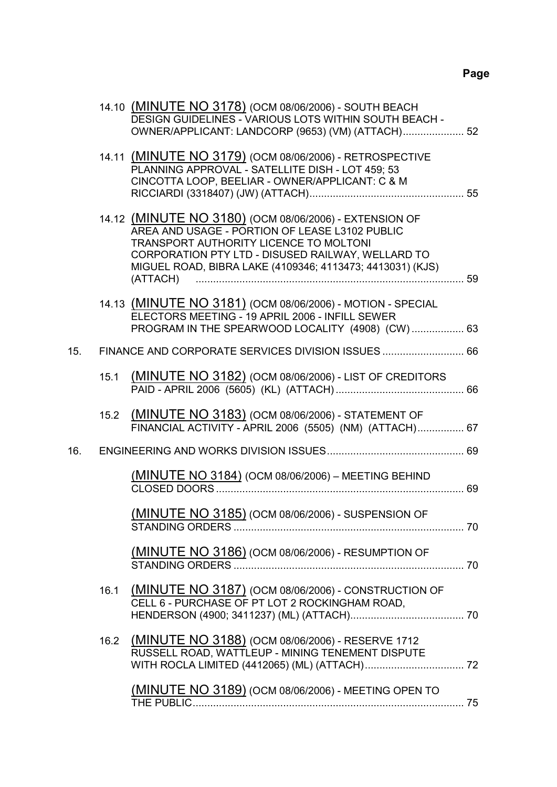|     |      | 14.10 (MINUTE NO 3178) (OCM 08/06/2006) - SOUTH BEACH<br>DESIGN GUIDELINES - VARIOUS LOTS WITHIN SOUTH BEACH -<br>OWNER/APPLICANT: LANDCORP (9653) (VM) (ATTACH) 52                                                                                                              |  |
|-----|------|----------------------------------------------------------------------------------------------------------------------------------------------------------------------------------------------------------------------------------------------------------------------------------|--|
|     |      | 14.11 (MINUTE NO 3179) (OCM 08/06/2006) - RETROSPECTIVE<br>PLANNING APPROVAL - SATELLITE DISH - LOT 459; 53<br>CINCOTTA LOOP, BEELIAR - OWNER/APPLICANT: C & M                                                                                                                   |  |
|     |      | 14.12 (MINUTE NO 3180) (OCM 08/06/2006) - EXTENSION OF<br>AREA AND USAGE - PORTION OF LEASE L3102 PUBLIC<br>TRANSPORT AUTHORITY LICENCE TO MOLTONI<br>CORPORATION PTY LTD - DISUSED RAILWAY, WELLARD TO<br>MIGUEL ROAD, BIBRA LAKE (4109346; 4113473; 4413031) (KJS)<br>(ATTACH) |  |
|     |      | 14.13 (MINUTE NO 3181) (OCM 08/06/2006) - MOTION - SPECIAL<br>ELECTORS MEETING - 19 APRIL 2006 - INFILL SEWER<br>PROGRAM IN THE SPEARWOOD LOCALITY (4908) (CW) 63                                                                                                                |  |
| 15. |      |                                                                                                                                                                                                                                                                                  |  |
|     | 15.1 | (MINUTE NO 3182) (OCM 08/06/2006) - LIST OF CREDITORS                                                                                                                                                                                                                            |  |
|     | 15.2 | (MINUTE NO 3183) (OCM 08/06/2006) - STATEMENT OF<br>FINANCIAL ACTIVITY - APRIL 2006 (5505) (NM) (ATTACH) 67                                                                                                                                                                      |  |
| 16. |      |                                                                                                                                                                                                                                                                                  |  |
|     |      | (MINUTE NO 3184) (OCM 08/06/2006) - MEETING BEHIND                                                                                                                                                                                                                               |  |
|     |      | (MINUTE NO 3185) (OCM 08/06/2006) - SUSPENSION OF                                                                                                                                                                                                                                |  |
|     |      | <u>(MINUTE NO 3186)</u> (OCM 08/06/2006) - RESUMPTION OF                                                                                                                                                                                                                         |  |
|     | 16.1 | (MINUTE NO 3187) (OCM 08/06/2006) - CONSTRUCTION OF<br>CELL 6 - PURCHASE OF PT LOT 2 ROCKINGHAM ROAD.                                                                                                                                                                            |  |
|     | 16.2 | (MINUTE NO 3188) (OCM 08/06/2006) - RESERVE 1712<br>RUSSELL ROAD, WATTLEUP - MINING TENEMENT DISPUTE                                                                                                                                                                             |  |
|     |      | (MINUTE NO 3189) (OCM 08/06/2006) - MEETING OPEN TO                                                                                                                                                                                                                              |  |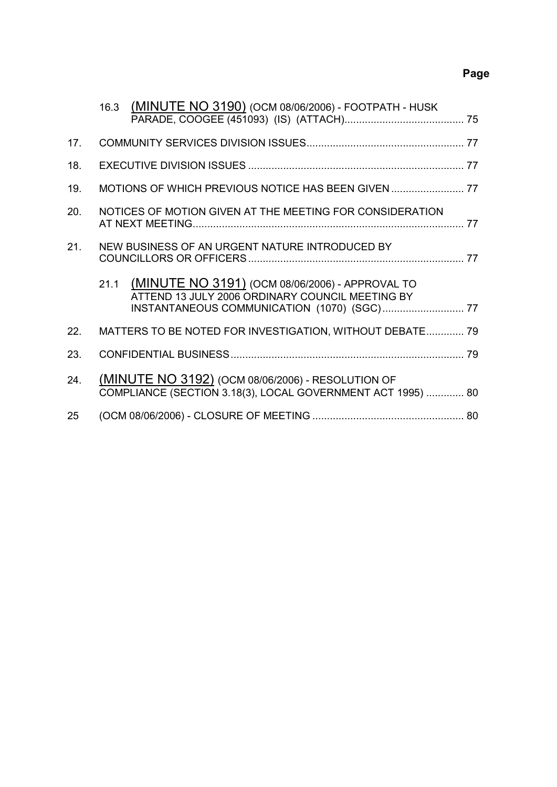# **Page**

|     | (MINUTE NO 3190) (OCM 08/06/2006) - FOOTPATH - HUSK<br>16.3                                                      |  |
|-----|------------------------------------------------------------------------------------------------------------------|--|
| 17. |                                                                                                                  |  |
| 18. |                                                                                                                  |  |
| 19. |                                                                                                                  |  |
| 20. | NOTICES OF MOTION GIVEN AT THE MEETING FOR CONSIDERATION                                                         |  |
| 21. | NEW BUSINESS OF AN URGENT NATURE INTRODUCED BY                                                                   |  |
|     | 21.1 (MINUTE NO 3191) (OCM 08/06/2006) - APPROVAL TO<br>ATTEND 13 JULY 2006 ORDINARY COUNCIL MEETING BY          |  |
| 22. | MATTERS TO BE NOTED FOR INVESTIGATION, WITHOUT DEBATE 79                                                         |  |
| 23. |                                                                                                                  |  |
| 24. | (MINUTE NO 3192) (OCM 08/06/2006) - RESOLUTION OF<br>COMPLIANCE (SECTION 3.18(3), LOCAL GOVERNMENT ACT 1995)  80 |  |
| 25  |                                                                                                                  |  |
|     |                                                                                                                  |  |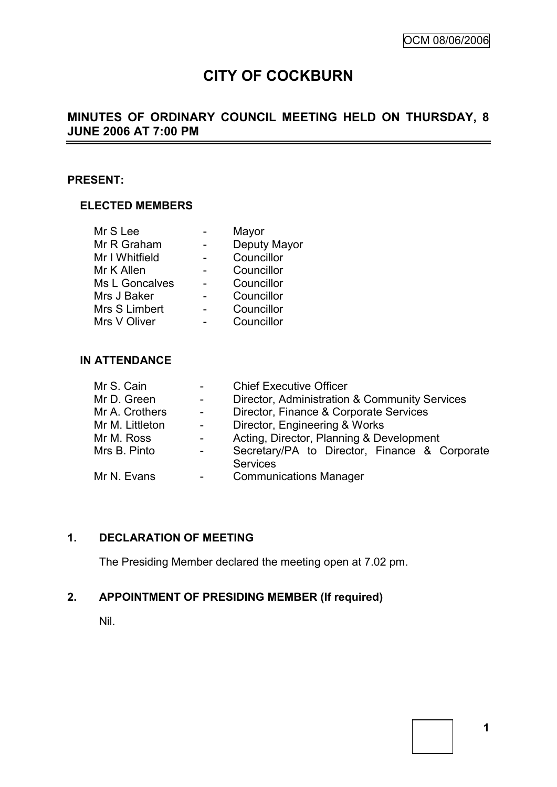# **CITY OF COCKBURN**

#### **MINUTES OF ORDINARY COUNCIL MEETING HELD ON THURSDAY, 8 JUNE 2006 AT 7:00 PM**  $\overline{\phantom{0}}$

# **PRESENT:**

# **ELECTED MEMBERS**

| Mayor        |
|--------------|
| Deputy Mayor |
| Councillor   |
| Councillor   |
| Councillor   |
| Councillor   |
| Councillor   |
| Councillor   |
|              |

# **IN ATTENDANCE**

| Mr S. Cain      |                          | <b>Chief Executive Officer</b>                |  |  |
|-----------------|--------------------------|-----------------------------------------------|--|--|
| Mr D. Green     | $\overline{\phantom{0}}$ | Director, Administration & Community Services |  |  |
| Mr A. Crothers  | $\omega_{\rm{max}}$      | Director, Finance & Corporate Services        |  |  |
| Mr M. Littleton | $\blacksquare$           | Director, Engineering & Works                 |  |  |
| Mr M. Ross      |                          | Acting, Director, Planning & Development      |  |  |
| Mrs B. Pinto    | Ξ.                       | Secretary/PA to Director, Finance & Corporate |  |  |
|                 |                          | <b>Services</b>                               |  |  |
| Mr N. Evans     | -                        | <b>Communications Manager</b>                 |  |  |
|                 |                          |                                               |  |  |

# **1. DECLARATION OF MEETING**

The Presiding Member declared the meeting open at 7.02 pm.

# **2. APPOINTMENT OF PRESIDING MEMBER (If required)**

Nil.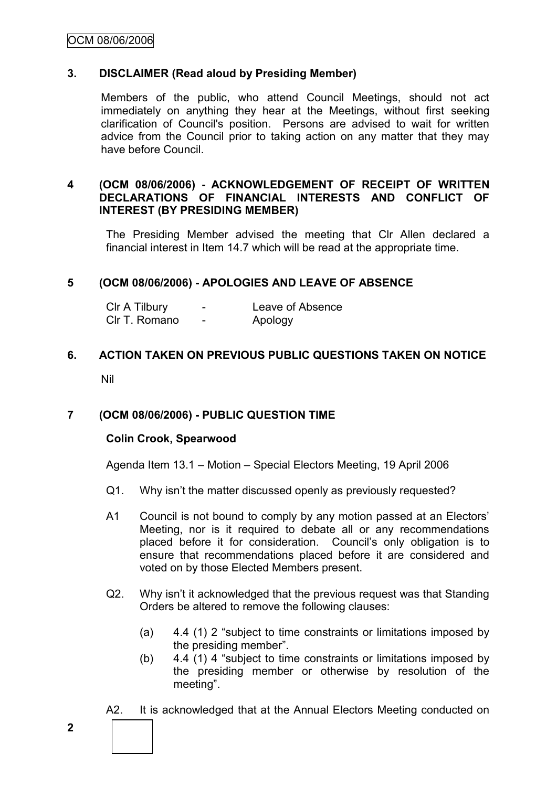# **3. DISCLAIMER (Read aloud by Presiding Member)**

Members of the public, who attend Council Meetings, should not act immediately on anything they hear at the Meetings, without first seeking clarification of Council's position. Persons are advised to wait for written advice from the Council prior to taking action on any matter that they may have before Council.

# **4 (OCM 08/06/2006) - ACKNOWLEDGEMENT OF RECEIPT OF WRITTEN DECLARATIONS OF FINANCIAL INTERESTS AND CONFLICT OF INTEREST (BY PRESIDING MEMBER)**

The Presiding Member advised the meeting that Clr Allen declared a financial interest in Item 14.7 which will be read at the appropriate time.

# **5 (OCM 08/06/2006) - APOLOGIES AND LEAVE OF ABSENCE**

| CIr A Tilbury | -                        | Leave of Absence |
|---------------|--------------------------|------------------|
| Clr T. Romano | $\overline{\phantom{0}}$ | Apology          |

# **6. ACTION TAKEN ON PREVIOUS PUBLIC QUESTIONS TAKEN ON NOTICE**

Nil

# **7 (OCM 08/06/2006) - PUBLIC QUESTION TIME**

# **Colin Crook, Spearwood**

Agenda Item 13.1 – Motion – Special Electors Meeting, 19 April 2006

- Q1. Why isn't the matter discussed openly as previously requested?
- A1 Council is not bound to comply by any motion passed at an Electors' Meeting, nor is it required to debate all or any recommendations placed before it for consideration. Council's only obligation is to ensure that recommendations placed before it are considered and voted on by those Elected Members present.
- Q2. Why isn"t it acknowledged that the previous request was that Standing Orders be altered to remove the following clauses:
	- (a) 4.4 (1) 2 "subject to time constraints or limitations imposed by the presiding member".
	- (b) 4.4 (1) 4 "subject to time constraints or limitations imposed by the presiding member or otherwise by resolution of the meeting".
- A2. It is acknowledged that at the Annual Electors Meeting conducted on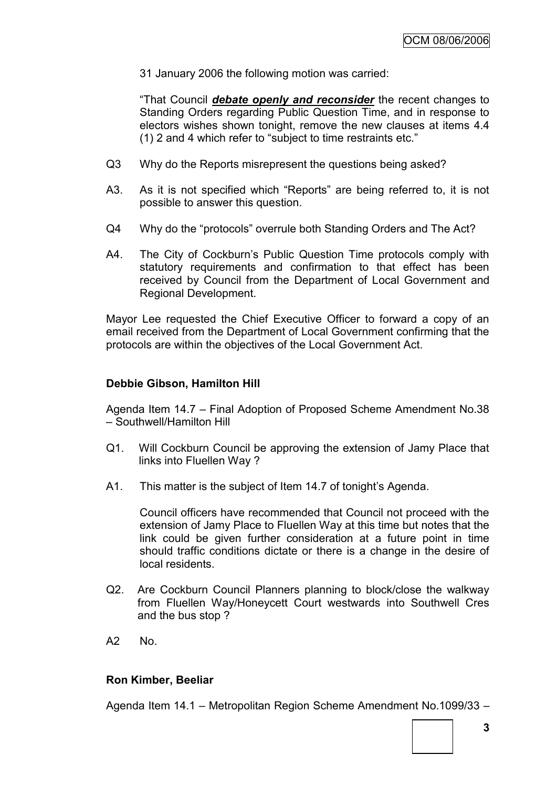31 January 2006 the following motion was carried:

"That Council *debate openly and reconsider* the recent changes to Standing Orders regarding Public Question Time, and in response to electors wishes shown tonight, remove the new clauses at items 4.4 (1) 2 and 4 which refer to "subject to time restraints etc."

- Q3 Why do the Reports misrepresent the questions being asked?
- A3. As it is not specified which "Reports" are being referred to, it is not possible to answer this question.
- Q4 Why do the "protocols" overrule both Standing Orders and The Act?
- A4. The City of Cockburn"s Public Question Time protocols comply with statutory requirements and confirmation to that effect has been received by Council from the Department of Local Government and Regional Development.

Mayor Lee requested the Chief Executive Officer to forward a copy of an email received from the Department of Local Government confirming that the protocols are within the objectives of the Local Government Act.

### **Debbie Gibson, Hamilton Hill**

Agenda Item 14.7 – Final Adoption of Proposed Scheme Amendment No.38 – Southwell/Hamilton Hill

- Q1. Will Cockburn Council be approving the extension of Jamy Place that links into Fluellen Way ?
- A1. This matter is the subject of Item 14.7 of tonight's Agenda.

Council officers have recommended that Council not proceed with the extension of Jamy Place to Fluellen Way at this time but notes that the link could be given further consideration at a future point in time should traffic conditions dictate or there is a change in the desire of local residents.

- Q2. Are Cockburn Council Planners planning to block/close the walkway from Fluellen Way/Honeycett Court westwards into Southwell Cres and the bus stop ?
- A2 No.

# **Ron Kimber, Beeliar**

Agenda Item 14.1 – Metropolitan Region Scheme Amendment No.1099/33 –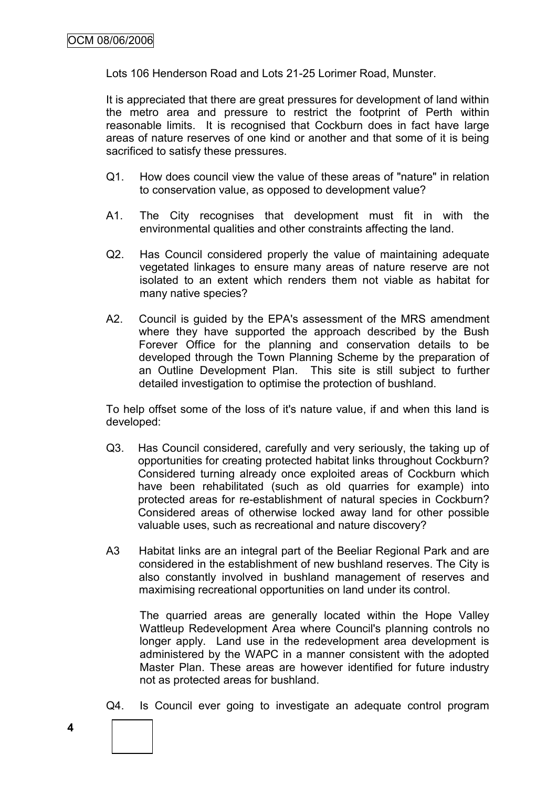Lots 106 Henderson Road and Lots 21-25 Lorimer Road, Munster.

It is appreciated that there are great pressures for development of land within the metro area and pressure to restrict the footprint of Perth within reasonable limits. It is recognised that Cockburn does in fact have large areas of nature reserves of one kind or another and that some of it is being sacrificed to satisfy these pressures.

- Q1. How does council view the value of these areas of "nature" in relation to conservation value, as opposed to development value?
- A1. The City recognises that development must fit in with the environmental qualities and other constraints affecting the land.
- Q2. Has Council considered properly the value of maintaining adequate vegetated linkages to ensure many areas of nature reserve are not isolated to an extent which renders them not viable as habitat for many native species?
- A2. Council is guided by the EPA's assessment of the MRS amendment where they have supported the approach described by the Bush Forever Office for the planning and conservation details to be developed through the Town Planning Scheme by the preparation of an Outline Development Plan. This site is still subject to further detailed investigation to optimise the protection of bushland.

To help offset some of the loss of it's nature value, if and when this land is developed:

- Q3. Has Council considered, carefully and very seriously, the taking up of opportunities for creating protected habitat links throughout Cockburn? Considered turning already once exploited areas of Cockburn which have been rehabilitated (such as old quarries for example) into protected areas for re-establishment of natural species in Cockburn? Considered areas of otherwise locked away land for other possible valuable uses, such as recreational and nature discovery?
- A3 Habitat links are an integral part of the Beeliar Regional Park and are considered in the establishment of new bushland reserves. The City is also constantly involved in bushland management of reserves and maximising recreational opportunities on land under its control.

The quarried areas are generally located within the Hope Valley Wattleup Redevelopment Area where Council's planning controls no longer apply. Land use in the redevelopment area development is administered by the WAPC in a manner consistent with the adopted Master Plan. These areas are however identified for future industry not as protected areas for bushland.

Q4. Is Council ever going to investigate an adequate control program

**4**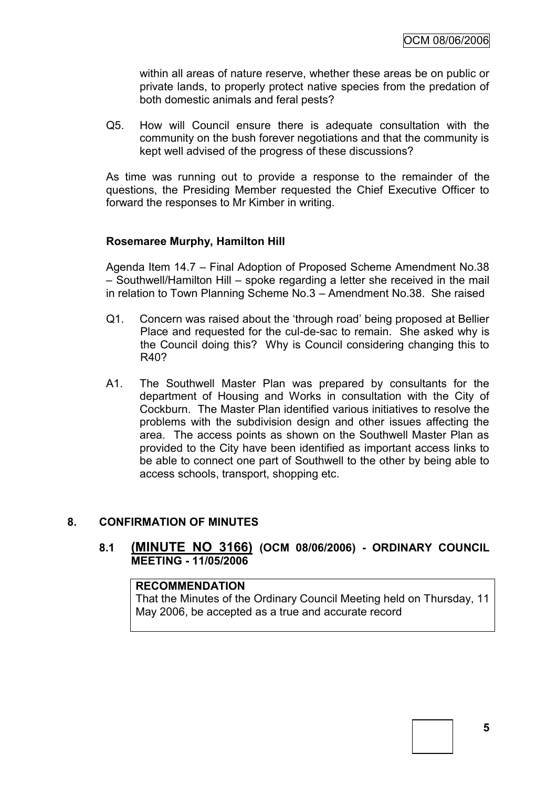within all areas of nature reserve, whether these areas be on public or private lands, to properly protect native species from the predation of both domestic animals and feral pests?

Q5. How will Council ensure there is adequate consultation with the community on the bush forever negotiations and that the community is kept well advised of the progress of these discussions?

As time was running out to provide a response to the remainder of the questions, the Presiding Member requested the Chief Executive Officer to forward the responses to Mr Kimber in writing.

# **Rosemaree Murphy, Hamilton Hill**

Agenda Item 14.7 – Final Adoption of Proposed Scheme Amendment No.38 – Southwell/Hamilton Hill – spoke regarding a letter she received in the mail in relation to Town Planning Scheme No.3 – Amendment No.38. She raised

- Q1. Concern was raised about the "through road" being proposed at Bellier Place and requested for the cul-de-sac to remain. She asked why is the Council doing this? Why is Council considering changing this to R40?
- A1. The Southwell Master Plan was prepared by consultants for the department of Housing and Works in consultation with the City of Cockburn. The Master Plan identified various initiatives to resolve the problems with the subdivision design and other issues affecting the area. The access points as shown on the Southwell Master Plan as provided to the City have been identified as important access links to be able to connect one part of Southwell to the other by being able to access schools, transport, shopping etc.

# **8. CONFIRMATION OF MINUTES**

# **8.1 (MINUTE NO 3166) (OCM 08/06/2006) - ORDINARY COUNCIL MEETING - 11/05/2006**

### **RECOMMENDATION**

That the Minutes of the Ordinary Council Meeting held on Thursday, 11 May 2006, be accepted as a true and accurate record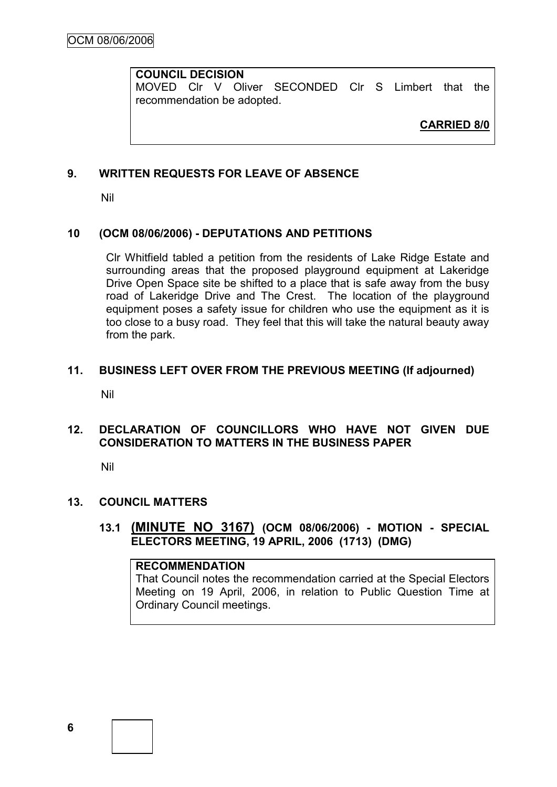# **COUNCIL DECISION**

MOVED Clr V Oliver SECONDED Clr S Limbert that the recommendation be adopted.

**CARRIED 8/0**

# **9. WRITTEN REQUESTS FOR LEAVE OF ABSENCE**

Nil

# **10 (OCM 08/06/2006) - DEPUTATIONS AND PETITIONS**

Clr Whitfield tabled a petition from the residents of Lake Ridge Estate and surrounding areas that the proposed playground equipment at Lakeridge Drive Open Space site be shifted to a place that is safe away from the busy road of Lakeridge Drive and The Crest. The location of the playground equipment poses a safety issue for children who use the equipment as it is too close to a busy road. They feel that this will take the natural beauty away from the park.

# **11. BUSINESS LEFT OVER FROM THE PREVIOUS MEETING (If adjourned)**

Nil

# **12. DECLARATION OF COUNCILLORS WHO HAVE NOT GIVEN DUE CONSIDERATION TO MATTERS IN THE BUSINESS PAPER**

Nil

# **13. COUNCIL MATTERS**

**13.1 (MINUTE NO 3167) (OCM 08/06/2006) - MOTION - SPECIAL ELECTORS MEETING, 19 APRIL, 2006 (1713) (DMG)**

#### **RECOMMENDATION**

That Council notes the recommendation carried at the Special Electors Meeting on 19 April, 2006, in relation to Public Question Time at Ordinary Council meetings.

**6**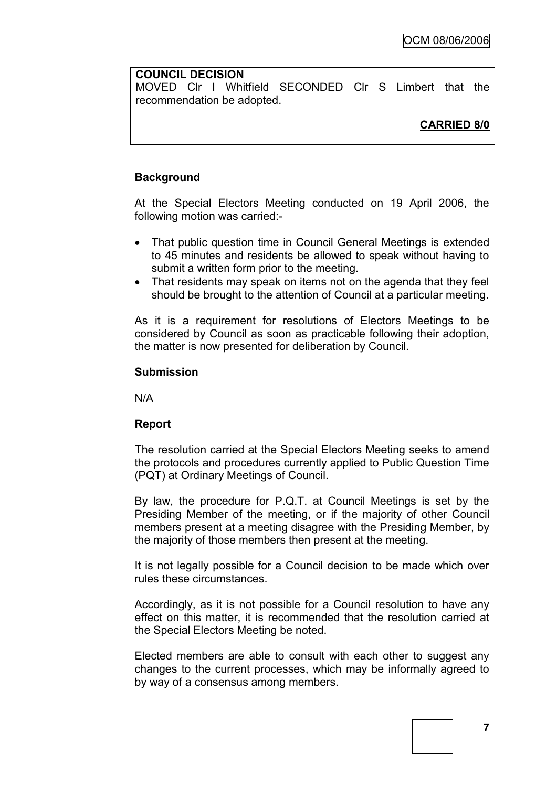# **COUNCIL DECISION**

MOVED Clr I Whitfield SECONDED Clr S Limbert that the recommendation be adopted.

# **CARRIED 8/0**

# **Background**

At the Special Electors Meeting conducted on 19 April 2006, the following motion was carried:-

- That public question time in Council General Meetings is extended to 45 minutes and residents be allowed to speak without having to submit a written form prior to the meeting.
- That residents may speak on items not on the agenda that they feel should be brought to the attention of Council at a particular meeting.

As it is a requirement for resolutions of Electors Meetings to be considered by Council as soon as practicable following their adoption, the matter is now presented for deliberation by Council.

### **Submission**

N/A

# **Report**

The resolution carried at the Special Electors Meeting seeks to amend the protocols and procedures currently applied to Public Question Time (PQT) at Ordinary Meetings of Council.

By law, the procedure for P.Q.T. at Council Meetings is set by the Presiding Member of the meeting, or if the majority of other Council members present at a meeting disagree with the Presiding Member, by the majority of those members then present at the meeting.

It is not legally possible for a Council decision to be made which over rules these circumstances.

Accordingly, as it is not possible for a Council resolution to have any effect on this matter, it is recommended that the resolution carried at the Special Electors Meeting be noted.

Elected members are able to consult with each other to suggest any changes to the current processes, which may be informally agreed to by way of a consensus among members.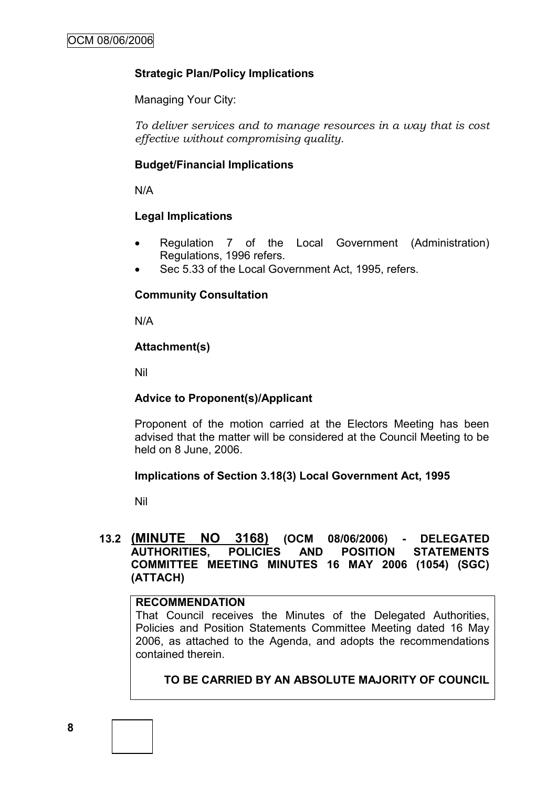# **Strategic Plan/Policy Implications**

Managing Your City:

*To deliver services and to manage resources in a way that is cost effective without compromising quality.*

# **Budget/Financial Implications**

N/A

# **Legal Implications**

- Regulation 7 of the Local Government (Administration) Regulations, 1996 refers.
- Sec 5.33 of the Local Government Act, 1995, refers.

# **Community Consultation**

N/A

### **Attachment(s)**

Nil

# **Advice to Proponent(s)/Applicant**

Proponent of the motion carried at the Electors Meeting has been advised that the matter will be considered at the Council Meeting to be held on 8 June, 2006.

#### **Implications of Section 3.18(3) Local Government Act, 1995**

Nil

# **13.2 (MINUTE NO 3168) (OCM 08/06/2006) - DELEGATED AUTHORITIES, POLICIES AND POSITION STATEMENTS COMMITTEE MEETING MINUTES 16 MAY 2006 (1054) (SGC) (ATTACH)**

# **RECOMMENDATION**

That Council receives the Minutes of the Delegated Authorities, Policies and Position Statements Committee Meeting dated 16 May 2006, as attached to the Agenda, and adopts the recommendations contained therein.

# **TO BE CARRIED BY AN ABSOLUTE MAJORITY OF COUNCIL**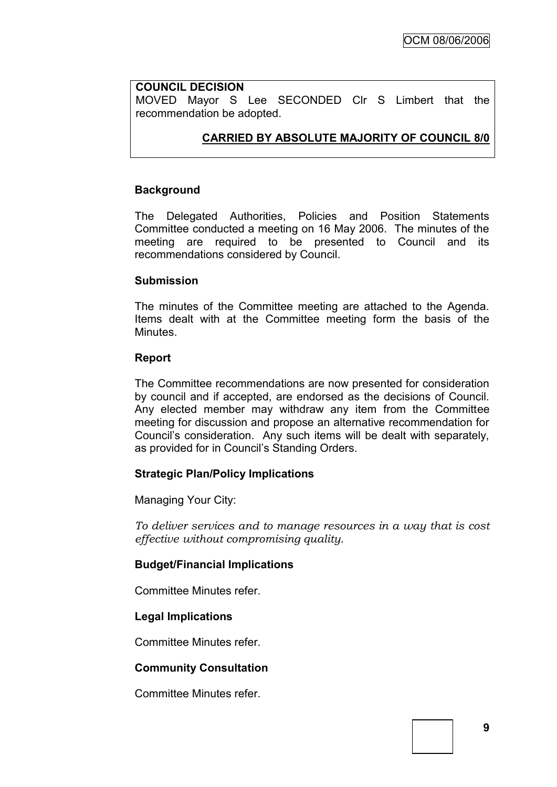# **COUNCIL DECISION**

MOVED Mayor S Lee SECONDED Clr S Limbert that the recommendation be adopted.

# **CARRIED BY ABSOLUTE MAJORITY OF COUNCIL 8/0**

# **Background**

The Delegated Authorities, Policies and Position Statements Committee conducted a meeting on 16 May 2006. The minutes of the meeting are required to be presented to Council and its recommendations considered by Council.

#### **Submission**

The minutes of the Committee meeting are attached to the Agenda. Items dealt with at the Committee meeting form the basis of the **Minutes** 

### **Report**

The Committee recommendations are now presented for consideration by council and if accepted, are endorsed as the decisions of Council. Any elected member may withdraw any item from the Committee meeting for discussion and propose an alternative recommendation for Council"s consideration. Any such items will be dealt with separately, as provided for in Council"s Standing Orders.

# **Strategic Plan/Policy Implications**

Managing Your City:

*To deliver services and to manage resources in a way that is cost effective without compromising quality.*

# **Budget/Financial Implications**

Committee Minutes refer.

#### **Legal Implications**

Committee Minutes refer.

# **Community Consultation**

Committee Minutes refer.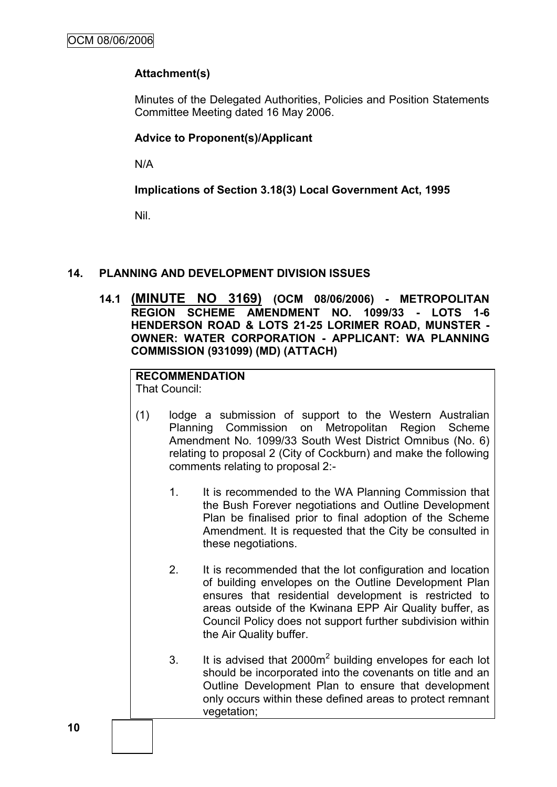# **Attachment(s)**

Minutes of the Delegated Authorities, Policies and Position Statements Committee Meeting dated 16 May 2006.

# **Advice to Proponent(s)/Applicant**

N/A

# **Implications of Section 3.18(3) Local Government Act, 1995**

Nil.

# **14. PLANNING AND DEVELOPMENT DIVISION ISSUES**

**14.1 (MINUTE NO 3169) (OCM 08/06/2006) - METROPOLITAN REGION SCHEME AMENDMENT NO. 1099/33 - LOTS 1-6 HENDERSON ROAD & LOTS 21-25 LORIMER ROAD, MUNSTER - OWNER: WATER CORPORATION - APPLICANT: WA PLANNING COMMISSION (931099) (MD) (ATTACH)**

# **RECOMMENDATION**

That Council:

- (1) lodge a submission of support to the Western Australian Planning Commission on Metropolitan Region Scheme Amendment No. 1099/33 South West District Omnibus (No. 6) relating to proposal 2 (City of Cockburn) and make the following comments relating to proposal 2:-
	- 1. It is recommended to the WA Planning Commission that the Bush Forever negotiations and Outline Development Plan be finalised prior to final adoption of the Scheme Amendment. It is requested that the City be consulted in these negotiations.
	- 2. It is recommended that the lot configuration and location of building envelopes on the Outline Development Plan ensures that residential development is restricted to areas outside of the Kwinana EPP Air Quality buffer, as Council Policy does not support further subdivision within the Air Quality buffer.
	- 3. It is advised that  $2000m^2$  building envelopes for each lot should be incorporated into the covenants on title and an Outline Development Plan to ensure that development only occurs within these defined areas to protect remnant vegetation;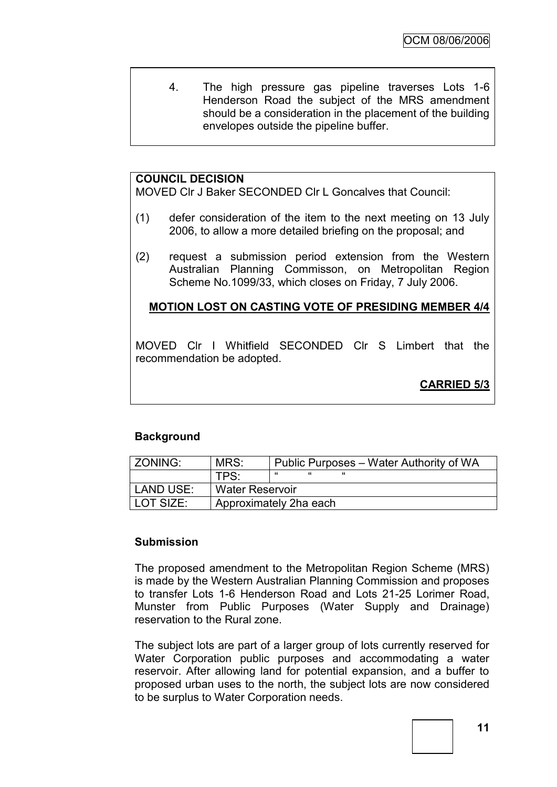4. The high pressure gas pipeline traverses Lots 1-6 Henderson Road the subject of the MRS amendment should be a consideration in the placement of the building envelopes outside the pipeline buffer.

# **COUNCIL DECISION**

MOVED Clr J Baker SECONDED Clr L Goncalves that Council:

- (1) defer consideration of the item to the next meeting on 13 July 2006, to allow a more detailed briefing on the proposal; and
- (2) request a submission period extension from the Western Australian Planning Commisson, on Metropolitan Region Scheme No.1099/33, which closes on Friday, 7 July 2006.

# **MOTION LOST ON CASTING VOTE OF PRESIDING MEMBER 4/4**

MOVED Clr I Whitfield SECONDED Clr S Limbert that the recommendation be adopted.

**CARRIED 5/3**

# **Background**

| l ZONING:   | MRS:                   | Public Purposes - Water Authority of WA |  |  |
|-------------|------------------------|-----------------------------------------|--|--|
|             | TPS:                   | "                                       |  |  |
| LAND USE:   | <b>Water Reservoir</b> |                                         |  |  |
| l LOT SIZE: | Approximately 2ha each |                                         |  |  |

# **Submission**

The proposed amendment to the Metropolitan Region Scheme (MRS) is made by the Western Australian Planning Commission and proposes to transfer Lots 1-6 Henderson Road and Lots 21-25 Lorimer Road, Munster from Public Purposes (Water Supply and Drainage) reservation to the Rural zone.

The subject lots are part of a larger group of lots currently reserved for Water Corporation public purposes and accommodating a water reservoir. After allowing land for potential expansion, and a buffer to proposed urban uses to the north, the subject lots are now considered to be surplus to Water Corporation needs.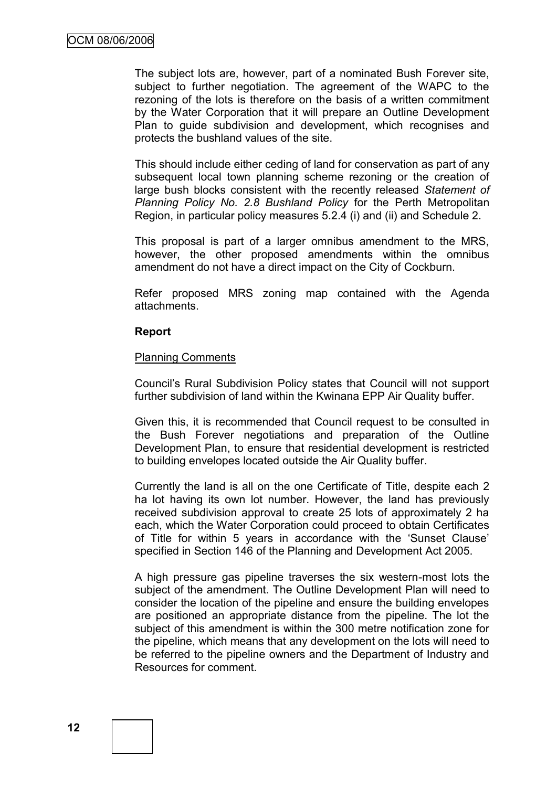The subject lots are, however, part of a nominated Bush Forever site, subject to further negotiation. The agreement of the WAPC to the rezoning of the lots is therefore on the basis of a written commitment by the Water Corporation that it will prepare an Outline Development Plan to guide subdivision and development, which recognises and protects the bushland values of the site.

This should include either ceding of land for conservation as part of any subsequent local town planning scheme rezoning or the creation of large bush blocks consistent with the recently released *Statement of Planning Policy No. 2.8 Bushland Policy* for the Perth Metropolitan Region, in particular policy measures 5.2.4 (i) and (ii) and Schedule 2.

This proposal is part of a larger omnibus amendment to the MRS, however, the other proposed amendments within the omnibus amendment do not have a direct impact on the City of Cockburn.

Refer proposed MRS zoning map contained with the Agenda attachments.

#### **Report**

#### Planning Comments

Council"s Rural Subdivision Policy states that Council will not support further subdivision of land within the Kwinana EPP Air Quality buffer.

Given this, it is recommended that Council request to be consulted in the Bush Forever negotiations and preparation of the Outline Development Plan, to ensure that residential development is restricted to building envelopes located outside the Air Quality buffer.

Currently the land is all on the one Certificate of Title, despite each 2 ha lot having its own lot number. However, the land has previously received subdivision approval to create 25 lots of approximately 2 ha each, which the Water Corporation could proceed to obtain Certificates of Title for within 5 years in accordance with the "Sunset Clause" specified in Section 146 of the Planning and Development Act 2005.

A high pressure gas pipeline traverses the six western-most lots the subject of the amendment. The Outline Development Plan will need to consider the location of the pipeline and ensure the building envelopes are positioned an appropriate distance from the pipeline. The lot the subject of this amendment is within the 300 metre notification zone for the pipeline, which means that any development on the lots will need to be referred to the pipeline owners and the Department of Industry and Resources for comment.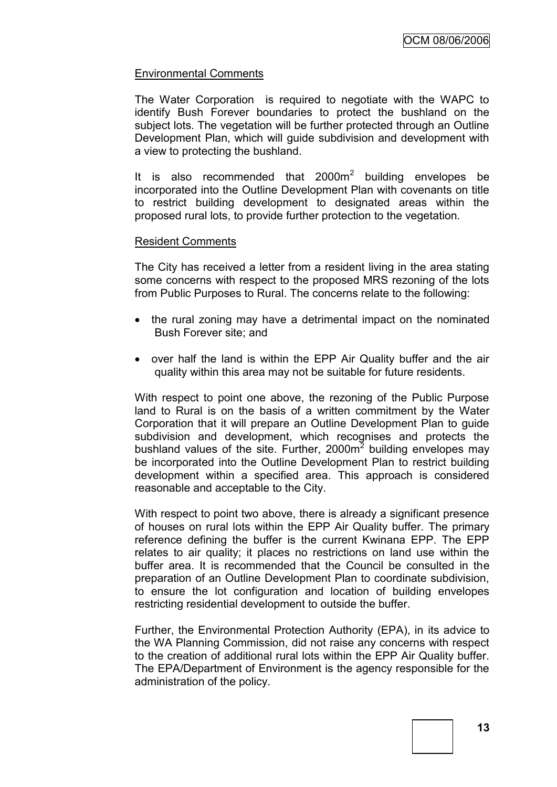# Environmental Comments

The Water Corporation is required to negotiate with the WAPC to identify Bush Forever boundaries to protect the bushland on the subject lots. The vegetation will be further protected through an Outline Development Plan, which will guide subdivision and development with a view to protecting the bushland.

It is also recommended that  $2000m^2$  building envelopes be incorporated into the Outline Development Plan with covenants on title to restrict building development to designated areas within the proposed rural lots, to provide further protection to the vegetation.

### Resident Comments

The City has received a letter from a resident living in the area stating some concerns with respect to the proposed MRS rezoning of the lots from Public Purposes to Rural. The concerns relate to the following:

- the rural zoning may have a detrimental impact on the nominated Bush Forever site; and
- over half the land is within the EPP Air Quality buffer and the air quality within this area may not be suitable for future residents.

With respect to point one above, the rezoning of the Public Purpose land to Rural is on the basis of a written commitment by the Water Corporation that it will prepare an Outline Development Plan to guide subdivision and development, which recognises and protects the bushland values of the site. Further, 2000m<sup>2</sup> building envelopes may be incorporated into the Outline Development Plan to restrict building development within a specified area. This approach is considered reasonable and acceptable to the City.

With respect to point two above, there is already a significant presence of houses on rural lots within the EPP Air Quality buffer. The primary reference defining the buffer is the current Kwinana EPP. The EPP relates to air quality; it places no restrictions on land use within the buffer area. It is recommended that the Council be consulted in the preparation of an Outline Development Plan to coordinate subdivision, to ensure the lot configuration and location of building envelopes restricting residential development to outside the buffer.

Further, the Environmental Protection Authority (EPA), in its advice to the WA Planning Commission, did not raise any concerns with respect to the creation of additional rural lots within the EPP Air Quality buffer. The EPA/Department of Environment is the agency responsible for the administration of the policy.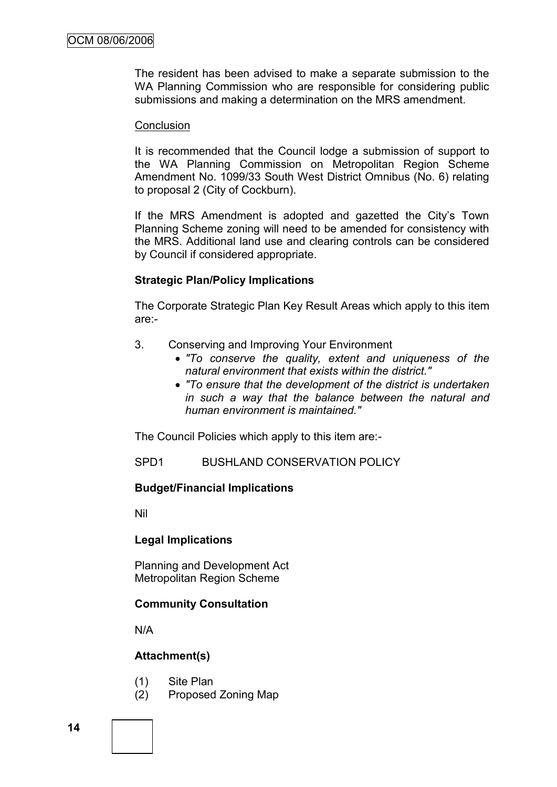The resident has been advised to make a separate submission to the WA Planning Commission who are responsible for considering public submissions and making a determination on the MRS amendment.

#### **Conclusion**

It is recommended that the Council lodge a submission of support to the WA Planning Commission on Metropolitan Region Scheme Amendment No. 1099/33 South West District Omnibus (No. 6) relating to proposal 2 (City of Cockburn).

If the MRS Amendment is adopted and gazetted the City's Town Planning Scheme zoning will need to be amended for consistency with the MRS. Additional land use and clearing controls can be considered by Council if considered appropriate.

# **Strategic Plan/Policy Implications**

The Corporate Strategic Plan Key Result Areas which apply to this item are:-

- 3. Conserving and Improving Your Environment
	- *"To conserve the quality, extent and uniqueness of the natural environment that exists within the district."*
	- *"To ensure that the development of the district is undertaken in such a way that the balance between the natural and human environment is maintained."*

The Council Policies which apply to this item are:-

SPD1 BUSHLAND CONSERVATION POLICY

# **Budget/Financial Implications**

Nil

# **Legal Implications**

Planning and Development Act Metropolitan Region Scheme

# **Community Consultation**

N/A

# **Attachment(s)**

- (1) Site Plan
- (2) Proposed Zoning Map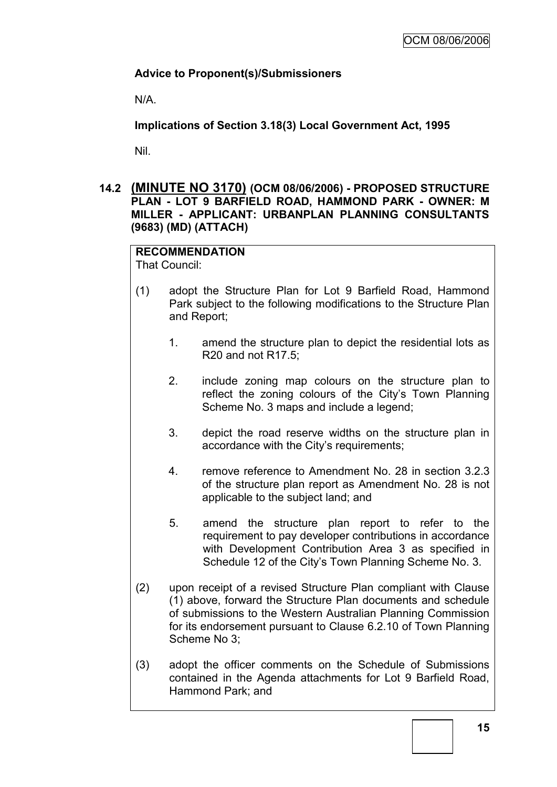# **Advice to Proponent(s)/Submissioners**

N/A.

**Implications of Section 3.18(3) Local Government Act, 1995**

Nil.

**14.2 (MINUTE NO 3170) (OCM 08/06/2006) - PROPOSED STRUCTURE PLAN - LOT 9 BARFIELD ROAD, HAMMOND PARK - OWNER: M MILLER - APPLICANT: URBANPLAN PLANNING CONSULTANTS (9683) (MD) (ATTACH)**

**RECOMMENDATION** That Council:

- (1) adopt the Structure Plan for Lot 9 Barfield Road, Hammond Park subject to the following modifications to the Structure Plan and Report;
	- 1. amend the structure plan to depict the residential lots as R20 and not R17.5;
	- 2. include zoning map colours on the structure plan to reflect the zoning colours of the City"s Town Planning Scheme No. 3 maps and include a legend;
	- 3. depict the road reserve widths on the structure plan in accordance with the City's requirements:
	- 4. remove reference to Amendment No. 28 in section 3.2.3 of the structure plan report as Amendment No. 28 is not applicable to the subject land; and
	- 5. amend the structure plan report to refer to the requirement to pay developer contributions in accordance with Development Contribution Area 3 as specified in Schedule 12 of the City"s Town Planning Scheme No. 3.
- (2) upon receipt of a revised Structure Plan compliant with Clause (1) above, forward the Structure Plan documents and schedule of submissions to the Western Australian Planning Commission for its endorsement pursuant to Clause 6.2.10 of Town Planning Scheme No 3;
- (3) adopt the officer comments on the Schedule of Submissions contained in the Agenda attachments for Lot 9 Barfield Road, Hammond Park; and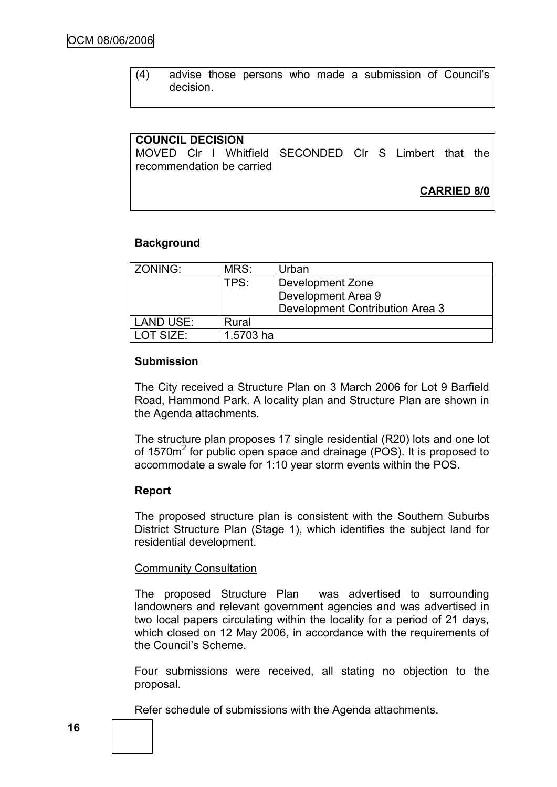(4) advise those persons who made a submission of Council"s decision.

### **COUNCIL DECISION**

MOVED Clr I Whitfield SECONDED Clr S Limbert that the recommendation be carried

**CARRIED 8/0**

### **Background**

| ZONING:           | MRS:                     | Urban                           |  |
|-------------------|--------------------------|---------------------------------|--|
|                   | TPS:<br>Development Zone |                                 |  |
|                   | Development Area 9       |                                 |  |
|                   |                          | Development Contribution Area 3 |  |
| <b>LAND USE:</b>  | Rural                    |                                 |  |
| <b>I OT SIZE:</b> | 1.5703 ha                |                                 |  |

#### **Submission**

The City received a Structure Plan on 3 March 2006 for Lot 9 Barfield Road, Hammond Park. A locality plan and Structure Plan are shown in the Agenda attachments.

The structure plan proposes 17 single residential (R20) lots and one lot of 1570m<sup>2</sup> for public open space and drainage (POS). It is proposed to accommodate a swale for 1:10 year storm events within the POS.

#### **Report**

The proposed structure plan is consistent with the Southern Suburbs District Structure Plan (Stage 1), which identifies the subject land for residential development.

#### Community Consultation

The proposed Structure Plan was advertised to surrounding landowners and relevant government agencies and was advertised in two local papers circulating within the locality for a period of 21 days, which closed on 12 May 2006, in accordance with the requirements of the Council"s Scheme.

Four submissions were received, all stating no objection to the proposal.

Refer schedule of submissions with the Agenda attachments.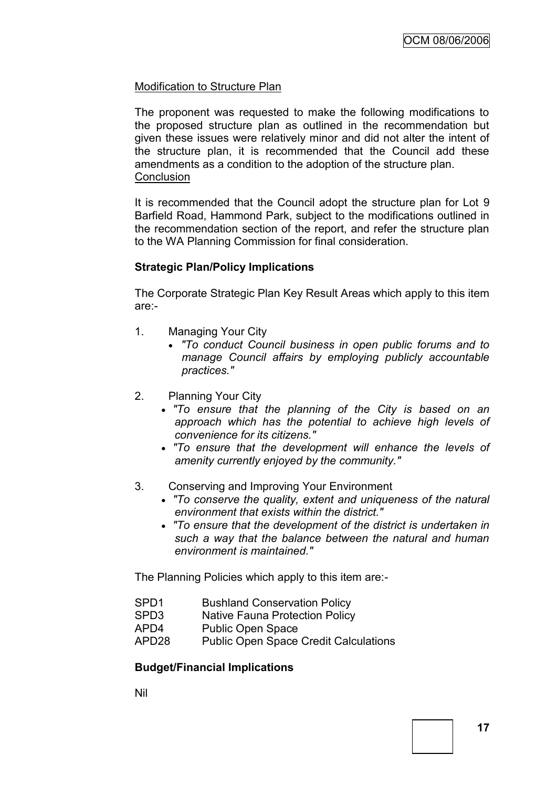# Modification to Structure Plan

The proponent was requested to make the following modifications to the proposed structure plan as outlined in the recommendation but given these issues were relatively minor and did not alter the intent of the structure plan, it is recommended that the Council add these amendments as a condition to the adoption of the structure plan. **Conclusion** 

It is recommended that the Council adopt the structure plan for Lot 9 Barfield Road, Hammond Park, subject to the modifications outlined in the recommendation section of the report, and refer the structure plan to the WA Planning Commission for final consideration.

# **Strategic Plan/Policy Implications**

The Corporate Strategic Plan Key Result Areas which apply to this item are:-

- 1. Managing Your City
	- *"To conduct Council business in open public forums and to manage Council affairs by employing publicly accountable practices."*
- 2. Planning Your City
	- *"To ensure that the planning of the City is based on an approach which has the potential to achieve high levels of convenience for its citizens."*
	- *"To ensure that the development will enhance the levels of amenity currently enjoyed by the community."*
- 3. Conserving and Improving Your Environment
	- *"To conserve the quality, extent and uniqueness of the natural environment that exists within the district."*
	- *"To ensure that the development of the district is undertaken in such a way that the balance between the natural and human environment is maintained."*

The Planning Policies which apply to this item are:-

- SPD1 Bushland Conservation Policy
- SPD3 Native Fauna Protection Policy
- APD4 Public Open Space
- APD28 Public Open Space Credit Calculations

# **Budget/Financial Implications**

Nil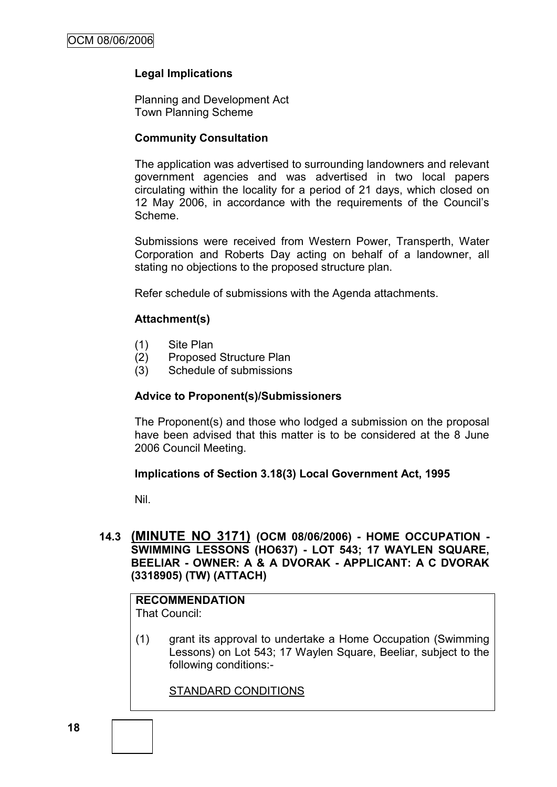# **Legal Implications**

Planning and Development Act Town Planning Scheme

# **Community Consultation**

The application was advertised to surrounding landowners and relevant government agencies and was advertised in two local papers circulating within the locality for a period of 21 days, which closed on 12 May 2006, in accordance with the requirements of the Council"s Scheme.

Submissions were received from Western Power, Transperth, Water Corporation and Roberts Day acting on behalf of a landowner, all stating no objections to the proposed structure plan.

Refer schedule of submissions with the Agenda attachments.

# **Attachment(s)**

- (1) Site Plan
- (2) Proposed Structure Plan
- (3) Schedule of submissions

# **Advice to Proponent(s)/Submissioners**

The Proponent(s) and those who lodged a submission on the proposal have been advised that this matter is to be considered at the 8 June 2006 Council Meeting.

# **Implications of Section 3.18(3) Local Government Act, 1995**

Nil.

# **14.3 (MINUTE NO 3171) (OCM 08/06/2006) - HOME OCCUPATION - SWIMMING LESSONS (HO637) - LOT 543; 17 WAYLEN SQUARE, BEELIAR - OWNER: A & A DVORAK - APPLICANT: A C DVORAK (3318905) (TW) (ATTACH)**

#### **RECOMMENDATION** That Council:

(1) grant its approval to undertake a Home Occupation (Swimming Lessons) on Lot 543; 17 Waylen Square, Beeliar, subject to the following conditions:-

STANDARD CONDITIONS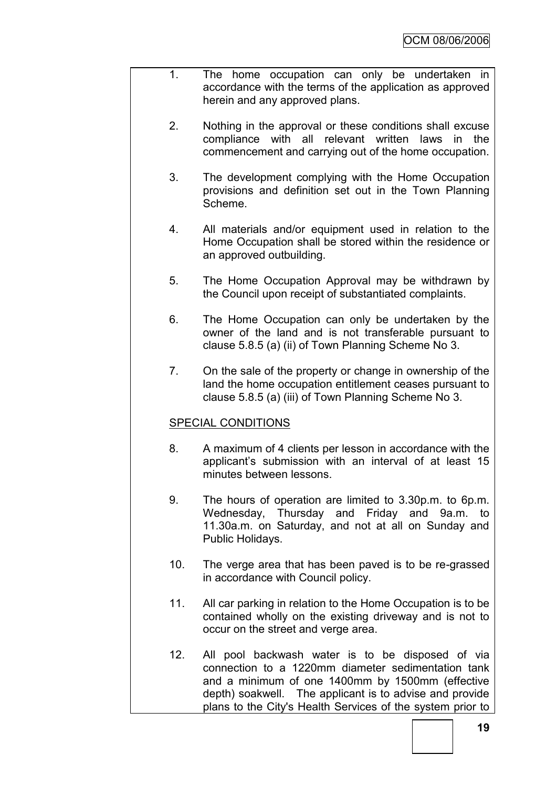- 1. The home occupation can only be undertaken in accordance with the terms of the application as approved herein and any approved plans.
	- 2. Nothing in the approval or these conditions shall excuse compliance with all relevant written laws in the commencement and carrying out of the home occupation.
	- 3. The development complying with the Home Occupation provisions and definition set out in the Town Planning Scheme.
	- 4. All materials and/or equipment used in relation to the Home Occupation shall be stored within the residence or an approved outbuilding.
	- 5. The Home Occupation Approval may be withdrawn by the Council upon receipt of substantiated complaints.
	- 6. The Home Occupation can only be undertaken by the owner of the land and is not transferable pursuant to clause 5.8.5 (a) (ii) of Town Planning Scheme No 3.
	- 7. On the sale of the property or change in ownership of the land the home occupation entitlement ceases pursuant to clause 5.8.5 (a) (iii) of Town Planning Scheme No 3.

# SPECIAL CONDITIONS

- 8. A maximum of 4 clients per lesson in accordance with the applicant"s submission with an interval of at least 15 minutes between lessons.
- 9. The hours of operation are limited to 3.30p.m. to 6p.m. Wednesday, Thursday and Friday and 9a.m. to 11.30a.m. on Saturday, and not at all on Sunday and Public Holidays.
- 10. The verge area that has been paved is to be re-grassed in accordance with Council policy.
- 11. All car parking in relation to the Home Occupation is to be contained wholly on the existing driveway and is not to occur on the street and verge area.
- 12. All pool backwash water is to be disposed of via connection to a 1220mm diameter sedimentation tank and a minimum of one 1400mm by 1500mm (effective depth) soakwell. The applicant is to advise and provide plans to the City's Health Services of the system prior to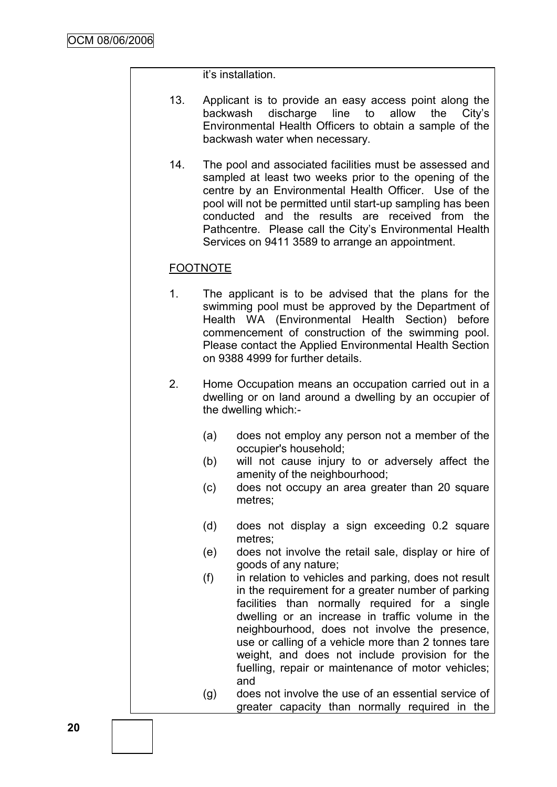it"s installation.

- 13. Applicant is to provide an easy access point along the backwash discharge line to allow the City's Environmental Health Officers to obtain a sample of the backwash water when necessary.
- 14. The pool and associated facilities must be assessed and sampled at least two weeks prior to the opening of the centre by an Environmental Health Officer. Use of the pool will not be permitted until start-up sampling has been conducted and the results are received from the Pathcentre. Please call the City's Environmental Health Services on 9411 3589 to arrange an appointment.

# FOOTNOTE

- 1. The applicant is to be advised that the plans for the swimming pool must be approved by the Department of Health WA (Environmental Health Section) before commencement of construction of the swimming pool. Please contact the Applied Environmental Health Section on 9388 4999 for further details.
- 2. Home Occupation means an occupation carried out in a dwelling or on land around a dwelling by an occupier of the dwelling which:-
	- (a) does not employ any person not a member of the occupier's household;
	- (b) will not cause injury to or adversely affect the amenity of the neighbourhood;
	- (c) does not occupy an area greater than 20 square metres;
	- (d) does not display a sign exceeding 0.2 square metres;
	- (e) does not involve the retail sale, display or hire of goods of any nature;
	- (f) in relation to vehicles and parking, does not result in the requirement for a greater number of parking facilities than normally required for a single dwelling or an increase in traffic volume in the neighbourhood, does not involve the presence, use or calling of a vehicle more than 2 tonnes tare weight, and does not include provision for the fuelling, repair or maintenance of motor vehicles; and
	- (g) does not involve the use of an essential service of greater capacity than normally required in the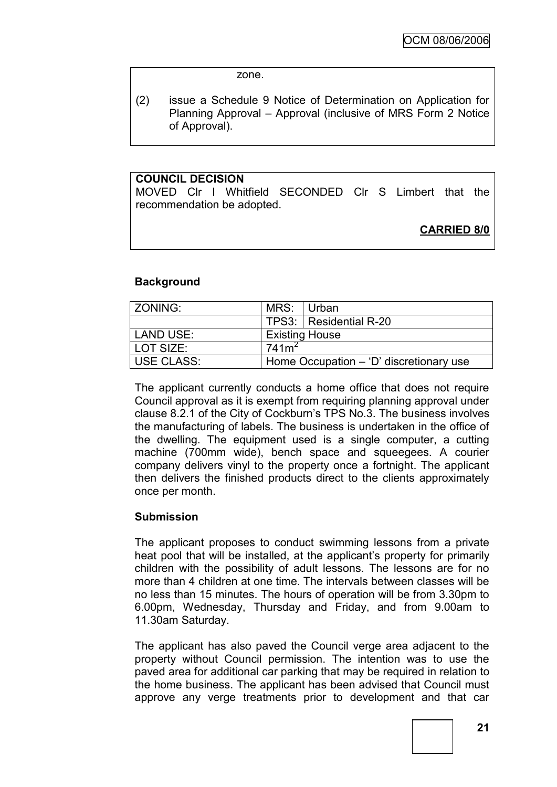zone.

(2) issue a Schedule 9 Notice of Determination on Application for Planning Approval – Approval (inclusive of MRS Form 2 Notice of Approval).

### **COUNCIL DECISION**

MOVED Clr I Whitfield SECONDED Clr S Limbert that the recommendation be adopted.

**CARRIED 8/0**

### **Background**

| l ZONING:   | MRS: Urban                              |                          |  |
|-------------|-----------------------------------------|--------------------------|--|
|             |                                         | TPS3:   Residential R-20 |  |
| l LAND USE: | <b>Existing House</b>                   |                          |  |
| l LOT SIZE: | 741m <sup>2</sup>                       |                          |  |
| USE CLASS:  | Home Occupation - 'D' discretionary use |                          |  |

The applicant currently conducts a home office that does not require Council approval as it is exempt from requiring planning approval under clause 8.2.1 of the City of Cockburn"s TPS No.3. The business involves the manufacturing of labels. The business is undertaken in the office of the dwelling. The equipment used is a single computer, a cutting machine (700mm wide), bench space and squeegees. A courier company delivers vinyl to the property once a fortnight. The applicant then delivers the finished products direct to the clients approximately once per month.

#### **Submission**

The applicant proposes to conduct swimming lessons from a private heat pool that will be installed, at the applicant's property for primarily children with the possibility of adult lessons. The lessons are for no more than 4 children at one time. The intervals between classes will be no less than 15 minutes. The hours of operation will be from 3.30pm to 6.00pm, Wednesday, Thursday and Friday, and from 9.00am to 11.30am Saturday.

The applicant has also paved the Council verge area adjacent to the property without Council permission. The intention was to use the paved area for additional car parking that may be required in relation to the home business. The applicant has been advised that Council must approve any verge treatments prior to development and that car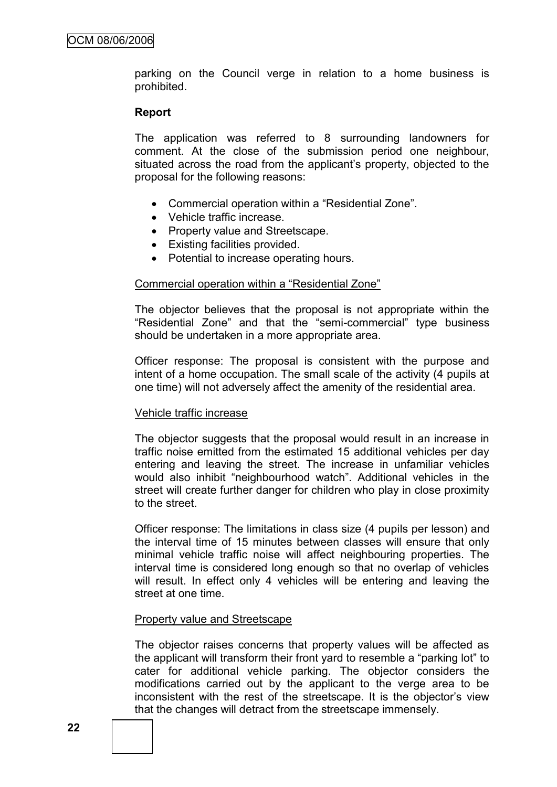parking on the Council verge in relation to a home business is prohibited.

# **Report**

The application was referred to 8 surrounding landowners for comment. At the close of the submission period one neighbour, situated across the road from the applicant's property, objected to the proposal for the following reasons:

- Commercial operation within a "Residential Zone".
- Vehicle traffic increase.
- Property value and Streetscape.
- Existing facilities provided.
- Potential to increase operating hours.

#### Commercial operation within a "Residential Zone"

The objector believes that the proposal is not appropriate within the "Residential Zone" and that the "semi-commercial" type business should be undertaken in a more appropriate area.

Officer response: The proposal is consistent with the purpose and intent of a home occupation. The small scale of the activity (4 pupils at one time) will not adversely affect the amenity of the residential area.

#### Vehicle traffic increase

The objector suggests that the proposal would result in an increase in traffic noise emitted from the estimated 15 additional vehicles per day entering and leaving the street. The increase in unfamiliar vehicles would also inhibit "neighbourhood watch". Additional vehicles in the street will create further danger for children who play in close proximity to the street.

Officer response: The limitations in class size (4 pupils per lesson) and the interval time of 15 minutes between classes will ensure that only minimal vehicle traffic noise will affect neighbouring properties. The interval time is considered long enough so that no overlap of vehicles will result. In effect only 4 vehicles will be entering and leaving the street at one time.

# Property value and Streetscape

The objector raises concerns that property values will be affected as the applicant will transform their front yard to resemble a "parking lot" to cater for additional vehicle parking. The objector considers the modifications carried out by the applicant to the verge area to be inconsistent with the rest of the streetscape. It is the objector"s view that the changes will detract from the streetscape immensely.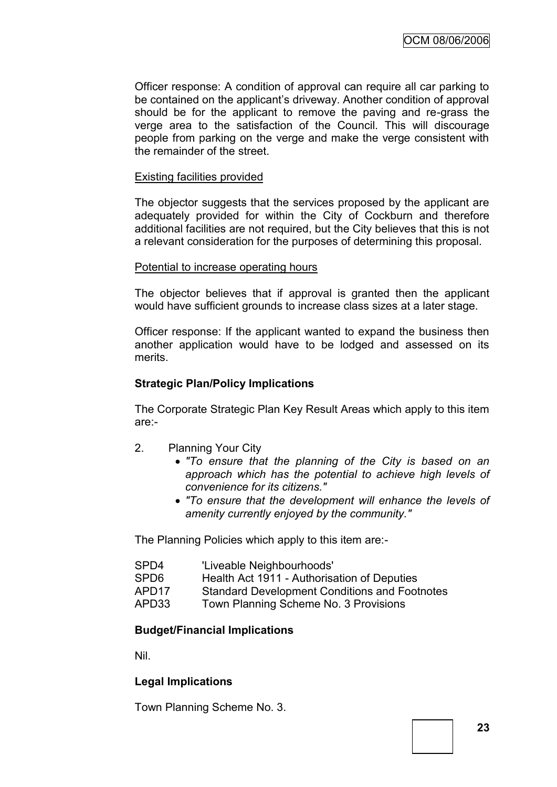Officer response: A condition of approval can require all car parking to be contained on the applicant"s driveway. Another condition of approval should be for the applicant to remove the paving and re-grass the verge area to the satisfaction of the Council. This will discourage people from parking on the verge and make the verge consistent with the remainder of the street.

# Existing facilities provided

The objector suggests that the services proposed by the applicant are adequately provided for within the City of Cockburn and therefore additional facilities are not required, but the City believes that this is not a relevant consideration for the purposes of determining this proposal.

### Potential to increase operating hours

The objector believes that if approval is granted then the applicant would have sufficient grounds to increase class sizes at a later stage.

Officer response: If the applicant wanted to expand the business then another application would have to be lodged and assessed on its merits.

# **Strategic Plan/Policy Implications**

The Corporate Strategic Plan Key Result Areas which apply to this item are:-

- 2. Planning Your City
	- *"To ensure that the planning of the City is based on an approach which has the potential to achieve high levels of convenience for its citizens."*
	- *"To ensure that the development will enhance the levels of amenity currently enjoyed by the community."*

The Planning Policies which apply to this item are:-

| SPD4  | 'Liveable Neighbourhoods'                            |
|-------|------------------------------------------------------|
| SPD6  | Health Act 1911 - Authorisation of Deputies          |
| APD17 | <b>Standard Development Conditions and Footnotes</b> |
| APD33 | Town Planning Scheme No. 3 Provisions                |

# **Budget/Financial Implications**

Nil.

# **Legal Implications**

Town Planning Scheme No. 3.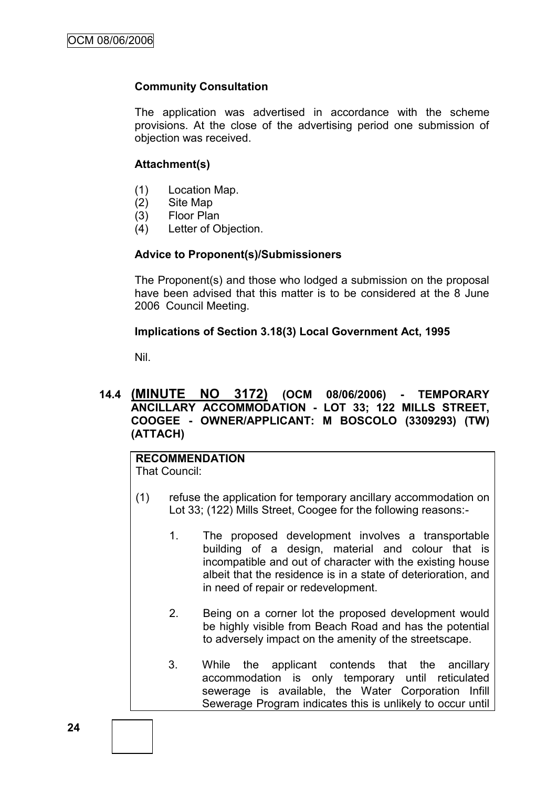# **Community Consultation**

The application was advertised in accordance with the scheme provisions. At the close of the advertising period one submission of objection was received.

### **Attachment(s)**

- (1) Location Map.
- (2) Site Map
- (3) Floor Plan
- (4) Letter of Objection.

### **Advice to Proponent(s)/Submissioners**

The Proponent(s) and those who lodged a submission on the proposal have been advised that this matter is to be considered at the 8 June 2006 Council Meeting.

### **Implications of Section 3.18(3) Local Government Act, 1995**

Nil.

# **14.4 (MINUTE NO 3172) (OCM 08/06/2006) - TEMPORARY ANCILLARY ACCOMMODATION - LOT 33; 122 MILLS STREET, COOGEE - OWNER/APPLICANT: M BOSCOLO (3309293) (TW) (ATTACH)**

# **RECOMMENDATION**

That Council:

- (1) refuse the application for temporary ancillary accommodation on Lot 33; (122) Mills Street, Coogee for the following reasons:-
	- 1. The proposed development involves a transportable building of a design, material and colour that is incompatible and out of character with the existing house albeit that the residence is in a state of deterioration, and in need of repair or redevelopment.
	- 2. Being on a corner lot the proposed development would be highly visible from Beach Road and has the potential to adversely impact on the amenity of the streetscape.
	- 3. While the applicant contends that the ancillary accommodation is only temporary until reticulated sewerage is available, the Water Corporation Infill Sewerage Program indicates this is unlikely to occur until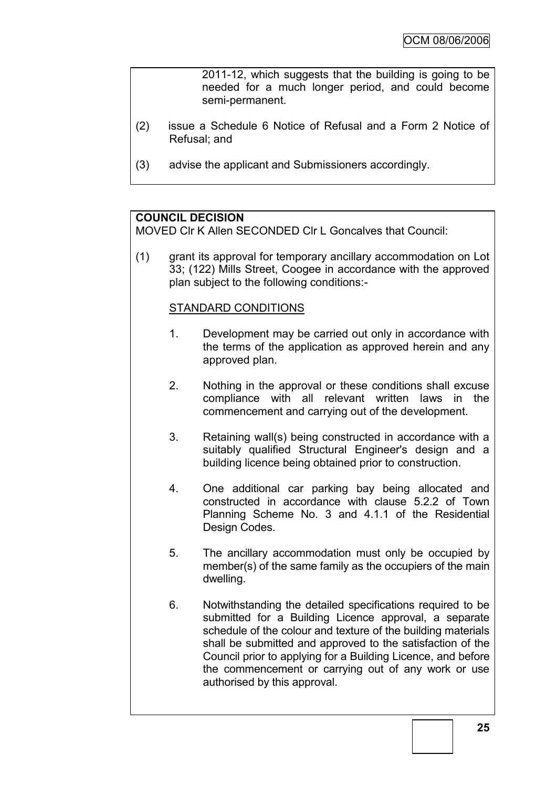2011-12, which suggests that the building is going to be needed for a much longer period, and could become semi-permanent.

- (2) issue a Schedule 6 Notice of Refusal and a Form 2 Notice of Refusal; and
- (3) advise the applicant and Submissioners accordingly.

# **COUNCIL DECISION**

MOVED Clr K Allen SECONDED Clr L Goncalves that Council:

(1) grant its approval for temporary ancillary accommodation on Lot 33; (122) Mills Street, Coogee in accordance with the approved plan subject to the following conditions:-

# STANDARD CONDITIONS

- 1. Development may be carried out only in accordance with the terms of the application as approved herein and any approved plan.
- 2. Nothing in the approval or these conditions shall excuse compliance with all relevant written laws in the commencement and carrying out of the development.
- 3. Retaining wall(s) being constructed in accordance with a suitably qualified Structural Engineer's design and a building licence being obtained prior to construction.
- 4. One additional car parking bay being allocated and constructed in accordance with clause 5.2.2 of Town Planning Scheme No. 3 and 4.1.1 of the Residential Design Codes.
- 5. The ancillary accommodation must only be occupied by member(s) of the same family as the occupiers of the main dwelling.
- 6. Notwithstanding the detailed specifications required to be submitted for a Building Licence approval, a separate schedule of the colour and texture of the building materials shall be submitted and approved to the satisfaction of the Council prior to applying for a Building Licence, and before the commencement or carrying out of any work or use authorised by this approval.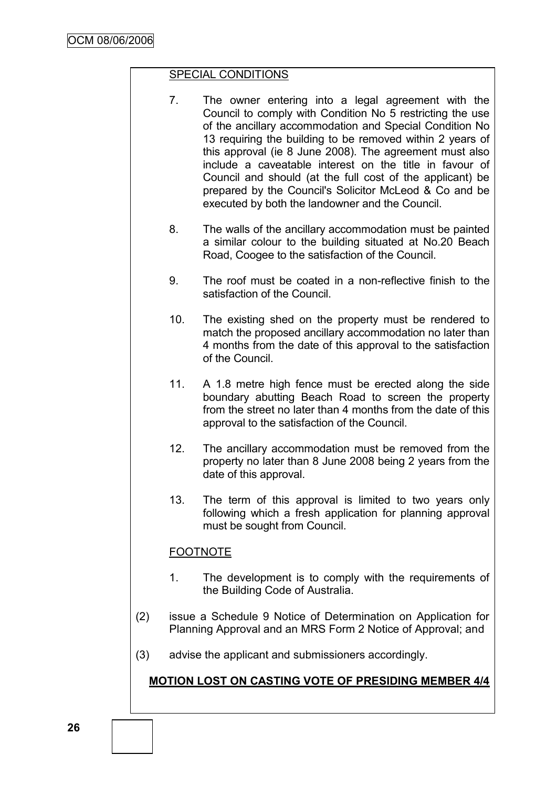# SPECIAL CONDITIONS

- 7. The owner entering into a legal agreement with the Council to comply with Condition No 5 restricting the use of the ancillary accommodation and Special Condition No 13 requiring the building to be removed within 2 years of this approval (ie 8 June 2008). The agreement must also include a caveatable interest on the title in favour of Council and should (at the full cost of the applicant) be prepared by the Council's Solicitor McLeod & Co and be executed by both the landowner and the Council.
- 8. The walls of the ancillary accommodation must be painted a similar colour to the building situated at No.20 Beach Road, Coogee to the satisfaction of the Council.
- 9. The roof must be coated in a non-reflective finish to the satisfaction of the Council.
- 10. The existing shed on the property must be rendered to match the proposed ancillary accommodation no later than 4 months from the date of this approval to the satisfaction of the Council.
- 11. A 1.8 metre high fence must be erected along the side boundary abutting Beach Road to screen the property from the street no later than 4 months from the date of this approval to the satisfaction of the Council.
- 12. The ancillary accommodation must be removed from the property no later than 8 June 2008 being 2 years from the date of this approval.
- 13. The term of this approval is limited to two years only following which a fresh application for planning approval must be sought from Council.

# FOOTNOTE

- 1. The development is to comply with the requirements of the Building Code of Australia.
- (2) issue a Schedule 9 Notice of Determination on Application for Planning Approval and an MRS Form 2 Notice of Approval; and
- (3) advise the applicant and submissioners accordingly.

# **MOTION LOST ON CASTING VOTE OF PRESIDING MEMBER 4/4**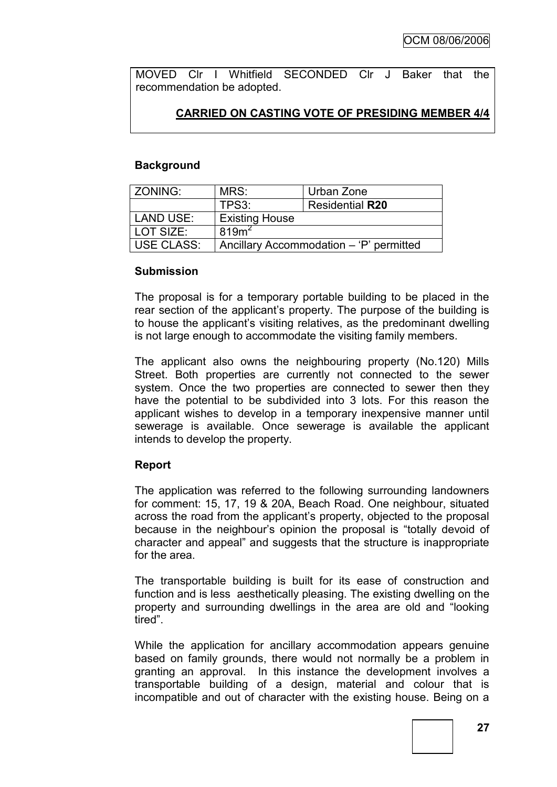MOVED Clr I Whitfield SECONDED Clr J Baker that the recommendation be adopted.

# **CARRIED ON CASTING VOTE OF PRESIDING MEMBER 4/4**

### **Background**

| l ZONING:        | MRS:                                    | Urban Zone |  |
|------------------|-----------------------------------------|------------|--|
|                  | TPS3:<br><b>Residential R20</b>         |            |  |
| <b>LAND USE:</b> | <b>Existing House</b>                   |            |  |
| LOT SIZE:        | 819 <sup>2</sup>                        |            |  |
| USE CLASS:       | Ancillary Accommodation – 'P' permitted |            |  |

### **Submission**

The proposal is for a temporary portable building to be placed in the rear section of the applicant's property. The purpose of the building is to house the applicant"s visiting relatives, as the predominant dwelling is not large enough to accommodate the visiting family members.

The applicant also owns the neighbouring property (No.120) Mills Street. Both properties are currently not connected to the sewer system. Once the two properties are connected to sewer then they have the potential to be subdivided into 3 lots. For this reason the applicant wishes to develop in a temporary inexpensive manner until sewerage is available. Once sewerage is available the applicant intends to develop the property.

# **Report**

The application was referred to the following surrounding landowners for comment: 15, 17, 19 & 20A, Beach Road. One neighbour, situated across the road from the applicant"s property, objected to the proposal because in the neighbour"s opinion the proposal is "totally devoid of character and appeal" and suggests that the structure is inappropriate for the area.

The transportable building is built for its ease of construction and function and is less aesthetically pleasing. The existing dwelling on the property and surrounding dwellings in the area are old and "looking tired".

While the application for ancillary accommodation appears genuine based on family grounds, there would not normally be a problem in granting an approval. In this instance the development involves a transportable building of a design, material and colour that is incompatible and out of character with the existing house. Being on a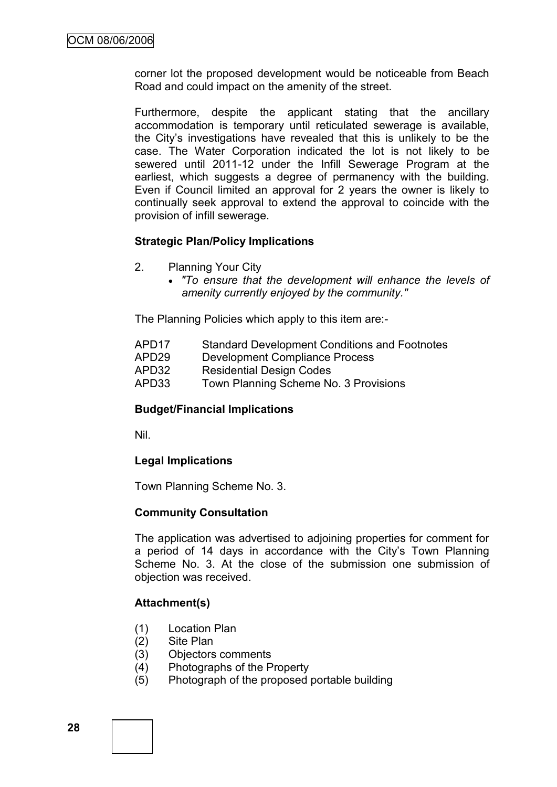corner lot the proposed development would be noticeable from Beach Road and could impact on the amenity of the street.

Furthermore, despite the applicant stating that the ancillary accommodation is temporary until reticulated sewerage is available, the City"s investigations have revealed that this is unlikely to be the case. The Water Corporation indicated the lot is not likely to be sewered until 2011-12 under the Infill Sewerage Program at the earliest, which suggests a degree of permanency with the building. Even if Council limited an approval for 2 years the owner is likely to continually seek approval to extend the approval to coincide with the provision of infill sewerage.

# **Strategic Plan/Policy Implications**

- 2. Planning Your City
	- *"To ensure that the development will enhance the levels of amenity currently enjoyed by the community."*

The Planning Policies which apply to this item are:-

- APD17 Standard Development Conditions and Footnotes
- APD29 Development Compliance Process
- APD32 Residential Design Codes
- APD33 Town Planning Scheme No. 3 Provisions

# **Budget/Financial Implications**

Nil.

# **Legal Implications**

Town Planning Scheme No. 3.

#### **Community Consultation**

The application was advertised to adjoining properties for comment for a period of 14 days in accordance with the City's Town Planning Scheme No. 3. At the close of the submission one submission of objection was received.

# **Attachment(s)**

- (1) Location Plan
- (2) Site Plan
- (3) Objectors comments
- (4) Photographs of the Property
- (5) Photograph of the proposed portable building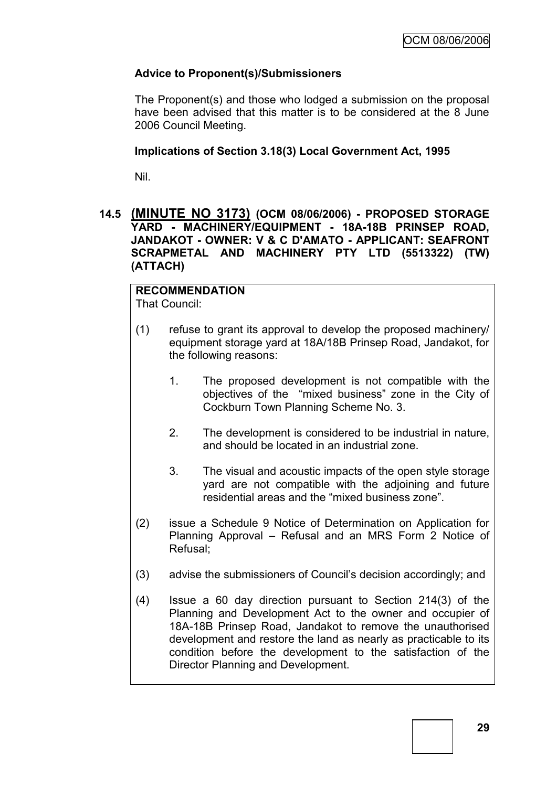# **Advice to Proponent(s)/Submissioners**

The Proponent(s) and those who lodged a submission on the proposal have been advised that this matter is to be considered at the 8 June 2006 Council Meeting.

# **Implications of Section 3.18(3) Local Government Act, 1995**

Nil.

# **14.5 (MINUTE NO 3173) (OCM 08/06/2006) - PROPOSED STORAGE YARD - MACHINERY/EQUIPMENT - 18A-18B PRINSEP ROAD, JANDAKOT - OWNER: V & C D'AMATO - APPLICANT: SEAFRONT SCRAPMETAL AND MACHINERY PTY LTD (5513322) (TW) (ATTACH)**

# **RECOMMENDATION**

That Council:

- (1) refuse to grant its approval to develop the proposed machinery/ equipment storage yard at 18A/18B Prinsep Road, Jandakot, for the following reasons:
	- 1. The proposed development is not compatible with the objectives of the "mixed business" zone in the City of Cockburn Town Planning Scheme No. 3.
	- 2. The development is considered to be industrial in nature, and should be located in an industrial zone.
	- 3. The visual and acoustic impacts of the open style storage yard are not compatible with the adjoining and future residential areas and the "mixed business zone".
- (2) issue a Schedule 9 Notice of Determination on Application for Planning Approval – Refusal and an MRS Form 2 Notice of Refusal;
- (3) advise the submissioners of Council"s decision accordingly; and
- (4) Issue a 60 day direction pursuant to Section 214(3) of the Planning and Development Act to the owner and occupier of 18A-18B Prinsep Road, Jandakot to remove the unauthorised development and restore the land as nearly as practicable to its condition before the development to the satisfaction of the Director Planning and Development.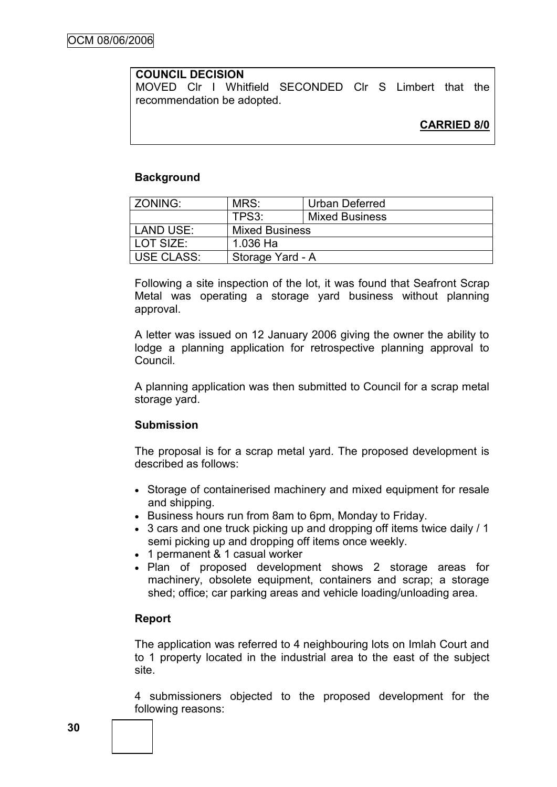# **COUNCIL DECISION**

MOVED Clr I Whitfield SECONDED Clr S Limbert that the recommendation be adopted.

# **CARRIED 8/0**

#### **Background**

| <b>ZONING:</b>    | MRS:                  | Urban Deferred        |
|-------------------|-----------------------|-----------------------|
|                   | TPS3:                 | <b>Mixed Business</b> |
| LAND USE:         | <b>Mixed Business</b> |                       |
| LOT SIZE:         | 1.036 Ha              |                       |
| <b>USE CLASS:</b> | Storage Yard - A      |                       |

Following a site inspection of the lot, it was found that Seafront Scrap Metal was operating a storage yard business without planning approval.

A letter was issued on 12 January 2006 giving the owner the ability to lodge a planning application for retrospective planning approval to Council.

A planning application was then submitted to Council for a scrap metal storage yard.

#### **Submission**

The proposal is for a scrap metal yard. The proposed development is described as follows:

- Storage of containerised machinery and mixed equipment for resale and shipping.
- Business hours run from 8am to 6pm, Monday to Friday.
- 3 cars and one truck picking up and dropping off items twice daily / 1 semi picking up and dropping off items once weekly.
- 1 permanent & 1 casual worker
- Plan of proposed development shows 2 storage areas for machinery, obsolete equipment, containers and scrap; a storage shed; office; car parking areas and vehicle loading/unloading area.

# **Report**

The application was referred to 4 neighbouring lots on Imlah Court and to 1 property located in the industrial area to the east of the subject site.

4 submissioners objected to the proposed development for the following reasons: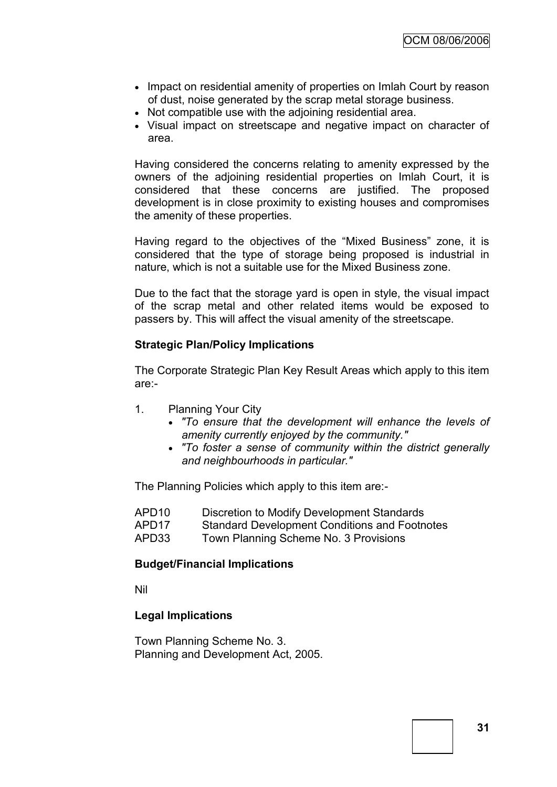- Impact on residential amenity of properties on Imlah Court by reason of dust, noise generated by the scrap metal storage business.
- Not compatible use with the adjoining residential area.
- Visual impact on streetscape and negative impact on character of area.

Having considered the concerns relating to amenity expressed by the owners of the adjoining residential properties on Imlah Court, it is considered that these concerns are justified. The proposed development is in close proximity to existing houses and compromises the amenity of these properties.

Having regard to the objectives of the "Mixed Business" zone, it is considered that the type of storage being proposed is industrial in nature, which is not a suitable use for the Mixed Business zone.

Due to the fact that the storage yard is open in style, the visual impact of the scrap metal and other related items would be exposed to passers by. This will affect the visual amenity of the streetscape.

### **Strategic Plan/Policy Implications**

The Corporate Strategic Plan Key Result Areas which apply to this item are:-

- 1. Planning Your City
	- *"To ensure that the development will enhance the levels of amenity currently enjoyed by the community."*
	- *"To foster a sense of community within the district generally and neighbourhoods in particular."*

The Planning Policies which apply to this item are:-

| APD10 | Discretion to Modify Development Standards           |
|-------|------------------------------------------------------|
| APD17 | <b>Standard Development Conditions and Footnotes</b> |

APD33 Town Planning Scheme No. 3 Provisions

# **Budget/Financial Implications**

Nil

# **Legal Implications**

Town Planning Scheme No. 3. Planning and Development Act, 2005.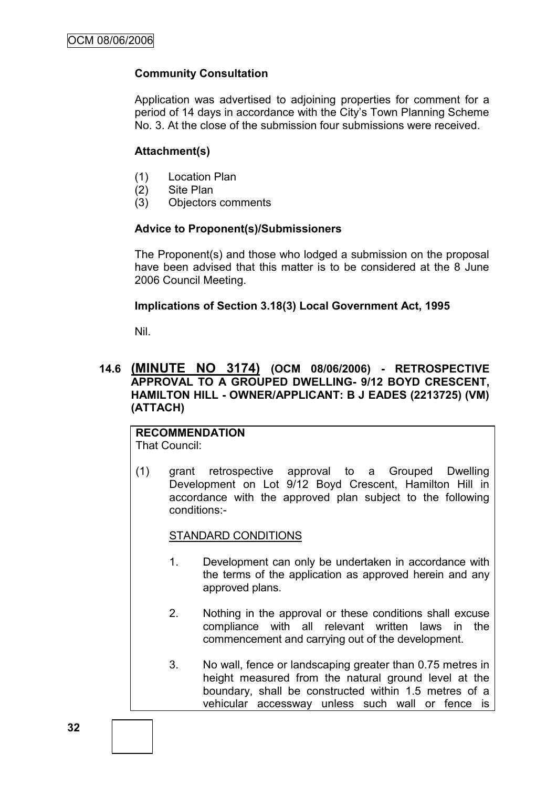# **Community Consultation**

Application was advertised to adjoining properties for comment for a period of 14 days in accordance with the City"s Town Planning Scheme No. 3. At the close of the submission four submissions were received.

# **Attachment(s)**

- (1) Location Plan
- (2) Site Plan
- (3) Objectors comments

### **Advice to Proponent(s)/Submissioners**

The Proponent(s) and those who lodged a submission on the proposal have been advised that this matter is to be considered at the 8 June 2006 Council Meeting.

# **Implications of Section 3.18(3) Local Government Act, 1995**

Nil.

# **14.6 (MINUTE NO 3174) (OCM 08/06/2006) - RETROSPECTIVE APPROVAL TO A GROUPED DWELLING- 9/12 BOYD CRESCENT, HAMILTON HILL - OWNER/APPLICANT: B J EADES (2213725) (VM) (ATTACH)**

#### **RECOMMENDATION** That Council:

conditions:-

(1) grant retrospective approval to a Grouped Dwelling Development on Lot 9/12 Boyd Crescent, Hamilton Hill in

# STANDARD CONDITIONS

1. Development can only be undertaken in accordance with the terms of the application as approved herein and any approved plans.

accordance with the approved plan subject to the following

- 2. Nothing in the approval or these conditions shall excuse compliance with all relevant written laws in the commencement and carrying out of the development.
- 3. No wall, fence or landscaping greater than 0.75 metres in height measured from the natural ground level at the boundary, shall be constructed within 1.5 metres of a vehicular accessway unless such wall or fence is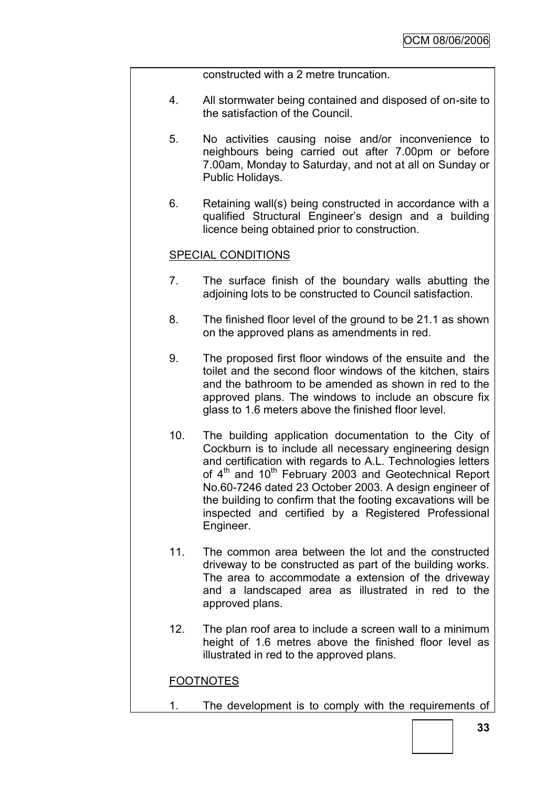constructed with a 2 metre truncation.

- 4. All stormwater being contained and disposed of on-site to the satisfaction of the Council.
- 5. No activities causing noise and/or inconvenience to neighbours being carried out after 7.00pm or before 7.00am, Monday to Saturday, and not at all on Sunday or Public Holidays.
- 6. Retaining wall(s) being constructed in accordance with a qualified Structural Engineer"s design and a building licence being obtained prior to construction.

### SPECIAL CONDITIONS

- 7. The surface finish of the boundary walls abutting the adjoining lots to be constructed to Council satisfaction.
- 8. The finished floor level of the ground to be 21.1 as shown on the approved plans as amendments in red.
- 9. The proposed first floor windows of the ensuite and the toilet and the second floor windows of the kitchen, stairs and the bathroom to be amended as shown in red to the approved plans. The windows to include an obscure fix glass to 1.6 meters above the finished floor level.
- 10. The building application documentation to the City of Cockburn is to include all necessary engineering design and certification with regards to A.L. Technologies letters of 4<sup>th</sup> and 10<sup>th</sup> February 2003 and Geotechnical Report No.60-7246 dated 23 October 2003. A design engineer of the building to confirm that the footing excavations will be inspected and certified by a Registered Professional Engineer.
- 11. The common area between the lot and the constructed driveway to be constructed as part of the building works. The area to accommodate a extension of the driveway and a landscaped area as illustrated in red to the approved plans.
- 12. The plan roof area to include a screen wall to a minimum height of 1.6 metres above the finished floor level as illustrated in red to the approved plans.

# FOOTNOTES

1. The development is to comply with the requirements of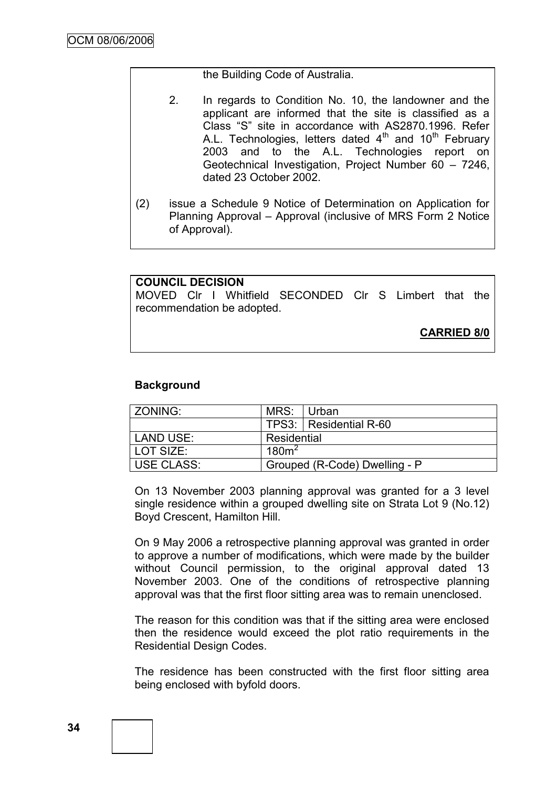#### the Building Code of Australia.

- 2. In regards to Condition No. 10, the landowner and the applicant are informed that the site is classified as a Class "S" site in accordance with AS2870.1996. Refer A.L. Technologies, letters dated  $4<sup>th</sup>$  and  $10<sup>th</sup>$  February 2003 and to the A.L. Technologies report on Geotechnical Investigation, Project Number 60 – 7246, dated 23 October 2002.
- (2) issue a Schedule 9 Notice of Determination on Application for Planning Approval – Approval (inclusive of MRS Form 2 Notice of Approval).

### **COUNCIL DECISION**

MOVED Clr I Whitfield SECONDED Clr S Limbert that the recommendation be adopted.

**CARRIED 8/0**

### **Background**

| <b>ZONING:</b>    | MRS:                          | ⊟ Urban                  |
|-------------------|-------------------------------|--------------------------|
|                   |                               | TPS3:   Residential R-60 |
| LAND USE:         | Residential                   |                          |
| LOT SIZE:         | 180m <sup>2</sup>             |                          |
| <b>USE CLASS:</b> | Grouped (R-Code) Dwelling - P |                          |

On 13 November 2003 planning approval was granted for a 3 level single residence within a grouped dwelling site on Strata Lot 9 (No.12) Boyd Crescent, Hamilton Hill.

On 9 May 2006 a retrospective planning approval was granted in order to approve a number of modifications, which were made by the builder without Council permission, to the original approval dated 13 November 2003. One of the conditions of retrospective planning approval was that the first floor sitting area was to remain unenclosed.

The reason for this condition was that if the sitting area were enclosed then the residence would exceed the plot ratio requirements in the Residential Design Codes.

The residence has been constructed with the first floor sitting area being enclosed with byfold doors.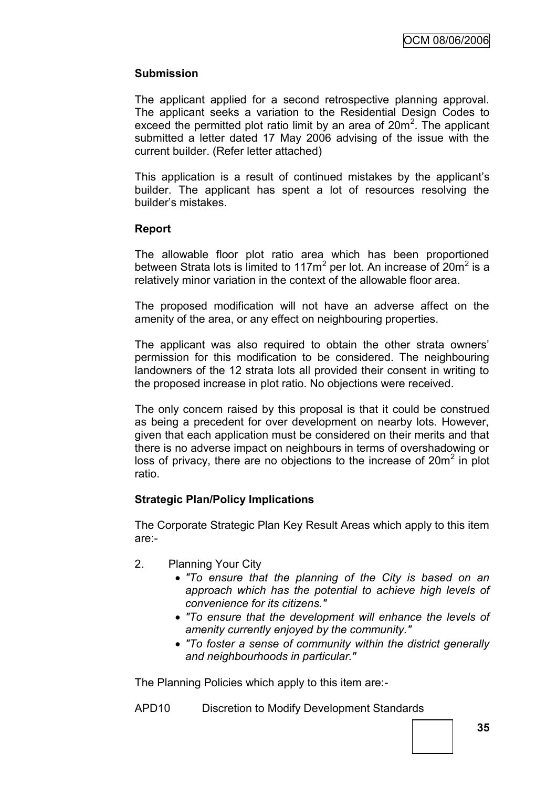# **Submission**

The applicant applied for a second retrospective planning approval. The applicant seeks a variation to the Residential Design Codes to exceed the permitted plot ratio limit by an area of  $20m^2$ . The applicant submitted a letter dated 17 May 2006 advising of the issue with the current builder. (Refer letter attached)

This application is a result of continued mistakes by the applicant"s builder. The applicant has spent a lot of resources resolving the builder"s mistakes.

# **Report**

The allowable floor plot ratio area which has been proportioned between Strata lots is limited to 117 $m^2$  per lot. An increase of 20 $m^2$  is a relatively minor variation in the context of the allowable floor area.

The proposed modification will not have an adverse affect on the amenity of the area, or any effect on neighbouring properties.

The applicant was also required to obtain the other strata owners' permission for this modification to be considered. The neighbouring landowners of the 12 strata lots all provided their consent in writing to the proposed increase in plot ratio. No objections were received.

The only concern raised by this proposal is that it could be construed as being a precedent for over development on nearby lots. However, given that each application must be considered on their merits and that there is no adverse impact on neighbours in terms of overshadowing or loss of privacy, there are no objections to the increase of  $20m^2$  in plot ratio.

### **Strategic Plan/Policy Implications**

The Corporate Strategic Plan Key Result Areas which apply to this item are:-

- 2. Planning Your City
	- *"To ensure that the planning of the City is based on an approach which has the potential to achieve high levels of convenience for its citizens."*
	- *"To ensure that the development will enhance the levels of amenity currently enjoyed by the community."*
	- *"To foster a sense of community within the district generally and neighbourhoods in particular."*

The Planning Policies which apply to this item are:-

APD10 Discretion to Modify Development Standards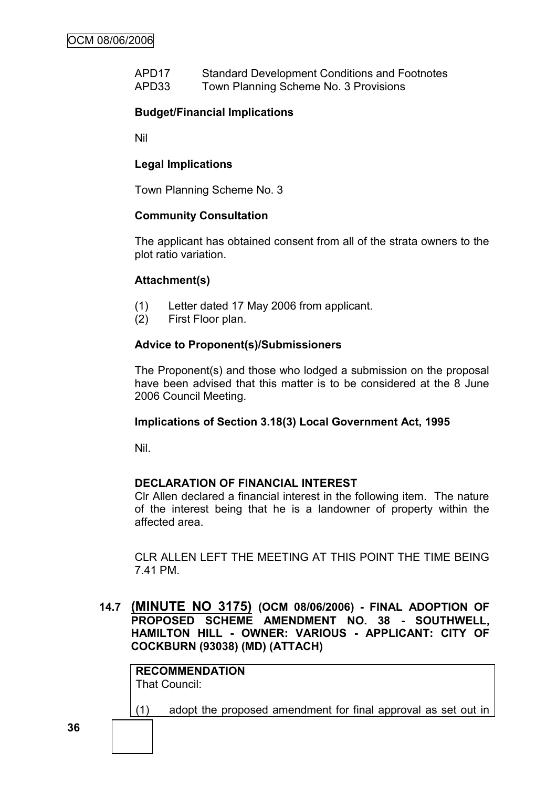APD17 Standard Development Conditions and Footnotes APD33 Town Planning Scheme No. 3 Provisions

# **Budget/Financial Implications**

Nil

### **Legal Implications**

Town Planning Scheme No. 3

### **Community Consultation**

The applicant has obtained consent from all of the strata owners to the plot ratio variation.

### **Attachment(s)**

- (1) Letter dated 17 May 2006 from applicant.
- (2) First Floor plan.

### **Advice to Proponent(s)/Submissioners**

The Proponent(s) and those who lodged a submission on the proposal have been advised that this matter is to be considered at the 8 June 2006 Council Meeting.

### **Implications of Section 3.18(3) Local Government Act, 1995**

Nil.

### **DECLARATION OF FINANCIAL INTEREST**

Clr Allen declared a financial interest in the following item. The nature of the interest being that he is a landowner of property within the affected area.

CLR ALLEN LEFT THE MEETING AT THIS POINT THE TIME BEING 7.41 PM.

# **14.7 (MINUTE NO 3175) (OCM 08/06/2006) - FINAL ADOPTION OF PROPOSED SCHEME AMENDMENT NO. 38 - SOUTHWELL, HAMILTON HILL - OWNER: VARIOUS - APPLICANT: CITY OF COCKBURN (93038) (MD) (ATTACH)**

**RECOMMENDATION** That Council:

(1) adopt the proposed amendment for final approval as set out in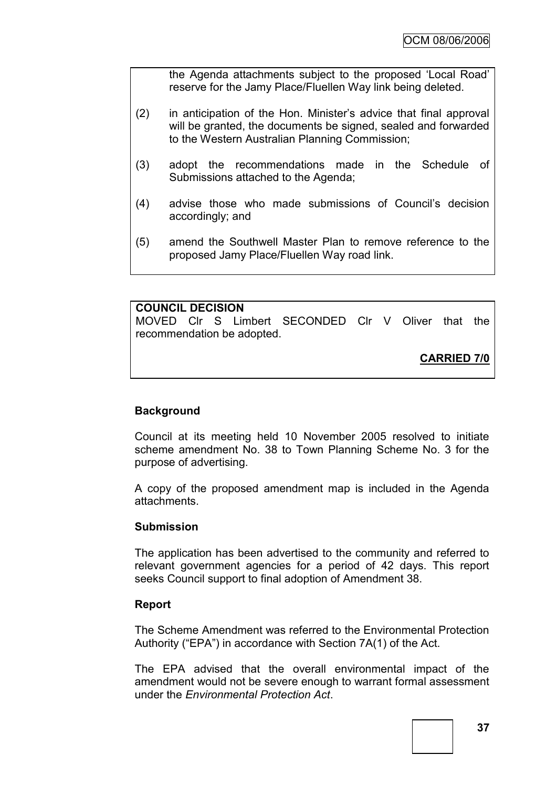the Agenda attachments subject to the proposed "Local Road" reserve for the Jamy Place/Fluellen Way link being deleted.

- (2) in anticipation of the Hon. Minister"s advice that final approval will be granted, the documents be signed, sealed and forwarded to the Western Australian Planning Commission;
- (3) adopt the recommendations made in the Schedule of Submissions attached to the Agenda;
- (4) advise those who made submissions of Council"s decision accordingly; and
- (5) amend the Southwell Master Plan to remove reference to the proposed Jamy Place/Fluellen Way road link.

### **COUNCIL DECISION**

MOVED Clr S Limbert SECONDED Clr V Oliver that the recommendation be adopted.

**CARRIED 7/0**

### **Background**

Council at its meeting held 10 November 2005 resolved to initiate scheme amendment No. 38 to Town Planning Scheme No. 3 for the purpose of advertising.

A copy of the proposed amendment map is included in the Agenda attachments.

#### **Submission**

The application has been advertised to the community and referred to relevant government agencies for a period of 42 days. This report seeks Council support to final adoption of Amendment 38.

#### **Report**

The Scheme Amendment was referred to the Environmental Protection Authority ("EPA") in accordance with Section 7A(1) of the Act.

The EPA advised that the overall environmental impact of the amendment would not be severe enough to warrant formal assessment under the *Environmental Protection Act*.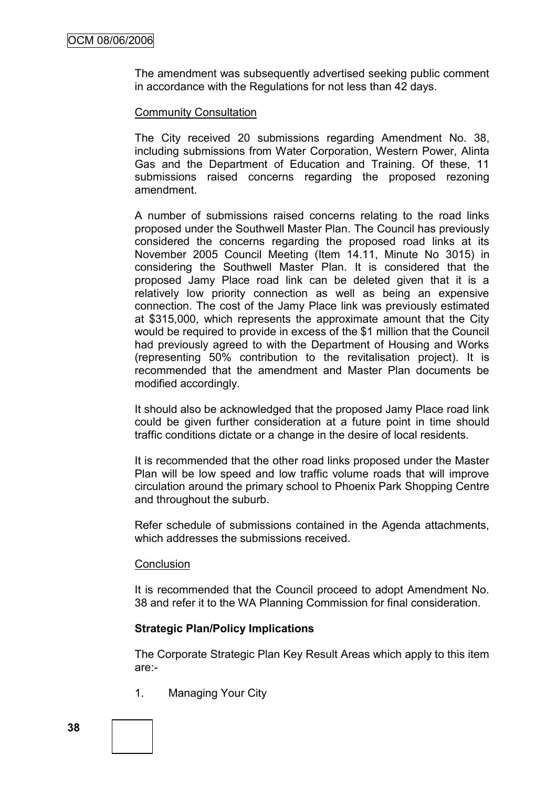The amendment was subsequently advertised seeking public comment in accordance with the Regulations for not less than 42 days.

### Community Consultation

The City received 20 submissions regarding Amendment No. 38, including submissions from Water Corporation, Western Power, Alinta Gas and the Department of Education and Training. Of these, 11 submissions raised concerns regarding the proposed rezoning amendment.

A number of submissions raised concerns relating to the road links proposed under the Southwell Master Plan. The Council has previously considered the concerns regarding the proposed road links at its November 2005 Council Meeting (Item 14.11, Minute No 3015) in considering the Southwell Master Plan. It is considered that the proposed Jamy Place road link can be deleted given that it is a relatively low priority connection as well as being an expensive connection. The cost of the Jamy Place link was previously estimated at \$315,000, which represents the approximate amount that the City would be required to provide in excess of the \$1 million that the Council had previously agreed to with the Department of Housing and Works (representing 50% contribution to the revitalisation project). It is recommended that the amendment and Master Plan documents be modified accordingly.

It should also be acknowledged that the proposed Jamy Place road link could be given further consideration at a future point in time should traffic conditions dictate or a change in the desire of local residents.

It is recommended that the other road links proposed under the Master Plan will be low speed and low traffic volume roads that will improve circulation around the primary school to Phoenix Park Shopping Centre and throughout the suburb.

Refer schedule of submissions contained in the Agenda attachments, which addresses the submissions received.

#### **Conclusion**

It is recommended that the Council proceed to adopt Amendment No. 38 and refer it to the WA Planning Commission for final consideration.

### **Strategic Plan/Policy Implications**

The Corporate Strategic Plan Key Result Areas which apply to this item are:-

1. Managing Your City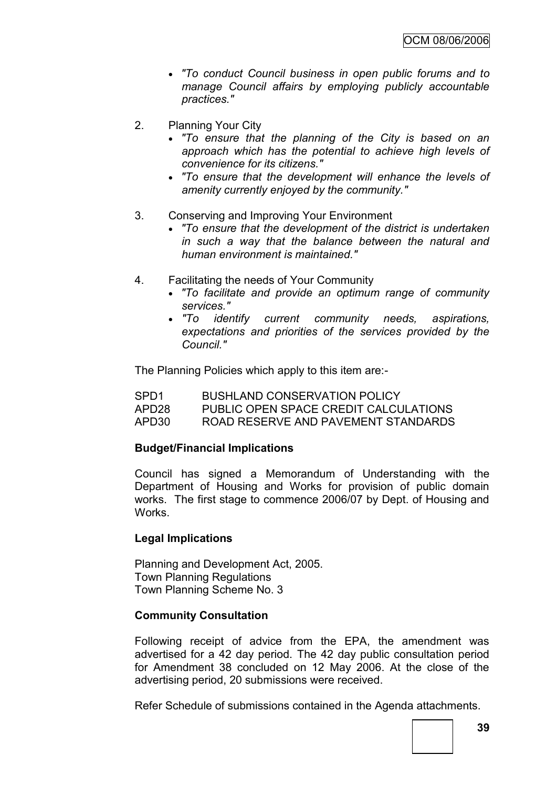- *"To conduct Council business in open public forums and to manage Council affairs by employing publicly accountable practices."*
- 2. Planning Your City
	- *"To ensure that the planning of the City is based on an approach which has the potential to achieve high levels of convenience for its citizens."*
	- *"To ensure that the development will enhance the levels of amenity currently enjoyed by the community."*
- 3. Conserving and Improving Your Environment
	- *"To ensure that the development of the district is undertaken in such a way that the balance between the natural and human environment is maintained."*
- 4. Facilitating the needs of Your Community
	- *"To facilitate and provide an optimum range of community services."*
	- *"To identify current community needs, aspirations, expectations and priorities of the services provided by the Council."*

The Planning Policies which apply to this item are:-

| SPD <sub>1</sub> | <b>BUSHLAND CONSERVATION POLICY</b>   |
|------------------|---------------------------------------|
| APD28            | PUBLIC OPEN SPACE CREDIT CALCULATIONS |
| APD30            | ROAD RESERVE AND PAVEMENT STANDARDS   |

### **Budget/Financial Implications**

Council has signed a Memorandum of Understanding with the Department of Housing and Works for provision of public domain works. The first stage to commence 2006/07 by Dept. of Housing and Works.

### **Legal Implications**

Planning and Development Act, 2005. Town Planning Regulations Town Planning Scheme No. 3

#### **Community Consultation**

Following receipt of advice from the EPA, the amendment was advertised for a 42 day period. The 42 day public consultation period for Amendment 38 concluded on 12 May 2006. At the close of the advertising period, 20 submissions were received.

Refer Schedule of submissions contained in the Agenda attachments.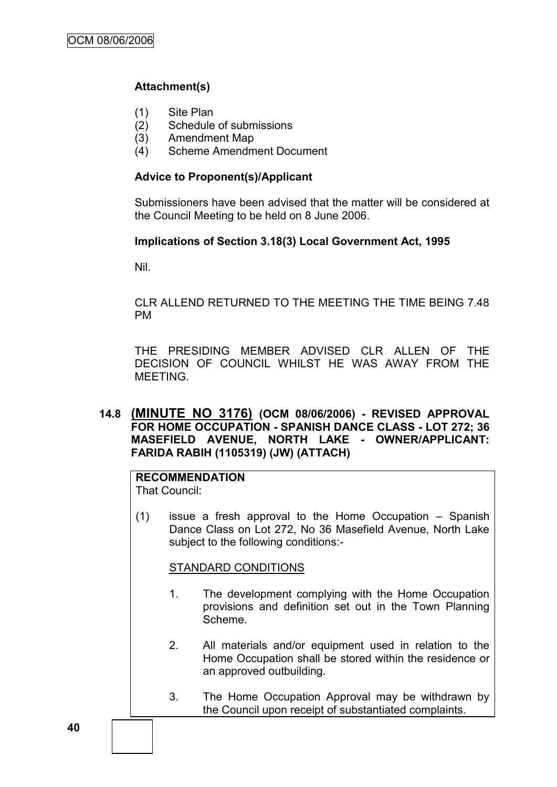# **Attachment(s)**

- (1) Site Plan
- (2) Schedule of submissions
- (3) Amendment Map
- (4) Scheme Amendment Document

# **Advice to Proponent(s)/Applicant**

Submissioners have been advised that the matter will be considered at the Council Meeting to be held on 8 June 2006.

# **Implications of Section 3.18(3) Local Government Act, 1995**

Nil.

CLR ALLEND RETURNED TO THE MEETING THE TIME BEING 7.48 PM

THE PRESIDING MEMBER ADVISED CLR ALLEN OF THE DECISION OF COUNCIL WHILST HE WAS AWAY FROM THE MEETING.

# **14.8 (MINUTE NO 3176) (OCM 08/06/2006) - REVISED APPROVAL FOR HOME OCCUPATION - SPANISH DANCE CLASS - LOT 272; 36 MASEFIELD AVENUE, NORTH LAKE - OWNER/APPLICANT: FARIDA RABIH (1105319) (JW) (ATTACH)**

#### **RECOMMENDATION** That Council:

(1) issue a fresh approval to the Home Occupation – Spanish Dance Class on Lot 272, No 36 Masefield Avenue, North Lake subject to the following conditions:-

### STANDARD CONDITIONS

- 1. The development complying with the Home Occupation provisions and definition set out in the Town Planning Scheme.
- 2. All materials and/or equipment used in relation to the Home Occupation shall be stored within the residence or an approved outbuilding.
- 3. The Home Occupation Approval may be withdrawn by the Council upon receipt of substantiated complaints.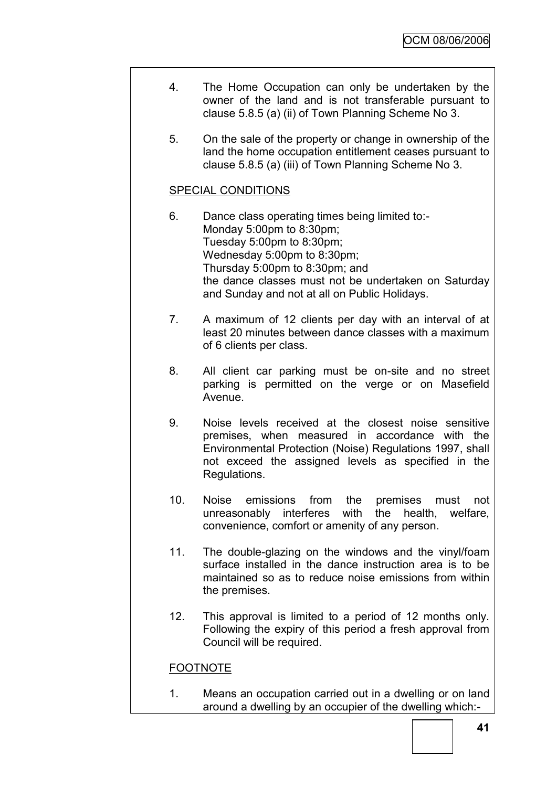- 4. The Home Occupation can only be undertaken by the owner of the land and is not transferable pursuant to clause 5.8.5 (a) (ii) of Town Planning Scheme No 3.
- 5. On the sale of the property or change in ownership of the land the home occupation entitlement ceases pursuant to clause 5.8.5 (a) (iii) of Town Planning Scheme No 3.

### SPECIAL CONDITIONS

- 6. Dance class operating times being limited to:- Monday 5:00pm to 8:30pm; Tuesday 5:00pm to 8:30pm; Wednesday 5:00pm to 8:30pm; Thursday 5:00pm to 8:30pm; and the dance classes must not be undertaken on Saturday and Sunday and not at all on Public Holidays.
- 7. A maximum of 12 clients per day with an interval of at least 20 minutes between dance classes with a maximum of 6 clients per class.
- 8. All client car parking must be on-site and no street parking is permitted on the verge or on Masefield Avenue.
- 9. Noise levels received at the closest noise sensitive premises, when measured in accordance with the Environmental Protection (Noise) Regulations 1997, shall not exceed the assigned levels as specified in the Regulations.
- 10. Noise emissions from the premises must not unreasonably interferes with the health, welfare, convenience, comfort or amenity of any person.
- 11. The double-glazing on the windows and the vinyl/foam surface installed in the dance instruction area is to be maintained so as to reduce noise emissions from within the premises.
- 12. This approval is limited to a period of 12 months only. Following the expiry of this period a fresh approval from Council will be required.

# FOOTNOTE

1. Means an occupation carried out in a dwelling or on land around a dwelling by an occupier of the dwelling which:-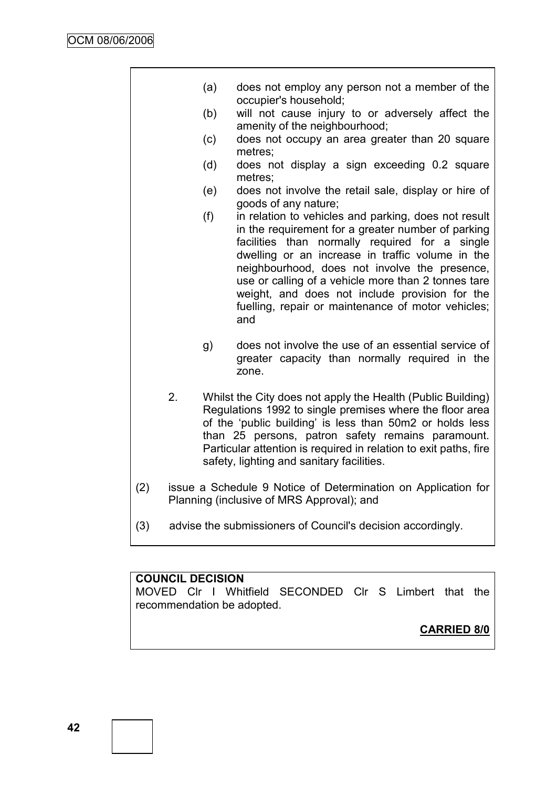|     |                                                                                                            | (a) | does not employ any person not a member of the<br>occupier's household;                                                                                                                                                                                                                                                                                                                                                                 |  |  |
|-----|------------------------------------------------------------------------------------------------------------|-----|-----------------------------------------------------------------------------------------------------------------------------------------------------------------------------------------------------------------------------------------------------------------------------------------------------------------------------------------------------------------------------------------------------------------------------------------|--|--|
|     |                                                                                                            | (b) | will not cause injury to or adversely affect the<br>amenity of the neighbourhood;                                                                                                                                                                                                                                                                                                                                                       |  |  |
|     |                                                                                                            | (c) | does not occupy an area greater than 20 square<br>metres;                                                                                                                                                                                                                                                                                                                                                                               |  |  |
|     |                                                                                                            | (d) | does not display a sign exceeding 0.2 square<br>metres;                                                                                                                                                                                                                                                                                                                                                                                 |  |  |
|     |                                                                                                            | (e) | does not involve the retail sale, display or hire of<br>goods of any nature;                                                                                                                                                                                                                                                                                                                                                            |  |  |
|     |                                                                                                            | (f) | in relation to vehicles and parking, does not result<br>in the requirement for a greater number of parking<br>facilities than normally required for a single<br>dwelling or an increase in traffic volume in the<br>neighbourhood, does not involve the presence,<br>use or calling of a vehicle more than 2 tonnes tare<br>weight, and does not include provision for the<br>fuelling, repair or maintenance of motor vehicles;<br>and |  |  |
|     |                                                                                                            | g)  | does not involve the use of an essential service of<br>greater capacity than normally required in the<br>zone.                                                                                                                                                                                                                                                                                                                          |  |  |
|     | 2.                                                                                                         |     | Whilst the City does not apply the Health (Public Building)<br>Regulations 1992 to single premises where the floor area<br>of the 'public building' is less than 50m2 or holds less<br>than 25 persons, patron safety remains paramount.<br>Particular attention is required in relation to exit paths, fire<br>safety, lighting and sanitary facilities.                                                                               |  |  |
| (2) | issue a Schedule 9 Notice of Determination on Application for<br>Planning (inclusive of MRS Approval); and |     |                                                                                                                                                                                                                                                                                                                                                                                                                                         |  |  |
|     |                                                                                                            |     |                                                                                                                                                                                                                                                                                                                                                                                                                                         |  |  |

(3) advise the submissioners of Council's decision accordingly.

# **COUNCIL DECISION**

MOVED Clr I Whitfield SECONDED Clr S Limbert that the recommendation be adopted.

# **CARRIED 8/0**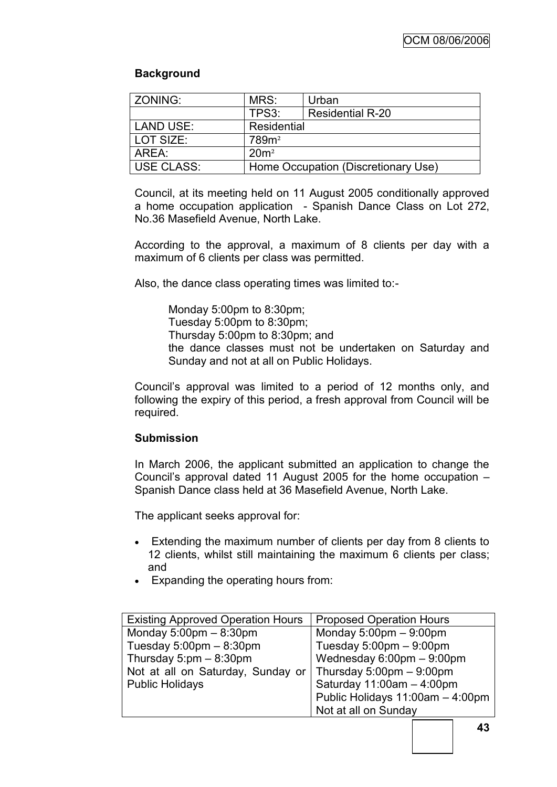# **Background**

| <b>ZONING:</b>    | MRS:                                | Urban                   |  |
|-------------------|-------------------------------------|-------------------------|--|
|                   | TPS3:                               | <b>Residential R-20</b> |  |
| <b>LAND USE:</b>  | Residential                         |                         |  |
| LOT SIZE:         | 789m <sup>2</sup>                   |                         |  |
| AREA:             | 20m <sup>2</sup>                    |                         |  |
| <b>USE CLASS:</b> | Home Occupation (Discretionary Use) |                         |  |

Council, at its meeting held on 11 August 2005 conditionally approved a home occupation application - Spanish Dance Class on Lot 272, No.36 Masefield Avenue, North Lake.

According to the approval, a maximum of 8 clients per day with a maximum of 6 clients per class was permitted.

Also, the dance class operating times was limited to:-

Monday 5:00pm to 8:30pm; Tuesday 5:00pm to 8:30pm; Thursday 5:00pm to 8:30pm; and the dance classes must not be undertaken on Saturday and Sunday and not at all on Public Holidays.

Council"s approval was limited to a period of 12 months only, and following the expiry of this period, a fresh approval from Council will be required.

### **Submission**

In March 2006, the applicant submitted an application to change the Council"s approval dated 11 August 2005 for the home occupation – Spanish Dance class held at 36 Masefield Avenue, North Lake.

The applicant seeks approval for:

- Extending the maximum number of clients per day from 8 clients to 12 clients, whilst still maintaining the maximum 6 clients per class; and
- Expanding the operating hours from:

| <b>Existing Approved Operation Hours</b>  | <b>Proposed Operation Hours</b>             |  |  |
|-------------------------------------------|---------------------------------------------|--|--|
| Monday $5:00 \text{pm} - 8:30 \text{pm}$  | Monday $5:00 \text{pm} - 9:00 \text{pm}$    |  |  |
| Tuesday $5:00 \text{pm} - 8:30 \text{pm}$ | Tuesday $5:00 \text{pm} - 9:00 \text{pm}$   |  |  |
| Thursday $5:pm - 8:30pm$                  | Wednesday $6:00 \text{pm} - 9:00 \text{pm}$ |  |  |
| Not at all on Saturday, Sunday or         | Thursday $5:00 \text{pm} - 9:00 \text{pm}$  |  |  |
| <b>Public Holidays</b>                    | Saturday 11:00am - 4:00pm                   |  |  |
|                                           | Public Holidays 11:00am - 4:00pm            |  |  |
|                                           | Not at all on Sunday                        |  |  |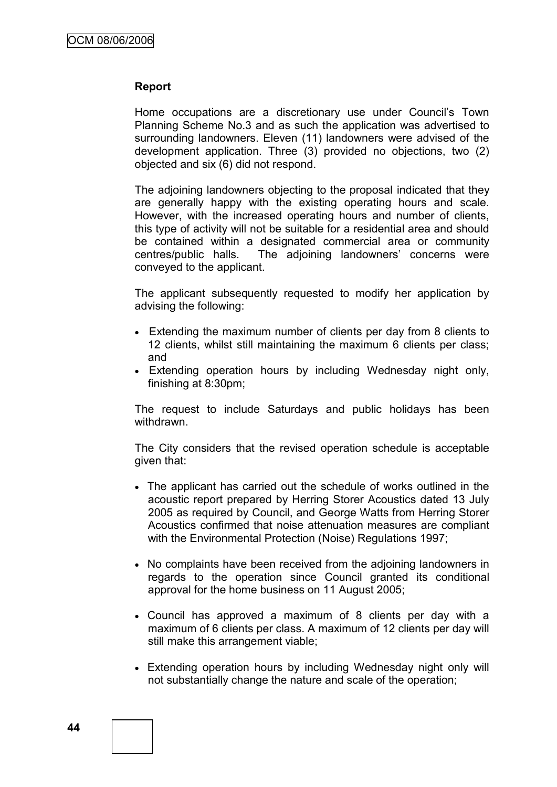### **Report**

Home occupations are a discretionary use under Council's Town Planning Scheme No.3 and as such the application was advertised to surrounding landowners. Eleven (11) landowners were advised of the development application. Three (3) provided no objections, two (2) objected and six (6) did not respond.

The adjoining landowners objecting to the proposal indicated that they are generally happy with the existing operating hours and scale. However, with the increased operating hours and number of clients, this type of activity will not be suitable for a residential area and should be contained within a designated commercial area or community centres/public halls. The adjoining landowners" concerns were conveyed to the applicant.

The applicant subsequently requested to modify her application by advising the following:

- Extending the maximum number of clients per day from 8 clients to 12 clients, whilst still maintaining the maximum 6 clients per class; and
- Extending operation hours by including Wednesday night only, finishing at 8:30pm;

The request to include Saturdays and public holidays has been withdrawn.

The City considers that the revised operation schedule is acceptable given that:

- The applicant has carried out the schedule of works outlined in the acoustic report prepared by Herring Storer Acoustics dated 13 July 2005 as required by Council, and George Watts from Herring Storer Acoustics confirmed that noise attenuation measures are compliant with the Environmental Protection (Noise) Regulations 1997;
- No complaints have been received from the adjoining landowners in regards to the operation since Council granted its conditional approval for the home business on 11 August 2005;
- Council has approved a maximum of 8 clients per day with a maximum of 6 clients per class. A maximum of 12 clients per day will still make this arrangement viable;
- Extending operation hours by including Wednesday night only will not substantially change the nature and scale of the operation;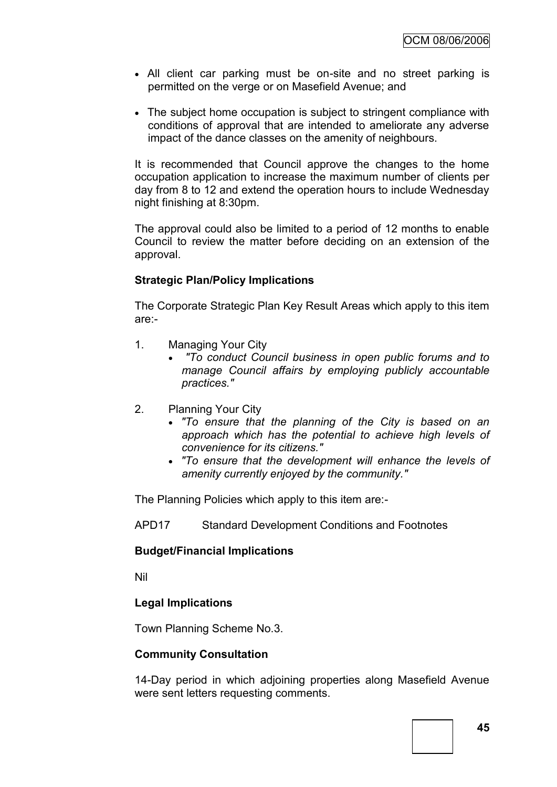- All client car parking must be on-site and no street parking is permitted on the verge or on Masefield Avenue; and
- The subject home occupation is subject to stringent compliance with conditions of approval that are intended to ameliorate any adverse impact of the dance classes on the amenity of neighbours.

It is recommended that Council approve the changes to the home occupation application to increase the maximum number of clients per day from 8 to 12 and extend the operation hours to include Wednesday night finishing at 8:30pm.

The approval could also be limited to a period of 12 months to enable Council to review the matter before deciding on an extension of the approval.

### **Strategic Plan/Policy Implications**

The Corporate Strategic Plan Key Result Areas which apply to this item are:-

- 1. Managing Your City
	- *"To conduct Council business in open public forums and to manage Council affairs by employing publicly accountable practices."*
- 2. Planning Your City
	- *"To ensure that the planning of the City is based on an approach which has the potential to achieve high levels of convenience for its citizens."*
	- *"To ensure that the development will enhance the levels of amenity currently enjoyed by the community."*

The Planning Policies which apply to this item are:-

APD17 Standard Development Conditions and Footnotes

### **Budget/Financial Implications**

Nil

### **Legal Implications**

Town Planning Scheme No.3.

### **Community Consultation**

14-Day period in which adjoining properties along Masefield Avenue were sent letters requesting comments.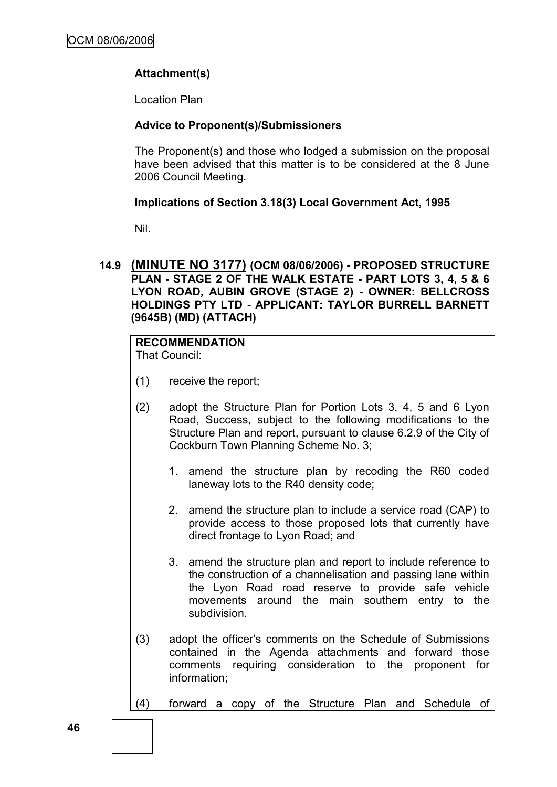# **Attachment(s)**

Location Plan

### **Advice to Proponent(s)/Submissioners**

The Proponent(s) and those who lodged a submission on the proposal have been advised that this matter is to be considered at the 8 June 2006 Council Meeting.

# **Implications of Section 3.18(3) Local Government Act, 1995**

Nil.

# **14.9 (MINUTE NO 3177) (OCM 08/06/2006) - PROPOSED STRUCTURE PLAN - STAGE 2 OF THE WALK ESTATE - PART LOTS 3, 4, 5 & 6 LYON ROAD, AUBIN GROVE (STAGE 2) - OWNER: BELLCROSS HOLDINGS PTY LTD - APPLICANT: TAYLOR BURRELL BARNETT (9645B) (MD) (ATTACH)**

# **RECOMMENDATION**

That Council:

- (1) receive the report;
- (2) adopt the Structure Plan for Portion Lots 3, 4, 5 and 6 Lyon Road, Success, subject to the following modifications to the Structure Plan and report, pursuant to clause 6.2.9 of the City of Cockburn Town Planning Scheme No. 3;
	- 1. amend the structure plan by recoding the R60 coded laneway lots to the R40 density code;
	- 2. amend the structure plan to include a service road (CAP) to provide access to those proposed lots that currently have direct frontage to Lyon Road; and
	- 3. amend the structure plan and report to include reference to the construction of a channelisation and passing lane within the Lyon Road road reserve to provide safe vehicle movements around the main southern entry to the subdivision.
- (3) adopt the officer"s comments on the Schedule of Submissions contained in the Agenda attachments and forward those comments requiring consideration to the proponent for information;
- (4) forward a copy of the Structure Plan and Schedule of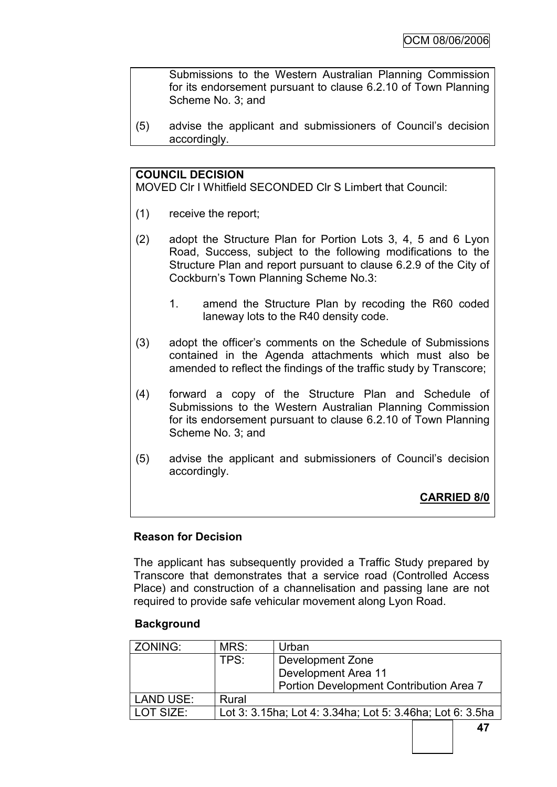Submissions to the Western Australian Planning Commission for its endorsement pursuant to clause 6.2.10 of Town Planning Scheme No. 3; and

(5) advise the applicant and submissioners of Council"s decision accordingly.

### **COUNCIL DECISION**

MOVED Clr I Whitfield SECONDED Clr S Limbert that Council:

- (1) receive the report;
- (2) adopt the Structure Plan for Portion Lots 3, 4, 5 and 6 Lyon Road, Success, subject to the following modifications to the Structure Plan and report pursuant to clause 6.2.9 of the City of Cockburn"s Town Planning Scheme No.3:
	- 1. amend the Structure Plan by recoding the R60 coded laneway lots to the R40 density code.
- (3) adopt the officer"s comments on the Schedule of Submissions contained in the Agenda attachments which must also be amended to reflect the findings of the traffic study by Transcore;
- (4) forward a copy of the Structure Plan and Schedule of Submissions to the Western Australian Planning Commission for its endorsement pursuant to clause 6.2.10 of Town Planning Scheme No. 3; and
- (5) advise the applicant and submissioners of Council"s decision accordingly.

**CARRIED 8/0**

#### **Reason for Decision**

The applicant has subsequently provided a Traffic Study prepared by Transcore that demonstrates that a service road (Controlled Access Place) and construction of a channelisation and passing lane are not required to provide safe vehicular movement along Lyon Road.

#### **Background**

| ZONING:   | MRS:                                                      | Urban                                   |  |  |
|-----------|-----------------------------------------------------------|-----------------------------------------|--|--|
|           | TPS:                                                      | Development Zone                        |  |  |
|           |                                                           | Development Area 11                     |  |  |
|           |                                                           | Portion Development Contribution Area 7 |  |  |
| LAND USE: | Rural                                                     |                                         |  |  |
| LOT SIZE: | Lot 3: 3.15ha; Lot 4: 3.34ha; Lot 5: 3.46ha; Lot 6: 3.5ha |                                         |  |  |
|           |                                                           |                                         |  |  |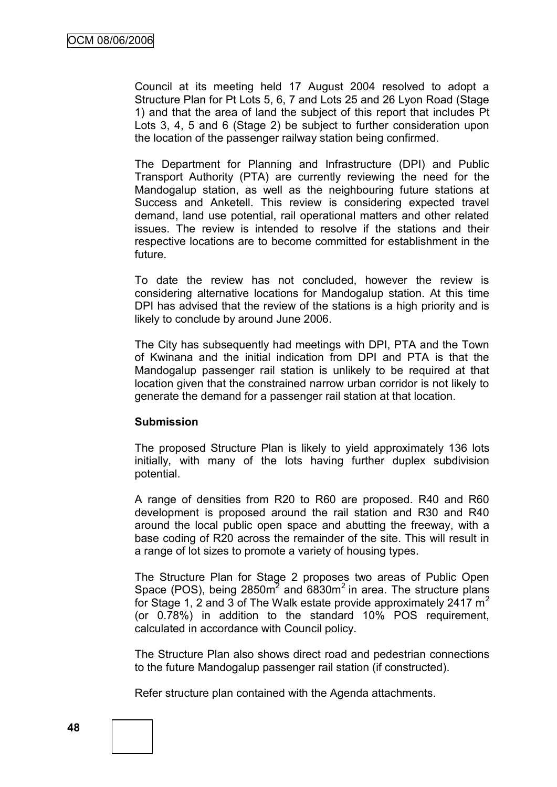Council at its meeting held 17 August 2004 resolved to adopt a Structure Plan for Pt Lots 5, 6, 7 and Lots 25 and 26 Lyon Road (Stage 1) and that the area of land the subject of this report that includes Pt Lots 3, 4, 5 and 6 (Stage 2) be subject to further consideration upon the location of the passenger railway station being confirmed.

The Department for Planning and Infrastructure (DPI) and Public Transport Authority (PTA) are currently reviewing the need for the Mandogalup station, as well as the neighbouring future stations at Success and Anketell. This review is considering expected travel demand, land use potential, rail operational matters and other related issues. The review is intended to resolve if the stations and their respective locations are to become committed for establishment in the future.

To date the review has not concluded, however the review is considering alternative locations for Mandogalup station. At this time DPI has advised that the review of the stations is a high priority and is likely to conclude by around June 2006.

The City has subsequently had meetings with DPI, PTA and the Town of Kwinana and the initial indication from DPI and PTA is that the Mandogalup passenger rail station is unlikely to be required at that location given that the constrained narrow urban corridor is not likely to generate the demand for a passenger rail station at that location.

### **Submission**

The proposed Structure Plan is likely to yield approximately 136 lots initially, with many of the lots having further duplex subdivision potential.

A range of densities from R20 to R60 are proposed. R40 and R60 development is proposed around the rail station and R30 and R40 around the local public open space and abutting the freeway, with a base coding of R20 across the remainder of the site. This will result in a range of lot sizes to promote a variety of housing types.

The Structure Plan for Stage 2 proposes two areas of Public Open Space (POS), being  $2850m^2$  and  $6830m^2$  in area. The structure plans for Stage 1, 2 and 3 of The Walk estate provide approximately 2417  $m<sup>2</sup>$ (or 0.78%) in addition to the standard 10% POS requirement, calculated in accordance with Council policy.

The Structure Plan also shows direct road and pedestrian connections to the future Mandogalup passenger rail station (if constructed).

Refer structure plan contained with the Agenda attachments.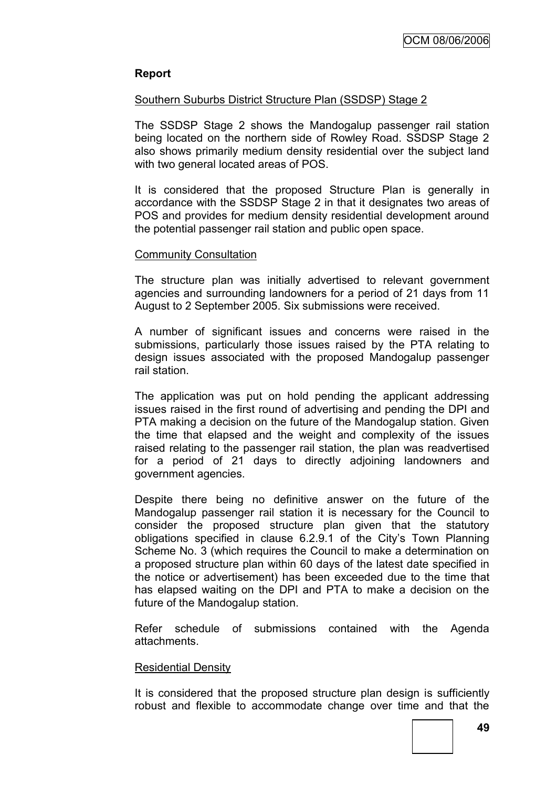# **Report**

### Southern Suburbs District Structure Plan (SSDSP) Stage 2

The SSDSP Stage 2 shows the Mandogalup passenger rail station being located on the northern side of Rowley Road. SSDSP Stage 2 also shows primarily medium density residential over the subject land with two general located areas of POS.

It is considered that the proposed Structure Plan is generally in accordance with the SSDSP Stage 2 in that it designates two areas of POS and provides for medium density residential development around the potential passenger rail station and public open space.

### Community Consultation

The structure plan was initially advertised to relevant government agencies and surrounding landowners for a period of 21 days from 11 August to 2 September 2005. Six submissions were received.

A number of significant issues and concerns were raised in the submissions, particularly those issues raised by the PTA relating to design issues associated with the proposed Mandogalup passenger rail station.

The application was put on hold pending the applicant addressing issues raised in the first round of advertising and pending the DPI and PTA making a decision on the future of the Mandogalup station. Given the time that elapsed and the weight and complexity of the issues raised relating to the passenger rail station, the plan was readvertised for a period of 21 days to directly adjoining landowners and government agencies.

Despite there being no definitive answer on the future of the Mandogalup passenger rail station it is necessary for the Council to consider the proposed structure plan given that the statutory obligations specified in clause 6.2.9.1 of the City"s Town Planning Scheme No. 3 (which requires the Council to make a determination on a proposed structure plan within 60 days of the latest date specified in the notice or advertisement) has been exceeded due to the time that has elapsed waiting on the DPI and PTA to make a decision on the future of the Mandogalup station.

Refer schedule of submissions contained with the Agenda attachments.

#### Residential Density

It is considered that the proposed structure plan design is sufficiently robust and flexible to accommodate change over time and that the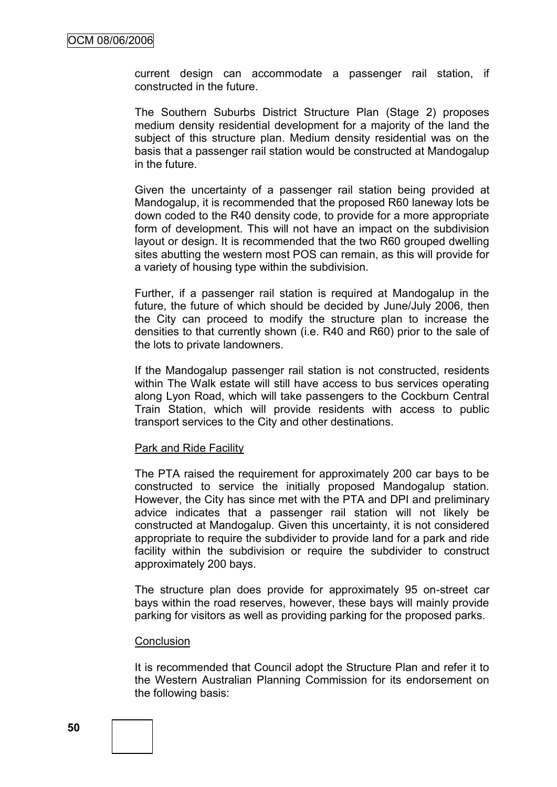current design can accommodate a passenger rail station, if constructed in the future.

The Southern Suburbs District Structure Plan (Stage 2) proposes medium density residential development for a majority of the land the subject of this structure plan. Medium density residential was on the basis that a passenger rail station would be constructed at Mandogalup in the future.

Given the uncertainty of a passenger rail station being provided at Mandogalup, it is recommended that the proposed R60 laneway lots be down coded to the R40 density code, to provide for a more appropriate form of development. This will not have an impact on the subdivision layout or design. It is recommended that the two R60 grouped dwelling sites abutting the western most POS can remain, as this will provide for a variety of housing type within the subdivision.

Further, if a passenger rail station is required at Mandogalup in the future, the future of which should be decided by June/July 2006, then the City can proceed to modify the structure plan to increase the densities to that currently shown (i.e. R40 and R60) prior to the sale of the lots to private landowners.

If the Mandogalup passenger rail station is not constructed, residents within The Walk estate will still have access to bus services operating along Lyon Road, which will take passengers to the Cockburn Central Train Station, which will provide residents with access to public transport services to the City and other destinations.

#### Park and Ride Facility

The PTA raised the requirement for approximately 200 car bays to be constructed to service the initially proposed Mandogalup station. However, the City has since met with the PTA and DPI and preliminary advice indicates that a passenger rail station will not likely be constructed at Mandogalup. Given this uncertainty, it is not considered appropriate to require the subdivider to provide land for a park and ride facility within the subdivision or require the subdivider to construct approximately 200 bays.

The structure plan does provide for approximately 95 on-street car bays within the road reserves, however, these bays will mainly provide parking for visitors as well as providing parking for the proposed parks.

#### **Conclusion**

It is recommended that Council adopt the Structure Plan and refer it to the Western Australian Planning Commission for its endorsement on the following basis: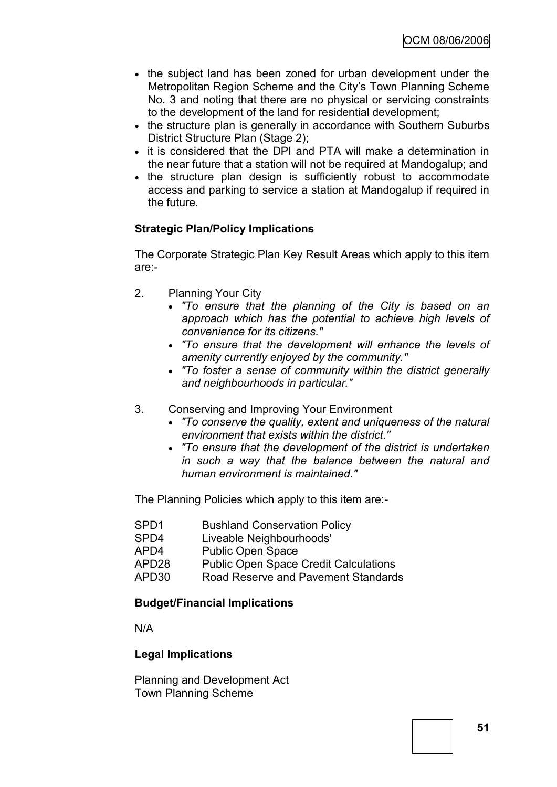- the subject land has been zoned for urban development under the Metropolitan Region Scheme and the City"s Town Planning Scheme No. 3 and noting that there are no physical or servicing constraints to the development of the land for residential development;
- the structure plan is generally in accordance with Southern Suburbs District Structure Plan (Stage 2);
- it is considered that the DPI and PTA will make a determination in the near future that a station will not be required at Mandogalup; and
- the structure plan design is sufficiently robust to accommodate access and parking to service a station at Mandogalup if required in the future.

# **Strategic Plan/Policy Implications**

The Corporate Strategic Plan Key Result Areas which apply to this item are:-

- 2. Planning Your City
	- *"To ensure that the planning of the City is based on an approach which has the potential to achieve high levels of convenience for its citizens."*
	- *"To ensure that the development will enhance the levels of amenity currently enjoyed by the community."*
	- *"To foster a sense of community within the district generally and neighbourhoods in particular."*
- 3. Conserving and Improving Your Environment
	- *"To conserve the quality, extent and uniqueness of the natural environment that exists within the district."*
	- *"To ensure that the development of the district is undertaken in such a way that the balance between the natural and human environment is maintained."*

The Planning Policies which apply to this item are:-

- SPD1 Bushland Conservation Policy
- SPD4 Liveable Neighbourhoods'
- APD4 Public Open Space
- APD28 Public Open Space Credit Calculations
- APD30 Road Reserve and Pavement Standards

### **Budget/Financial Implications**

N/A

### **Legal Implications**

Planning and Development Act Town Planning Scheme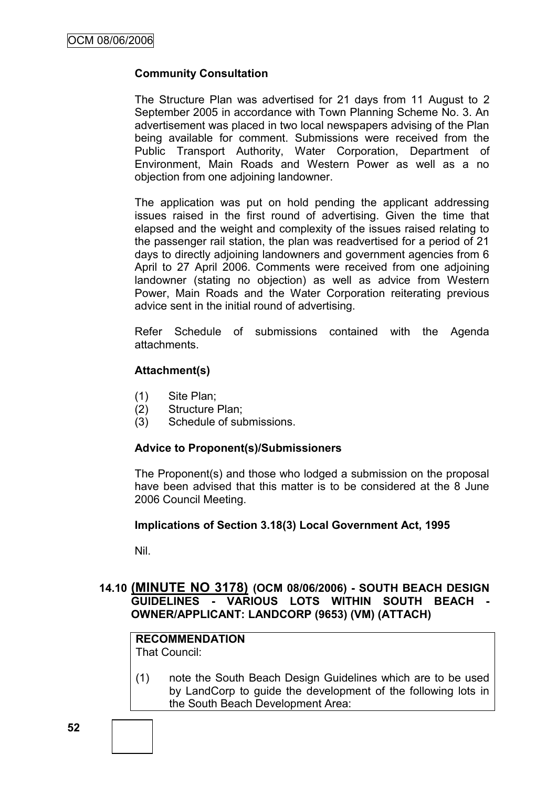### **Community Consultation**

The Structure Plan was advertised for 21 days from 11 August to 2 September 2005 in accordance with Town Planning Scheme No. 3. An advertisement was placed in two local newspapers advising of the Plan being available for comment. Submissions were received from the Public Transport Authority, Water Corporation, Department of Environment, Main Roads and Western Power as well as a no objection from one adjoining landowner.

The application was put on hold pending the applicant addressing issues raised in the first round of advertising. Given the time that elapsed and the weight and complexity of the issues raised relating to the passenger rail station, the plan was readvertised for a period of 21 days to directly adjoining landowners and government agencies from 6 April to 27 April 2006. Comments were received from one adjoining landowner (stating no objection) as well as advice from Western Power, Main Roads and the Water Corporation reiterating previous advice sent in the initial round of advertising.

Refer Schedule of submissions contained with the Agenda attachments.

### **Attachment(s)**

- (1) Site Plan;
- (2) Structure Plan;
- (3) Schedule of submissions.

### **Advice to Proponent(s)/Submissioners**

The Proponent(s) and those who lodged a submission on the proposal have been advised that this matter is to be considered at the 8 June 2006 Council Meeting.

### **Implications of Section 3.18(3) Local Government Act, 1995**

Nil.

# **14.10 (MINUTE NO 3178) (OCM 08/06/2006) - SOUTH BEACH DESIGN GUIDELINES - VARIOUS LOTS WITHIN SOUTH BEACH - OWNER/APPLICANT: LANDCORP (9653) (VM) (ATTACH)**

# **RECOMMENDATION**

That Council:

(1) note the South Beach Design Guidelines which are to be used by LandCorp to guide the development of the following lots in the South Beach Development Area: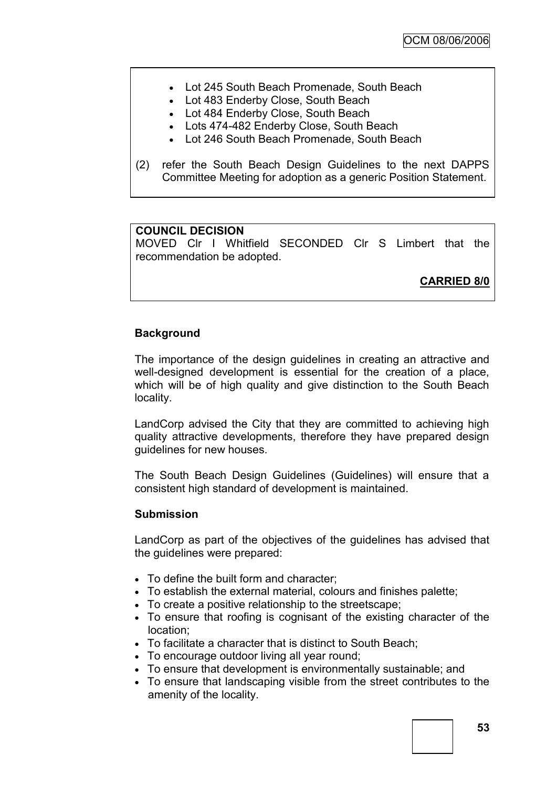- Lot 245 South Beach Promenade, South Beach
- Lot 483 Enderby Close, South Beach
- Lot 484 Enderby Close, South Beach
- Lots 474-482 Enderby Close, South Beach
- Lot 246 South Beach Promenade, South Beach
- (2) refer the South Beach Design Guidelines to the next DAPPS Committee Meeting for adoption as a generic Position Statement.

### **COUNCIL DECISION**

MOVED Clr I Whitfield SECONDED Clr S Limbert that the recommendation be adopted.

**CARRIED 8/0**

### **Background**

The importance of the design guidelines in creating an attractive and well-designed development is essential for the creation of a place, which will be of high quality and give distinction to the South Beach locality.

LandCorp advised the City that they are committed to achieving high quality attractive developments, therefore they have prepared design guidelines for new houses.

The South Beach Design Guidelines (Guidelines) will ensure that a consistent high standard of development is maintained.

#### **Submission**

LandCorp as part of the objectives of the guidelines has advised that the guidelines were prepared:

- To define the built form and character:
- To establish the external material, colours and finishes palette;
- To create a positive relationship to the streetscape;
- To ensure that roofing is cognisant of the existing character of the location;
- To facilitate a character that is distinct to South Beach;
- To encourage outdoor living all year round;
- To ensure that development is environmentally sustainable; and
- To ensure that landscaping visible from the street contributes to the amenity of the locality.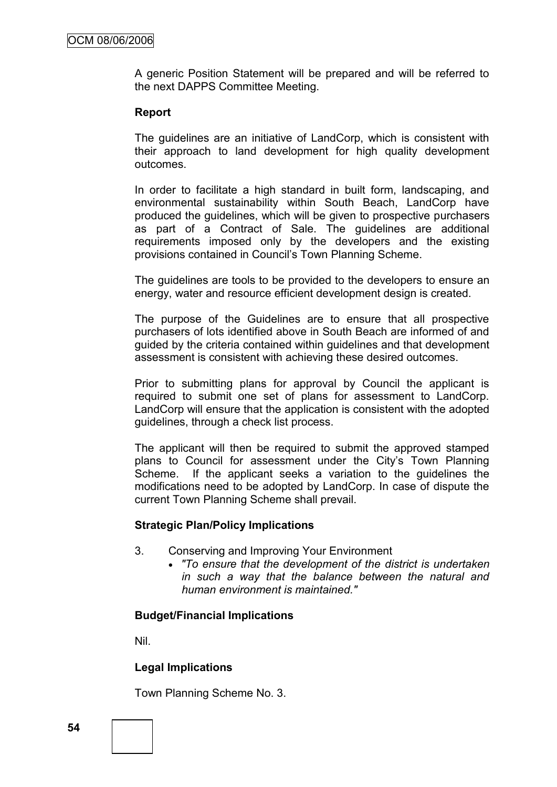A generic Position Statement will be prepared and will be referred to the next DAPPS Committee Meeting.

### **Report**

The guidelines are an initiative of LandCorp, which is consistent with their approach to land development for high quality development outcomes.

In order to facilitate a high standard in built form, landscaping, and environmental sustainability within South Beach, LandCorp have produced the guidelines, which will be given to prospective purchasers as part of a Contract of Sale. The guidelines are additional requirements imposed only by the developers and the existing provisions contained in Council"s Town Planning Scheme.

The guidelines are tools to be provided to the developers to ensure an energy, water and resource efficient development design is created.

The purpose of the Guidelines are to ensure that all prospective purchasers of lots identified above in South Beach are informed of and guided by the criteria contained within guidelines and that development assessment is consistent with achieving these desired outcomes.

Prior to submitting plans for approval by Council the applicant is required to submit one set of plans for assessment to LandCorp. LandCorp will ensure that the application is consistent with the adopted guidelines, through a check list process.

The applicant will then be required to submit the approved stamped plans to Council for assessment under the City"s Town Planning Scheme. If the applicant seeks a variation to the guidelines the modifications need to be adopted by LandCorp. In case of dispute the current Town Planning Scheme shall prevail.

### **Strategic Plan/Policy Implications**

- 3. Conserving and Improving Your Environment
	- *"To ensure that the development of the district is undertaken in such a way that the balance between the natural and human environment is maintained."*

### **Budget/Financial Implications**

Nil.

### **Legal Implications**

Town Planning Scheme No. 3.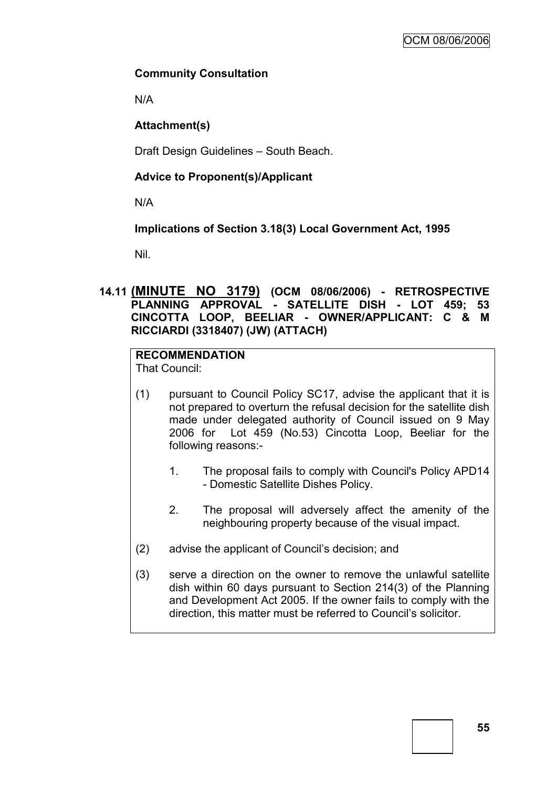# **Community Consultation**

N/A

# **Attachment(s)**

Draft Design Guidelines – South Beach.

# **Advice to Proponent(s)/Applicant**

N/A

# **Implications of Section 3.18(3) Local Government Act, 1995**

Nil.

# **14.11 (MINUTE NO 3179) (OCM 08/06/2006) - RETROSPECTIVE PLANNING APPROVAL - SATELLITE DISH - LOT 459; 53 CINCOTTA LOOP, BEELIAR - OWNER/APPLICANT: C & M RICCIARDI (3318407) (JW) (ATTACH)**

# **RECOMMENDATION**

That Council:

- (1) pursuant to Council Policy SC17, advise the applicant that it is not prepared to overturn the refusal decision for the satellite dish made under delegated authority of Council issued on 9 May 2006 for Lot 459 (No.53) Cincotta Loop, Beeliar for the following reasons:-
	- 1. The proposal fails to comply with Council's Policy APD14 - Domestic Satellite Dishes Policy.
	- 2. The proposal will adversely affect the amenity of the neighbouring property because of the visual impact.
- (2) advise the applicant of Council"s decision; and
- (3) serve a direction on the owner to remove the unlawful satellite dish within 60 days pursuant to Section 214(3) of the Planning and Development Act 2005. If the owner fails to comply with the direction, this matter must be referred to Council"s solicitor.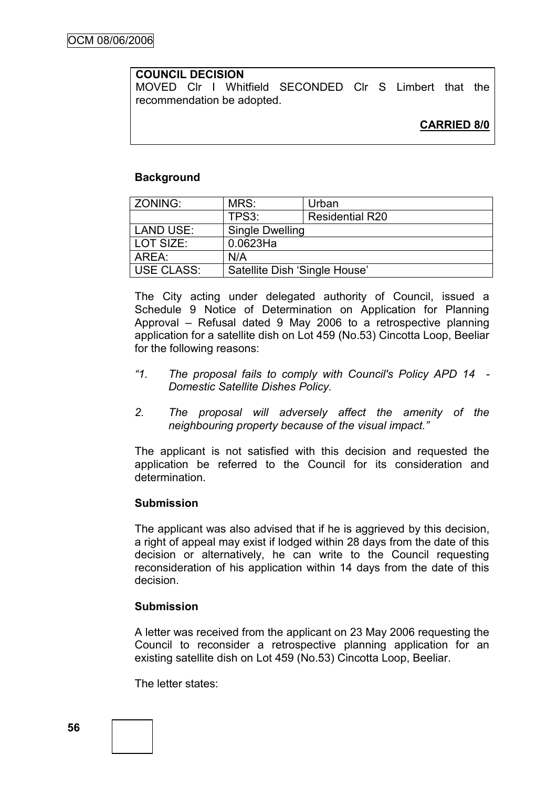### **COUNCIL DECISION**

MOVED Clr I Whitfield SECONDED Clr S Limbert that the recommendation be adopted.

### **Background**

| ZONING:           | MRS:                          | Urban                  |
|-------------------|-------------------------------|------------------------|
|                   | TPS3:                         | <b>Residential R20</b> |
| LAND USE:         | <b>Single Dwelling</b>        |                        |
| LOT SIZE:         | $0.0623$ Ha                   |                        |
| AREA:             | N/A                           |                        |
| <b>USE CLASS:</b> | Satellite Dish 'Single House' |                        |

The City acting under delegated authority of Council, issued a Schedule 9 Notice of Determination on Application for Planning Approval – Refusal dated 9 May 2006 to a retrospective planning application for a satellite dish on Lot 459 (No.53) Cincotta Loop, Beeliar for the following reasons:

- *"1. The proposal fails to comply with Council's Policy APD 14 - Domestic Satellite Dishes Policy.*
- *2. The proposal will adversely affect the amenity of the neighbouring property because of the visual impact."*

The applicant is not satisfied with this decision and requested the application be referred to the Council for its consideration and determination.

### **Submission**

The applicant was also advised that if he is aggrieved by this decision. a right of appeal may exist if lodged within 28 days from the date of this decision or alternatively, he can write to the Council requesting reconsideration of his application within 14 days from the date of this decision.

### **Submission**

A letter was received from the applicant on 23 May 2006 requesting the Council to reconsider a retrospective planning application for an existing satellite dish on Lot 459 (No.53) Cincotta Loop, Beeliar.

The letter states: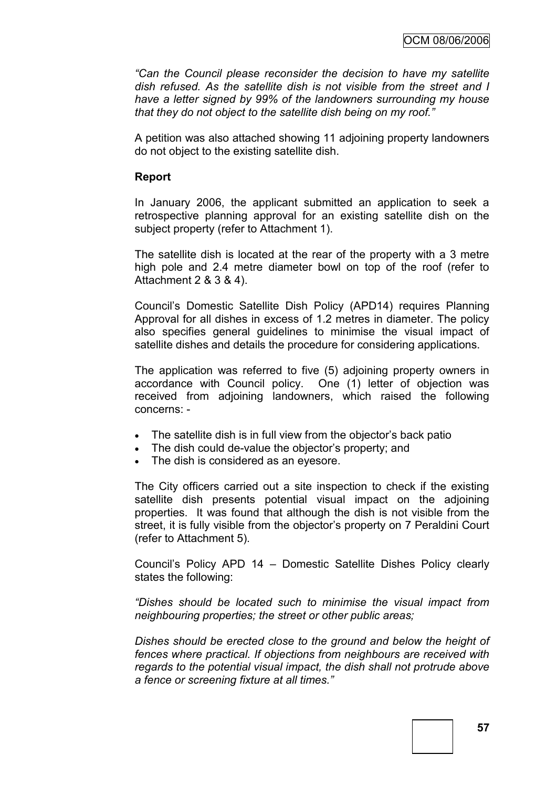*"Can the Council please reconsider the decision to have my satellite dish refused. As the satellite dish is not visible from the street and I have a letter signed by 99% of the landowners surrounding my house that they do not object to the satellite dish being on my roof."*

A petition was also attached showing 11 adjoining property landowners do not object to the existing satellite dish.

### **Report**

In January 2006, the applicant submitted an application to seek a retrospective planning approval for an existing satellite dish on the subject property (refer to Attachment 1).

The satellite dish is located at the rear of the property with a 3 metre high pole and 2.4 metre diameter bowl on top of the roof (refer to Attachment 2 & 3 & 4).

Council"s Domestic Satellite Dish Policy (APD14) requires Planning Approval for all dishes in excess of 1.2 metres in diameter. The policy also specifies general guidelines to minimise the visual impact of satellite dishes and details the procedure for considering applications.

The application was referred to five (5) adjoining property owners in accordance with Council policy. One (1) letter of objection was received from adjoining landowners, which raised the following concerns: -

- The satellite dish is in full view from the objector"s back patio
- The dish could de-value the objector's property; and
- The dish is considered as an eyesore.

The City officers carried out a site inspection to check if the existing satellite dish presents potential visual impact on the adjoining properties. It was found that although the dish is not visible from the street, it is fully visible from the objector's property on 7 Peraldini Court (refer to Attachment 5).

Council"s Policy APD 14 – Domestic Satellite Dishes Policy clearly states the following:

*"Dishes should be located such to minimise the visual impact from neighbouring properties; the street or other public areas;*

*Dishes should be erected close to the ground and below the height of fences where practical. If objections from neighbours are received with regards to the potential visual impact, the dish shall not protrude above a fence or screening fixture at all times."*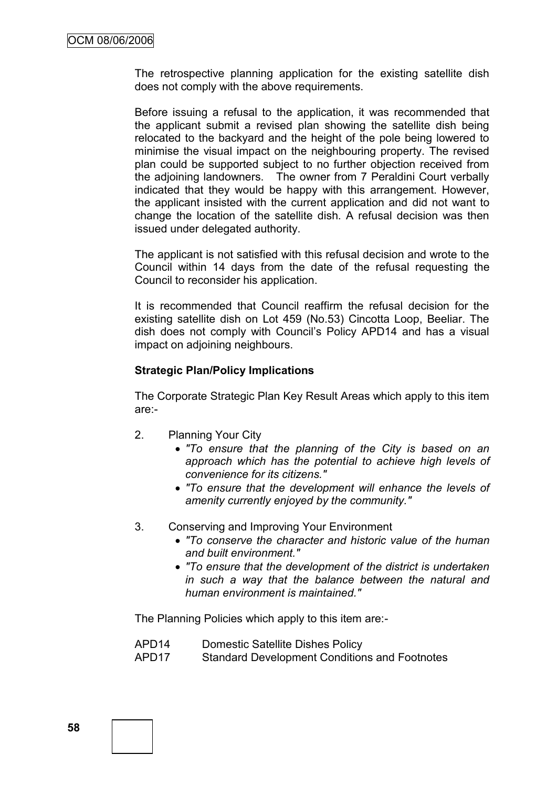The retrospective planning application for the existing satellite dish does not comply with the above requirements.

Before issuing a refusal to the application, it was recommended that the applicant submit a revised plan showing the satellite dish being relocated to the backyard and the height of the pole being lowered to minimise the visual impact on the neighbouring property. The revised plan could be supported subject to no further objection received from the adjoining landowners. The owner from 7 Peraldini Court verbally indicated that they would be happy with this arrangement. However, the applicant insisted with the current application and did not want to change the location of the satellite dish. A refusal decision was then issued under delegated authority.

The applicant is not satisfied with this refusal decision and wrote to the Council within 14 days from the date of the refusal requesting the Council to reconsider his application.

It is recommended that Council reaffirm the refusal decision for the existing satellite dish on Lot 459 (No.53) Cincotta Loop, Beeliar. The dish does not comply with Council's Policy APD14 and has a visual impact on adjoining neighbours.

### **Strategic Plan/Policy Implications**

The Corporate Strategic Plan Key Result Areas which apply to this item are:-

- 2. Planning Your City
	- *"To ensure that the planning of the City is based on an approach which has the potential to achieve high levels of convenience for its citizens."*
	- *"To ensure that the development will enhance the levels of amenity currently enjoyed by the community."*
- 3. Conserving and Improving Your Environment
	- *"To conserve the character and historic value of the human and built environment."*
	- *"To ensure that the development of the district is undertaken in such a way that the balance between the natural and human environment is maintained."*

The Planning Policies which apply to this item are:-

- APD14 Domestic Satellite Dishes Policy
- APD17 Standard Development Conditions and Footnotes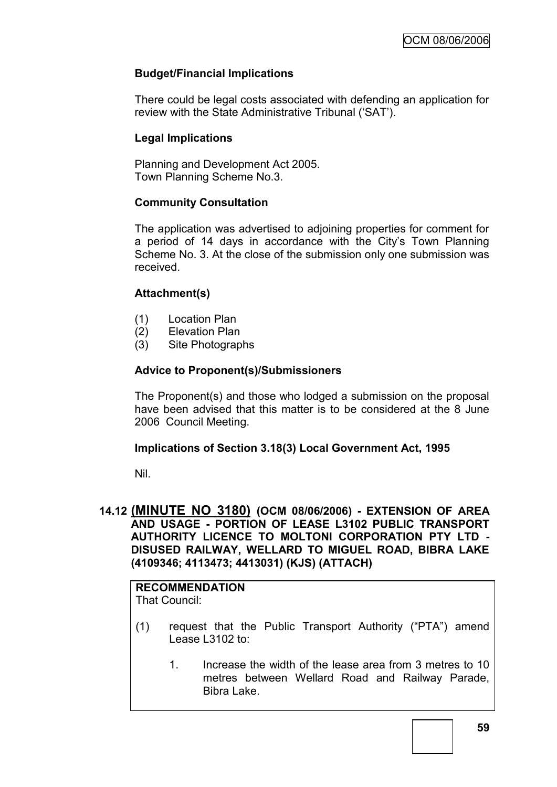# **Budget/Financial Implications**

There could be legal costs associated with defending an application for review with the State Administrative Tribunal ("SAT").

# **Legal Implications**

Planning and Development Act 2005. Town Planning Scheme No.3.

### **Community Consultation**

The application was advertised to adjoining properties for comment for a period of 14 days in accordance with the City's Town Planning Scheme No. 3. At the close of the submission only one submission was received.

# **Attachment(s)**

- (1) Location Plan
- (2) Elevation Plan
- (3) Site Photographs

### **Advice to Proponent(s)/Submissioners**

The Proponent(s) and those who lodged a submission on the proposal have been advised that this matter is to be considered at the 8 June 2006 Council Meeting.

### **Implications of Section 3.18(3) Local Government Act, 1995**

Nil.

### **14.12 (MINUTE NO 3180) (OCM 08/06/2006) - EXTENSION OF AREA AND USAGE - PORTION OF LEASE L3102 PUBLIC TRANSPORT AUTHORITY LICENCE TO MOLTONI CORPORATION PTY LTD - DISUSED RAILWAY, WELLARD TO MIGUEL ROAD, BIBRA LAKE (4109346; 4113473; 4413031) (KJS) (ATTACH)**

#### **RECOMMENDATION** That Council:

- (1) request that the Public Transport Authority ("PTA") amend Lease L3102 to:
	- 1. Increase the width of the lease area from 3 metres to 10 metres between Wellard Road and Railway Parade, Bibra Lake.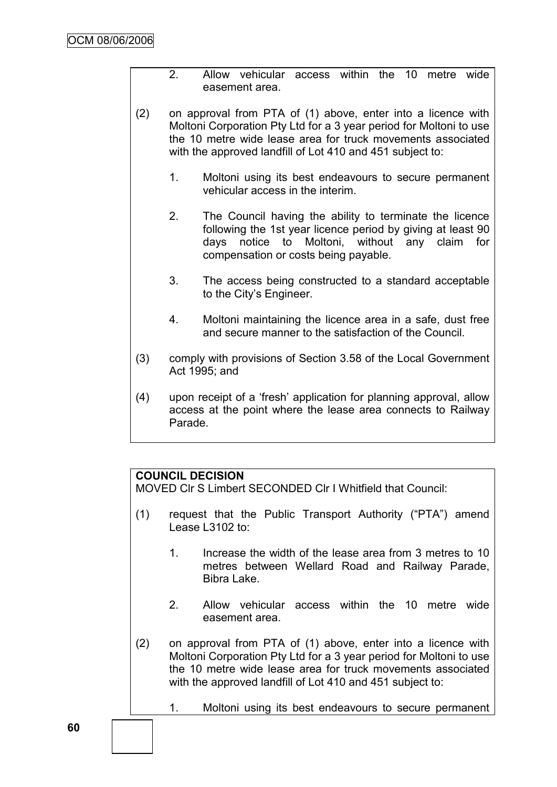- 2. Allow vehicular access within the 10 metre wide easement area.
- (2) on approval from PTA of (1) above, enter into a licence with Moltoni Corporation Pty Ltd for a 3 year period for Moltoni to use the 10 metre wide lease area for truck movements associated with the approved landfill of Lot 410 and 451 subject to:
	- 1. Moltoni using its best endeavours to secure permanent vehicular access in the interim.
	- 2. The Council having the ability to terminate the licence following the 1st year licence period by giving at least 90 days notice to Moltoni, without any claim for compensation or costs being payable.
	- 3. The access being constructed to a standard acceptable to the City"s Engineer.
	- 4. Moltoni maintaining the licence area in a safe, dust free and secure manner to the satisfaction of the Council.
- (3) comply with provisions of Section 3.58 of the Local Government Act 1995; and
- (4) upon receipt of a "fresh" application for planning approval, allow access at the point where the lease area connects to Railway Parade.

# **COUNCIL DECISION**

MOVED Clr S Limbert SECONDED Clr I Whitfield that Council:

- (1) request that the Public Transport Authority ("PTA") amend Lease L3102 to:
	- 1. Increase the width of the lease area from 3 metres to 10 metres between Wellard Road and Railway Parade, Bibra Lake.
	- 2. Allow vehicular access within the 10 metre wide easement area.
- (2) on approval from PTA of (1) above, enter into a licence with Moltoni Corporation Pty Ltd for a 3 year period for Moltoni to use the 10 metre wide lease area for truck movements associated with the approved landfill of Lot 410 and 451 subject to:
	- 1. Moltoni using its best endeavours to secure permanent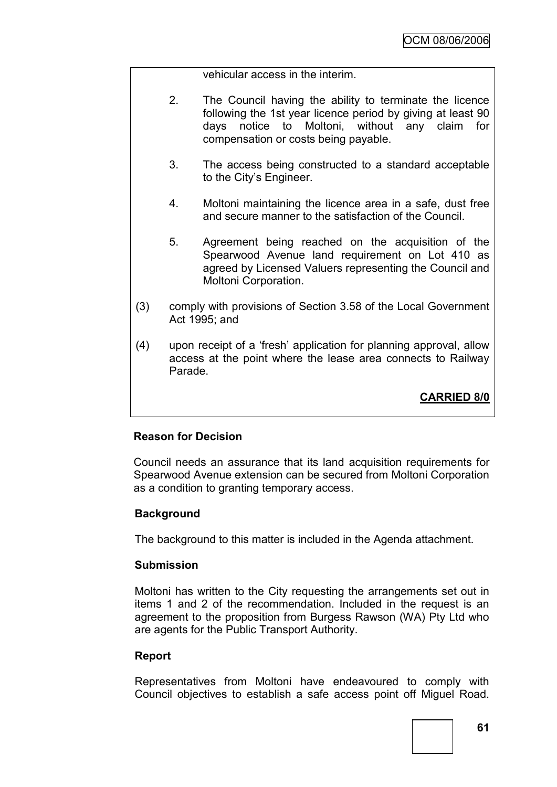vehicular access in the interim.

- 2. The Council having the ability to terminate the licence following the 1st year licence period by giving at least 90 days notice to Moltoni, without any claim for compensation or costs being payable.
- 3. The access being constructed to a standard acceptable to the City"s Engineer.
- 4. Moltoni maintaining the licence area in a safe, dust free and secure manner to the satisfaction of the Council.
- 5. Agreement being reached on the acquisition of the Spearwood Avenue land requirement on Lot 410 as agreed by Licensed Valuers representing the Council and Moltoni Corporation.
- (3) comply with provisions of Section 3.58 of the Local Government Act 1995; and
- (4) upon receipt of a "fresh" application for planning approval, allow access at the point where the lease area connects to Railway Parade.

**CARRIED 8/0**

### **Reason for Decision**

Council needs an assurance that its land acquisition requirements for Spearwood Avenue extension can be secured from Moltoni Corporation as a condition to granting temporary access.

### **Background**

The background to this matter is included in the Agenda attachment.

### **Submission**

Moltoni has written to the City requesting the arrangements set out in items 1 and 2 of the recommendation. Included in the request is an agreement to the proposition from Burgess Rawson (WA) Pty Ltd who are agents for the Public Transport Authority.

### **Report**

Representatives from Moltoni have endeavoured to comply with Council objectives to establish a safe access point off Miguel Road.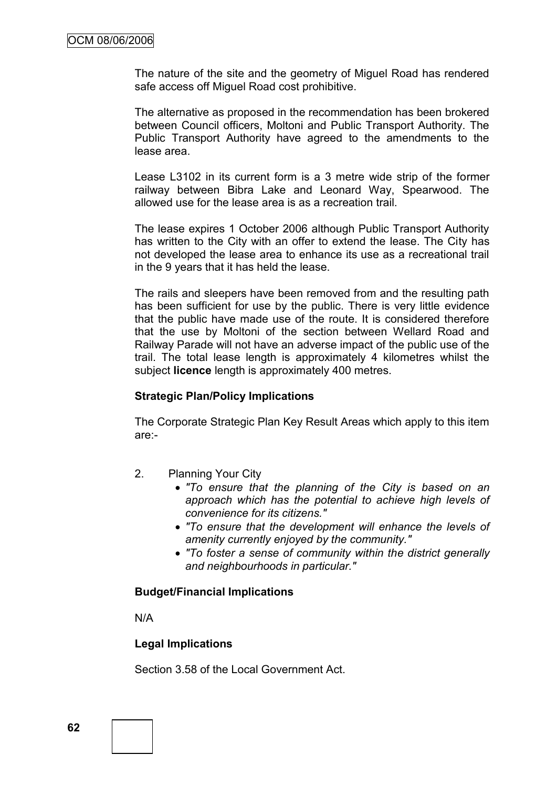The nature of the site and the geometry of Miguel Road has rendered safe access off Miguel Road cost prohibitive.

The alternative as proposed in the recommendation has been brokered between Council officers, Moltoni and Public Transport Authority. The Public Transport Authority have agreed to the amendments to the lease area.

Lease L3102 in its current form is a 3 metre wide strip of the former railway between Bibra Lake and Leonard Way, Spearwood. The allowed use for the lease area is as a recreation trail.

The lease expires 1 October 2006 although Public Transport Authority has written to the City with an offer to extend the lease. The City has not developed the lease area to enhance its use as a recreational trail in the 9 years that it has held the lease.

The rails and sleepers have been removed from and the resulting path has been sufficient for use by the public. There is very little evidence that the public have made use of the route. It is considered therefore that the use by Moltoni of the section between Wellard Road and Railway Parade will not have an adverse impact of the public use of the trail. The total lease length is approximately 4 kilometres whilst the subject **licence** length is approximately 400 metres.

### **Strategic Plan/Policy Implications**

The Corporate Strategic Plan Key Result Areas which apply to this item are:-

- 2. Planning Your City
	- *"To ensure that the planning of the City is based on an approach which has the potential to achieve high levels of convenience for its citizens."*
	- *"To ensure that the development will enhance the levels of amenity currently enjoyed by the community."*
	- *"To foster a sense of community within the district generally and neighbourhoods in particular."*

#### **Budget/Financial Implications**

N/A

### **Legal Implications**

Section 3.58 of the Local Government Act.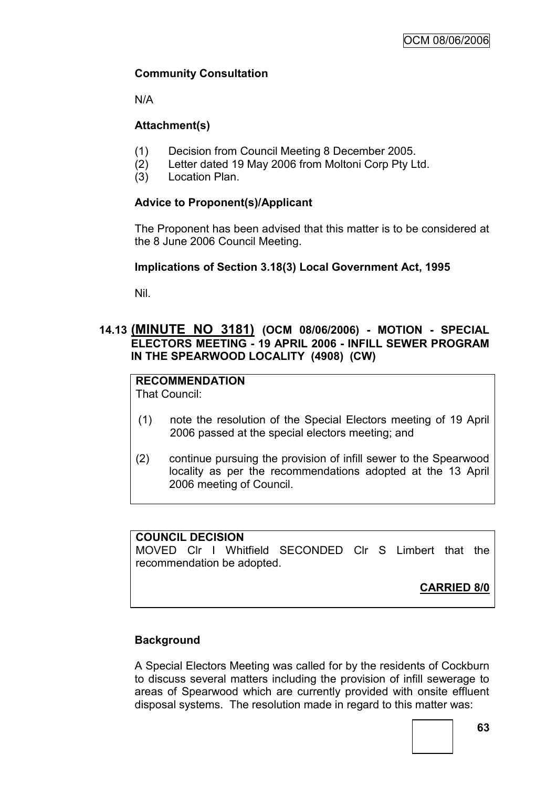# **Community Consultation**

N/A

# **Attachment(s)**

- (1) Decision from Council Meeting 8 December 2005.
- (2) Letter dated 19 May 2006 from Moltoni Corp Pty Ltd.
- (3) Location Plan.

# **Advice to Proponent(s)/Applicant**

The Proponent has been advised that this matter is to be considered at the 8 June 2006 Council Meeting.

# **Implications of Section 3.18(3) Local Government Act, 1995**

Nil.

# **14.13 (MINUTE NO 3181) (OCM 08/06/2006) - MOTION - SPECIAL ELECTORS MEETING - 19 APRIL 2006 - INFILL SEWER PROGRAM IN THE SPEARWOOD LOCALITY (4908) (CW)**

# **RECOMMENDATION**

That Council:

- (1) note the resolution of the Special Electors meeting of 19 April 2006 passed at the special electors meeting; and
- (2) continue pursuing the provision of infill sewer to the Spearwood locality as per the recommendations adopted at the 13 April 2006 meeting of Council.

### **COUNCIL DECISION**

MOVED Clr I Whitfield SECONDED Clr S Limbert that the recommendation be adopted.

**CARRIED 8/0**

# **Background**

A Special Electors Meeting was called for by the residents of Cockburn to discuss several matters including the provision of infill sewerage to areas of Spearwood which are currently provided with onsite effluent disposal systems. The resolution made in regard to this matter was: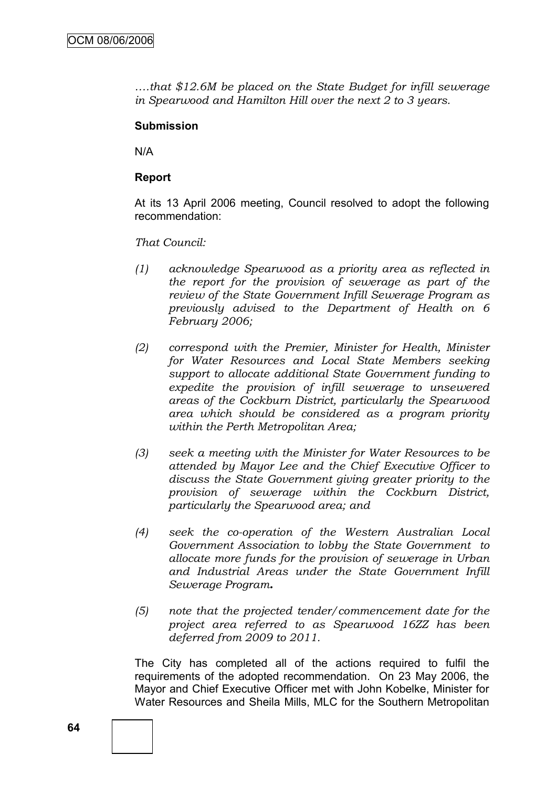*….that \$12.6M be placed on the State Budget for infill sewerage in Spearwood and Hamilton Hill over the next 2 to 3 years.*

### **Submission**

N/A

### **Report**

At its 13 April 2006 meeting, Council resolved to adopt the following recommendation:

*That Council:*

- *(1) acknowledge Spearwood as a priority area as reflected in the report for the provision of sewerage as part of the review of the State Government Infill Sewerage Program as previously advised to the Department of Health on 6 February 2006;*
- *(2) correspond with the Premier, Minister for Health, Minister for Water Resources and Local State Members seeking support to allocate additional State Government funding to expedite the provision of infill sewerage to unsewered areas of the Cockburn District, particularly the Spearwood area which should be considered as a program priority within the Perth Metropolitan Area;*
- *(3) seek a meeting with the Minister for Water Resources to be attended by Mayor Lee and the Chief Executive Officer to discuss the State Government giving greater priority to the provision of sewerage within the Cockburn District, particularly the Spearwood area; and*
- *(4) seek the co-operation of the Western Australian Local Government Association to lobby the State Government to allocate more funds for the provision of sewerage in Urban and Industrial Areas under the State Government Infill Sewerage Program.*
- *(5) note that the projected tender/commencement date for the project area referred to as Spearwood 16ZZ has been deferred from 2009 to 2011.*

The City has completed all of the actions required to fulfil the requirements of the adopted recommendation. On 23 May 2006, the Mayor and Chief Executive Officer met with John Kobelke, Minister for Water Resources and Sheila Mills, MLC for the Southern Metropolitan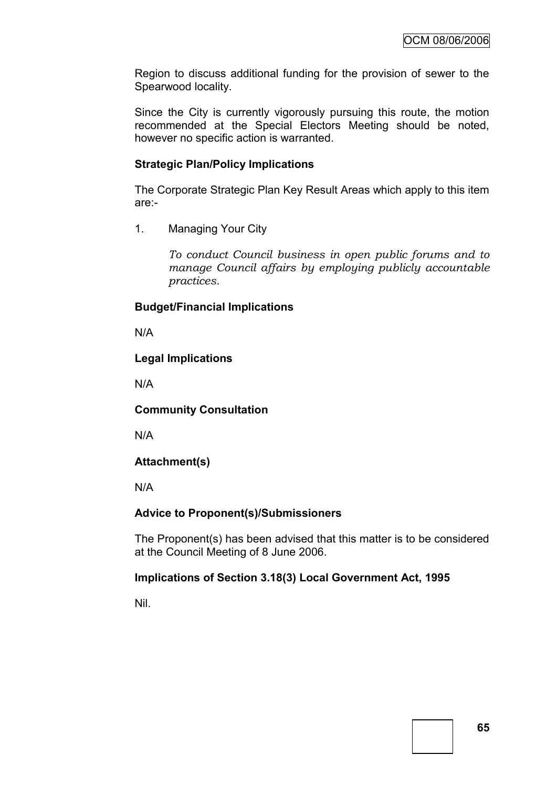Region to discuss additional funding for the provision of sewer to the Spearwood locality.

Since the City is currently vigorously pursuing this route, the motion recommended at the Special Electors Meeting should be noted, however no specific action is warranted.

### **Strategic Plan/Policy Implications**

The Corporate Strategic Plan Key Result Areas which apply to this item are:-

1. Managing Your City

*To conduct Council business in open public forums and to manage Council affairs by employing publicly accountable practices.*

# **Budget/Financial Implications**

N/A

# **Legal Implications**

N/A

### **Community Consultation**

N/A

# **Attachment(s)**

N/A

### **Advice to Proponent(s)/Submissioners**

The Proponent(s) has been advised that this matter is to be considered at the Council Meeting of 8 June 2006.

### **Implications of Section 3.18(3) Local Government Act, 1995**

Nil.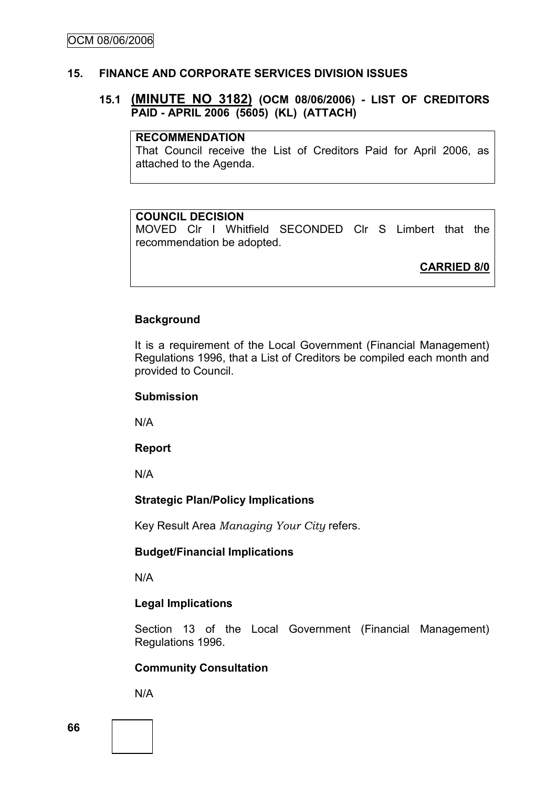### **15. FINANCE AND CORPORATE SERVICES DIVISION ISSUES**

### **15.1 (MINUTE NO 3182) (OCM 08/06/2006) - LIST OF CREDITORS PAID - APRIL 2006 (5605) (KL) (ATTACH)**

#### **RECOMMENDATION**

That Council receive the List of Creditors Paid for April 2006, as attached to the Agenda.

### **COUNCIL DECISION**

MOVED Clr I Whitfield SECONDED Clr S Limbert that the recommendation be adopted.

**CARRIED 8/0**

### **Background**

It is a requirement of the Local Government (Financial Management) Regulations 1996, that a List of Creditors be compiled each month and provided to Council.

#### **Submission**

N/A

#### **Report**

N/A

### **Strategic Plan/Policy Implications**

Key Result Area *Managing Your City* refers.

#### **Budget/Financial Implications**

N/A

### **Legal Implications**

Section 13 of the Local Government (Financial Management) Regulations 1996.

### **Community Consultation**

N/A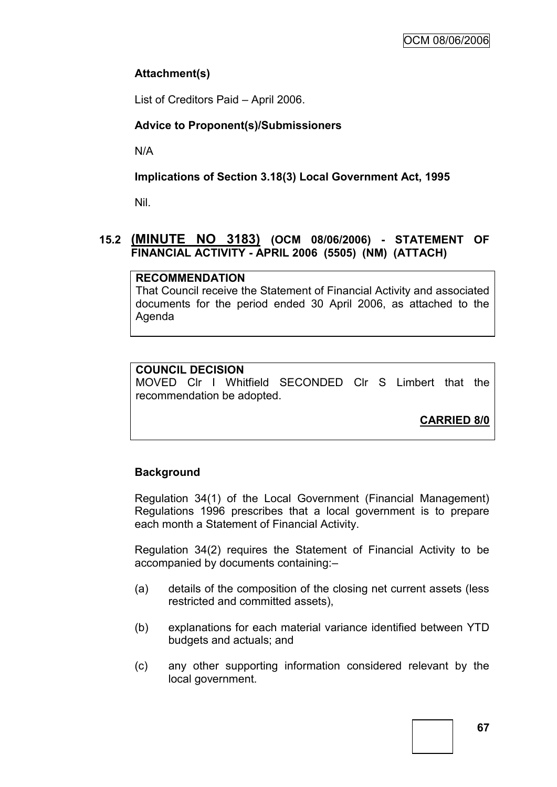# **Attachment(s)**

List of Creditors Paid – April 2006.

# **Advice to Proponent(s)/Submissioners**

N/A

# **Implications of Section 3.18(3) Local Government Act, 1995**

Nil.

# **15.2 (MINUTE NO 3183) (OCM 08/06/2006) - STATEMENT OF FINANCIAL ACTIVITY - APRIL 2006 (5505) (NM) (ATTACH)**

# **RECOMMENDATION**

That Council receive the Statement of Financial Activity and associated documents for the period ended 30 April 2006, as attached to the Agenda

# **COUNCIL DECISION**

MOVED Clr I Whitfield SECONDED Clr S Limbert that the recommendation be adopted.

**CARRIED 8/0**

# **Background**

Regulation 34(1) of the Local Government (Financial Management) Regulations 1996 prescribes that a local government is to prepare each month a Statement of Financial Activity.

Regulation 34(2) requires the Statement of Financial Activity to be accompanied by documents containing:–

- (a) details of the composition of the closing net current assets (less restricted and committed assets),
- (b) explanations for each material variance identified between YTD budgets and actuals; and
- (c) any other supporting information considered relevant by the local government.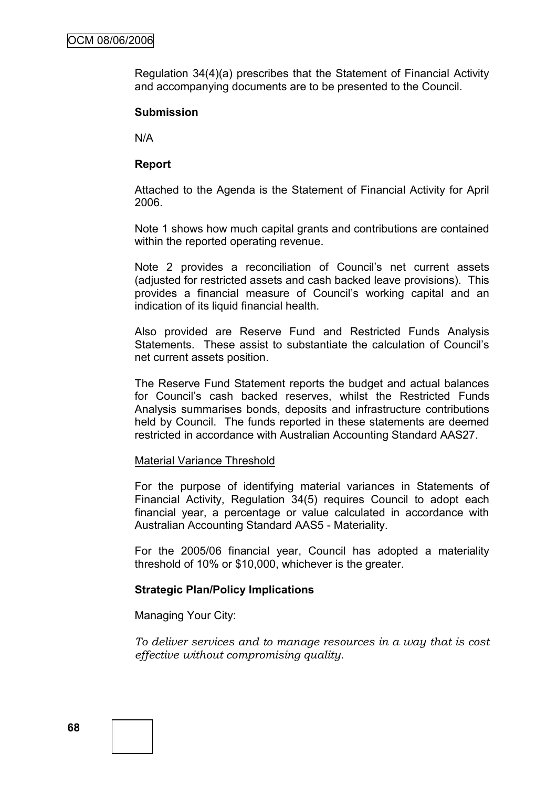Regulation 34(4)(a) prescribes that the Statement of Financial Activity and accompanying documents are to be presented to the Council.

### **Submission**

N/A

### **Report**

Attached to the Agenda is the Statement of Financial Activity for April 2006.

Note 1 shows how much capital grants and contributions are contained within the reported operating revenue.

Note 2 provides a reconciliation of Council's net current assets (adjusted for restricted assets and cash backed leave provisions). This provides a financial measure of Council"s working capital and an indication of its liquid financial health.

Also provided are Reserve Fund and Restricted Funds Analysis Statements. These assist to substantiate the calculation of Council"s net current assets position.

The Reserve Fund Statement reports the budget and actual balances for Council"s cash backed reserves, whilst the Restricted Funds Analysis summarises bonds, deposits and infrastructure contributions held by Council. The funds reported in these statements are deemed restricted in accordance with Australian Accounting Standard AAS27.

#### Material Variance Threshold

For the purpose of identifying material variances in Statements of Financial Activity, Regulation 34(5) requires Council to adopt each financial year, a percentage or value calculated in accordance with Australian Accounting Standard AAS5 - Materiality.

For the 2005/06 financial year, Council has adopted a materiality threshold of 10% or \$10,000, whichever is the greater.

#### **Strategic Plan/Policy Implications**

Managing Your City:

*To deliver services and to manage resources in a way that is cost effective without compromising quality.*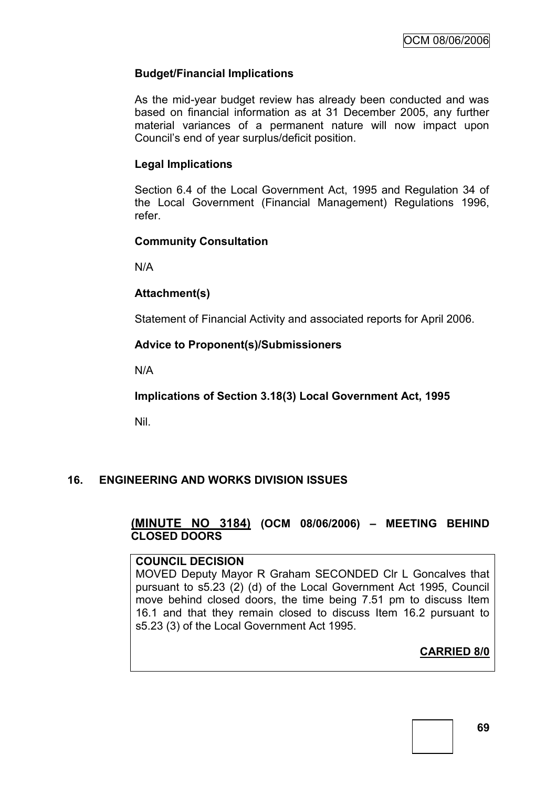#### **Budget/Financial Implications**

As the mid-year budget review has already been conducted and was based on financial information as at 31 December 2005, any further material variances of a permanent nature will now impact upon Council"s end of year surplus/deficit position.

#### **Legal Implications**

Section 6.4 of the Local Government Act, 1995 and Regulation 34 of the Local Government (Financial Management) Regulations 1996, refer.

#### **Community Consultation**

N/A

#### **Attachment(s)**

Statement of Financial Activity and associated reports for April 2006.

#### **Advice to Proponent(s)/Submissioners**

N/A

**Implications of Section 3.18(3) Local Government Act, 1995**

Nil.

### **16. ENGINEERING AND WORKS DIVISION ISSUES**

### **(MINUTE NO 3184) (OCM 08/06/2006) – MEETING BEHIND CLOSED DOORS**

#### **COUNCIL DECISION**

MOVED Deputy Mayor R Graham SECONDED Clr L Goncalves that pursuant to s5.23 (2) (d) of the Local Government Act 1995, Council move behind closed doors, the time being 7.51 pm to discuss Item 16.1 and that they remain closed to discuss Item 16.2 pursuant to s5.23 (3) of the Local Government Act 1995.

**CARRIED 8/0**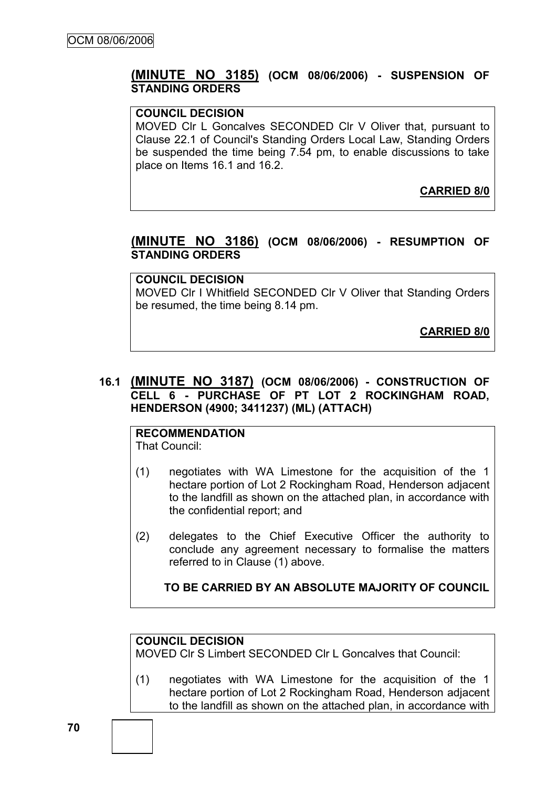### **(MINUTE NO 3185) (OCM 08/06/2006) - SUSPENSION OF STANDING ORDERS**

#### **COUNCIL DECISION**

MOVED Clr L Goncalves SECONDED Clr V Oliver that, pursuant to Clause 22.1 of Council's Standing Orders Local Law, Standing Orders be suspended the time being 7.54 pm, to enable discussions to take place on Items 16.1 and 16.2.

**CARRIED 8/0**

#### **(MINUTE NO 3186) (OCM 08/06/2006) - RESUMPTION OF STANDING ORDERS**

#### **COUNCIL DECISION**

MOVED Clr I Whitfield SECONDED Clr V Oliver that Standing Orders be resumed, the time being 8.14 pm.

**CARRIED 8/0**

### **16.1 (MINUTE NO 3187) (OCM 08/06/2006) - CONSTRUCTION OF CELL 6 - PURCHASE OF PT LOT 2 ROCKINGHAM ROAD, HENDERSON (4900; 3411237) (ML) (ATTACH)**

#### **RECOMMENDATION** That Council:

- (1) negotiates with WA Limestone for the acquisition of the 1 hectare portion of Lot 2 Rockingham Road, Henderson adjacent to the landfill as shown on the attached plan, in accordance with the confidential report; and
- (2) delegates to the Chief Executive Officer the authority to conclude any agreement necessary to formalise the matters referred to in Clause (1) above.

#### **TO BE CARRIED BY AN ABSOLUTE MAJORITY OF COUNCIL**

#### **COUNCIL DECISION**

MOVED Clr S Limbert SECONDED Clr L Goncalves that Council:

(1) negotiates with WA Limestone for the acquisition of the 1 hectare portion of Lot 2 Rockingham Road, Henderson adjacent to the landfill as shown on the attached plan, in accordance with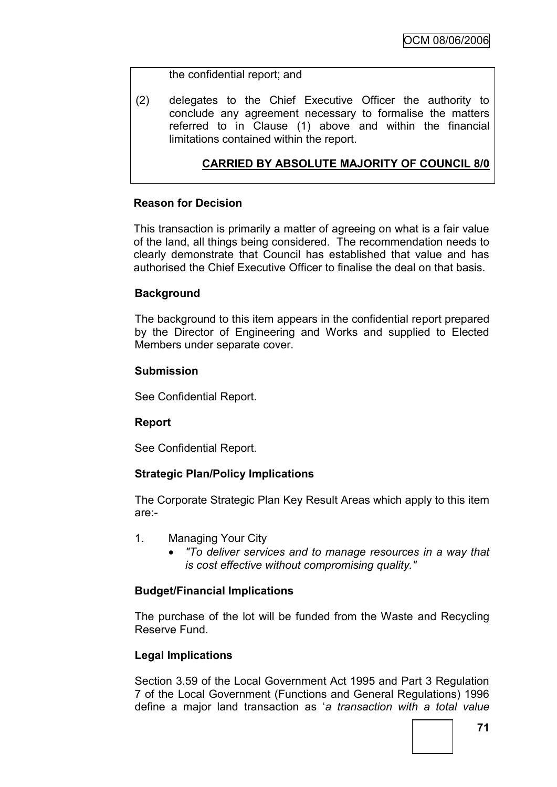#### the confidential report; and

(2) delegates to the Chief Executive Officer the authority to conclude any agreement necessary to formalise the matters referred to in Clause (1) above and within the financial limitations contained within the report.

### **CARRIED BY ABSOLUTE MAJORITY OF COUNCIL 8/0**

#### **Reason for Decision**

This transaction is primarily a matter of agreeing on what is a fair value of the land, all things being considered. The recommendation needs to clearly demonstrate that Council has established that value and has authorised the Chief Executive Officer to finalise the deal on that basis.

#### **Background**

The background to this item appears in the confidential report prepared by the Director of Engineering and Works and supplied to Elected Members under separate cover.

#### **Submission**

See Confidential Report.

#### **Report**

See Confidential Report.

#### **Strategic Plan/Policy Implications**

The Corporate Strategic Plan Key Result Areas which apply to this item are:-

- 1. Managing Your City
	- *"To deliver services and to manage resources in a way that is cost effective without compromising quality."*

#### **Budget/Financial Implications**

The purchase of the lot will be funded from the Waste and Recycling Reserve Fund.

#### **Legal Implications**

Section 3.59 of the Local Government Act 1995 and Part 3 Regulation 7 of the Local Government (Functions and General Regulations) 1996 define a major land transaction as "*a transaction with a total value*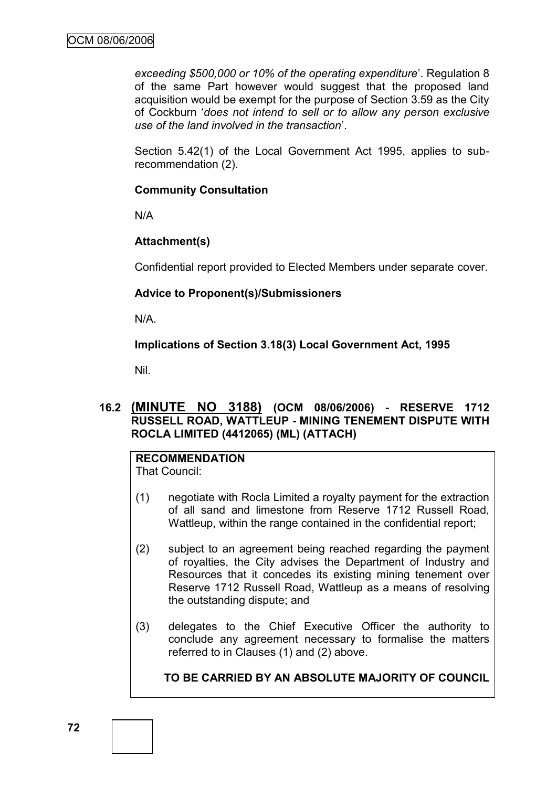*exceeding \$500,000 or 10% of the operating expenditure*". Regulation 8 of the same Part however would suggest that the proposed land acquisition would be exempt for the purpose of Section 3.59 as the City of Cockburn "*does not intend to sell or to allow any person exclusive use of the land involved in the transaction*".

Section 5.42(1) of the Local Government Act 1995, applies to subrecommendation (2).

### **Community Consultation**

N/A

### **Attachment(s)**

Confidential report provided to Elected Members under separate cover.

### **Advice to Proponent(s)/Submissioners**

N/A.

**Implications of Section 3.18(3) Local Government Act, 1995**

Nil.

### **16.2 (MINUTE NO 3188) (OCM 08/06/2006) - RESERVE 1712 RUSSELL ROAD, WATTLEUP - MINING TENEMENT DISPUTE WITH ROCLA LIMITED (4412065) (ML) (ATTACH)**

# **RECOMMENDATION**

That Council:

- (1) negotiate with Rocla Limited a royalty payment for the extraction of all sand and limestone from Reserve 1712 Russell Road, Wattleup, within the range contained in the confidential report;
- (2) subject to an agreement being reached regarding the payment of royalties, the City advises the Department of Industry and Resources that it concedes its existing mining tenement over Reserve 1712 Russell Road, Wattleup as a means of resolving the outstanding dispute; and
- (3) delegates to the Chief Executive Officer the authority to conclude any agreement necessary to formalise the matters referred to in Clauses (1) and (2) above.

### **TO BE CARRIED BY AN ABSOLUTE MAJORITY OF COUNCIL**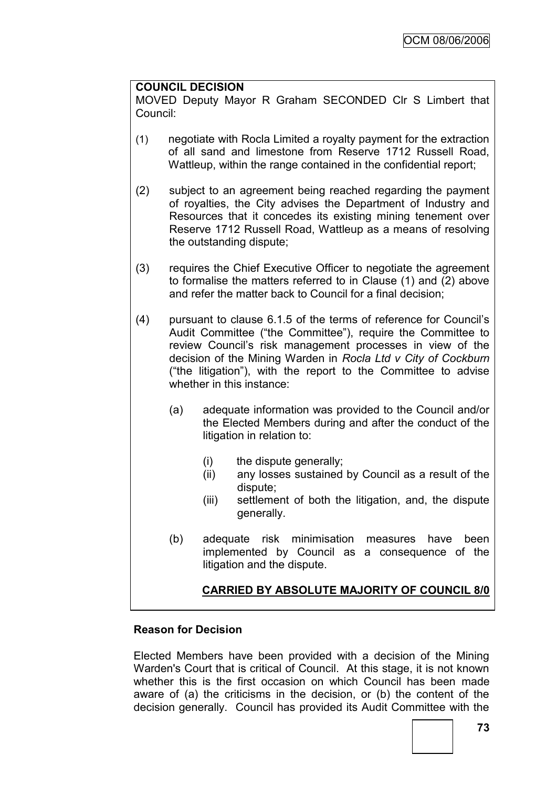### **COUNCIL DECISION**

MOVED Deputy Mayor R Graham SECONDED Clr S Limbert that Council:

- (1) negotiate with Rocla Limited a royalty payment for the extraction of all sand and limestone from Reserve 1712 Russell Road, Wattleup, within the range contained in the confidential report;
- (2) subject to an agreement being reached regarding the payment of royalties, the City advises the Department of Industry and Resources that it concedes its existing mining tenement over Reserve 1712 Russell Road, Wattleup as a means of resolving the outstanding dispute;
- (3) requires the Chief Executive Officer to negotiate the agreement to formalise the matters referred to in Clause (1) and (2) above and refer the matter back to Council for a final decision;
- (4) pursuant to clause 6.1.5 of the terms of reference for Council"s Audit Committee ("the Committee"), require the Committee to review Council"s risk management processes in view of the decision of the Mining Warden in *Rocla Ltd v City of Cockburn* ("the litigation"), with the report to the Committee to advise whether in this instance:
	- (a) adequate information was provided to the Council and/or the Elected Members during and after the conduct of the litigation in relation to:
		- (i) the dispute generally;
		- (ii) any losses sustained by Council as a result of the dispute;
		- (iii) settlement of both the litigation, and, the dispute generally.
	- (b) adequate risk minimisation measures have been implemented by Council as a consequence of the litigation and the dispute.

### **CARRIED BY ABSOLUTE MAJORITY OF COUNCIL 8/0**

#### **Reason for Decision**

Elected Members have been provided with a decision of the Mining Warden's Court that is critical of Council. At this stage, it is not known whether this is the first occasion on which Council has been made aware of (a) the criticisms in the decision, or (b) the content of the decision generally. Council has provided its Audit Committee with the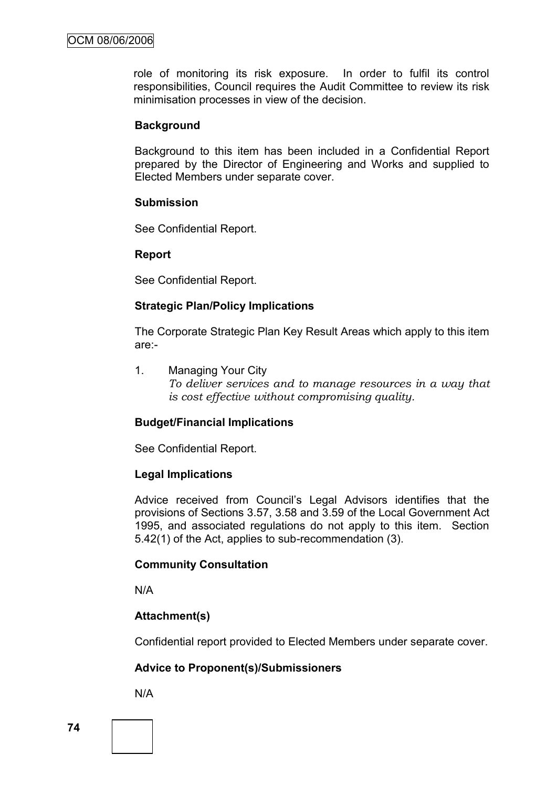role of monitoring its risk exposure. In order to fulfil its control responsibilities, Council requires the Audit Committee to review its risk minimisation processes in view of the decision.

#### **Background**

Background to this item has been included in a Confidential Report prepared by the Director of Engineering and Works and supplied to Elected Members under separate cover.

#### **Submission**

See Confidential Report.

#### **Report**

See Confidential Report.

#### **Strategic Plan/Policy Implications**

The Corporate Strategic Plan Key Result Areas which apply to this item are:-

1. Managing Your City *To deliver services and to manage resources in a way that is cost effective without compromising quality.*

#### **Budget/Financial Implications**

See Confidential Report.

#### **Legal Implications**

Advice received from Council"s Legal Advisors identifies that the provisions of Sections 3.57, 3.58 and 3.59 of the Local Government Act 1995, and associated regulations do not apply to this item. Section 5.42(1) of the Act, applies to sub-recommendation (3).

#### **Community Consultation**

N/A

#### **Attachment(s)**

Confidential report provided to Elected Members under separate cover.

#### **Advice to Proponent(s)/Submissioners**

N/A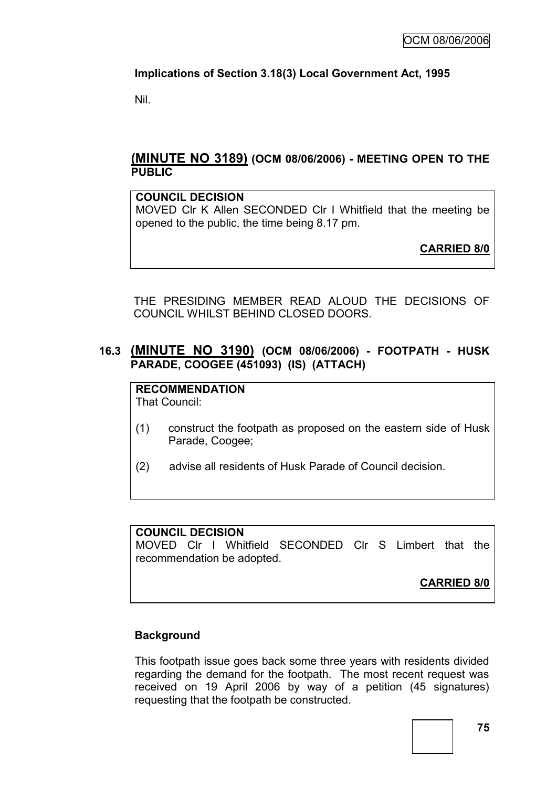## **Implications of Section 3.18(3) Local Government Act, 1995**

Nil.

### **(MINUTE NO 3189) (OCM 08/06/2006) - MEETING OPEN TO THE PUBLIC**

#### **COUNCIL DECISION**

MOVED Clr K Allen SECONDED Clr I Whitfield that the meeting be opened to the public, the time being 8.17 pm.

**CARRIED 8/0**

THE PRESIDING MEMBER READ ALOUD THE DECISIONS OF COUNCIL WHILST BEHIND CLOSED DOORS.

## **16.3 (MINUTE NO 3190) (OCM 08/06/2006) - FOOTPATH - HUSK PARADE, COOGEE (451093) (IS) (ATTACH)**

**RECOMMENDATION** That Council:

- (1) construct the footpath as proposed on the eastern side of Husk Parade, Coogee;
- (2) advise all residents of Husk Parade of Council decision.

#### **COUNCIL DECISION**

MOVED Clr I Whitfield SECONDED Clr S Limbert that the recommendation be adopted.

**CARRIED 8/0**

### **Background**

This footpath issue goes back some three years with residents divided regarding the demand for the footpath. The most recent request was received on 19 April 2006 by way of a petition (45 signatures) requesting that the footpath be constructed.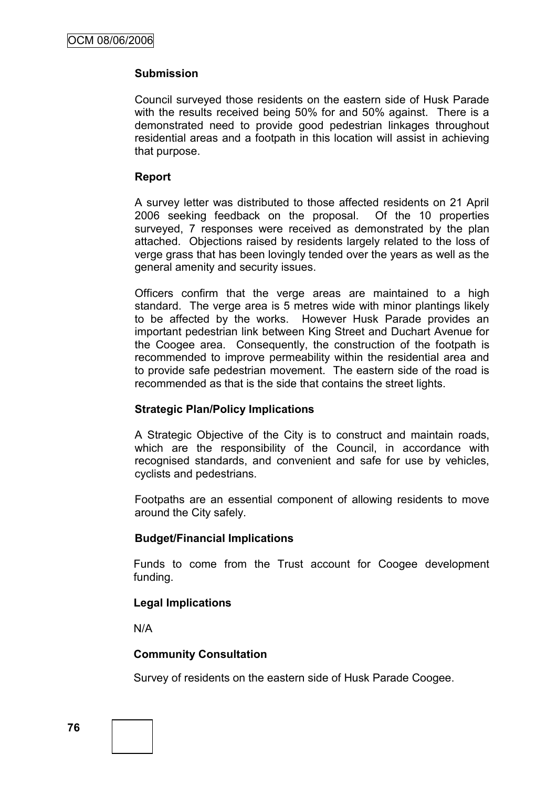### **Submission**

Council surveyed those residents on the eastern side of Husk Parade with the results received being 50% for and 50% against. There is a demonstrated need to provide good pedestrian linkages throughout residential areas and a footpath in this location will assist in achieving that purpose.

#### **Report**

A survey letter was distributed to those affected residents on 21 April 2006 seeking feedback on the proposal. Of the 10 properties surveyed, 7 responses were received as demonstrated by the plan attached. Objections raised by residents largely related to the loss of verge grass that has been lovingly tended over the years as well as the general amenity and security issues.

Officers confirm that the verge areas are maintained to a high standard. The verge area is 5 metres wide with minor plantings likely to be affected by the works. However Husk Parade provides an important pedestrian link between King Street and Duchart Avenue for the Coogee area. Consequently, the construction of the footpath is recommended to improve permeability within the residential area and to provide safe pedestrian movement. The eastern side of the road is recommended as that is the side that contains the street lights.

#### **Strategic Plan/Policy Implications**

A Strategic Objective of the City is to construct and maintain roads, which are the responsibility of the Council, in accordance with recognised standards, and convenient and safe for use by vehicles, cyclists and pedestrians.

Footpaths are an essential component of allowing residents to move around the City safely.

#### **Budget/Financial Implications**

Funds to come from the Trust account for Coogee development funding.

### **Legal Implications**

N/A

#### **Community Consultation**

Survey of residents on the eastern side of Husk Parade Coogee.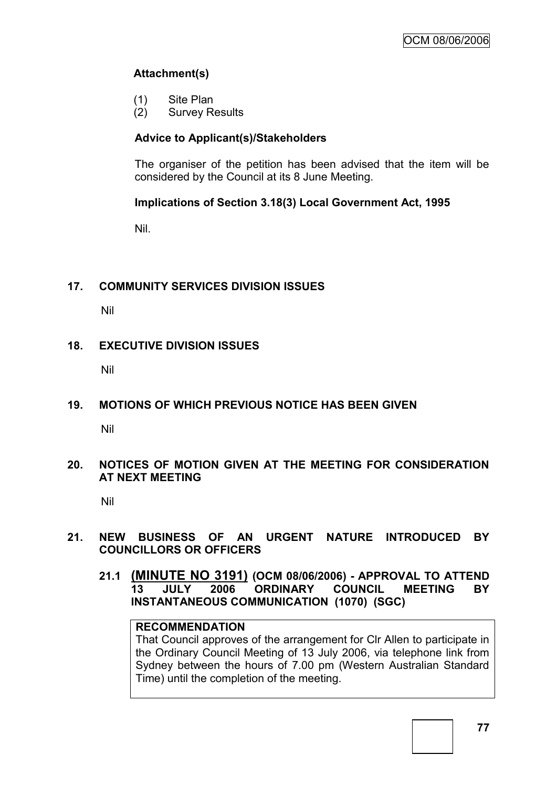## **Attachment(s)**

- (1) Site Plan
- (2) Survey Results

### **Advice to Applicant(s)/Stakeholders**

The organiser of the petition has been advised that the item will be considered by the Council at its 8 June Meeting.

### **Implications of Section 3.18(3) Local Government Act, 1995**

Nil.

### **17. COMMUNITY SERVICES DIVISION ISSUES**

Nil

### **18. EXECUTIVE DIVISION ISSUES**

Nil

### **19. MOTIONS OF WHICH PREVIOUS NOTICE HAS BEEN GIVEN**

Nil

#### **20. NOTICES OF MOTION GIVEN AT THE MEETING FOR CONSIDERATION AT NEXT MEETING**

Nil

### **21. NEW BUSINESS OF AN URGENT NATURE INTRODUCED BY COUNCILLORS OR OFFICERS**

**21.1 (MINUTE NO 3191) (OCM 08/06/2006) - APPROVAL TO ATTEND 13 JULY 2006 ORDINARY COUNCIL MEETING BY INSTANTANEOUS COMMUNICATION (1070) (SGC)**

#### **RECOMMENDATION**

That Council approves of the arrangement for Clr Allen to participate in the Ordinary Council Meeting of 13 July 2006, via telephone link from Sydney between the hours of 7.00 pm (Western Australian Standard Time) until the completion of the meeting.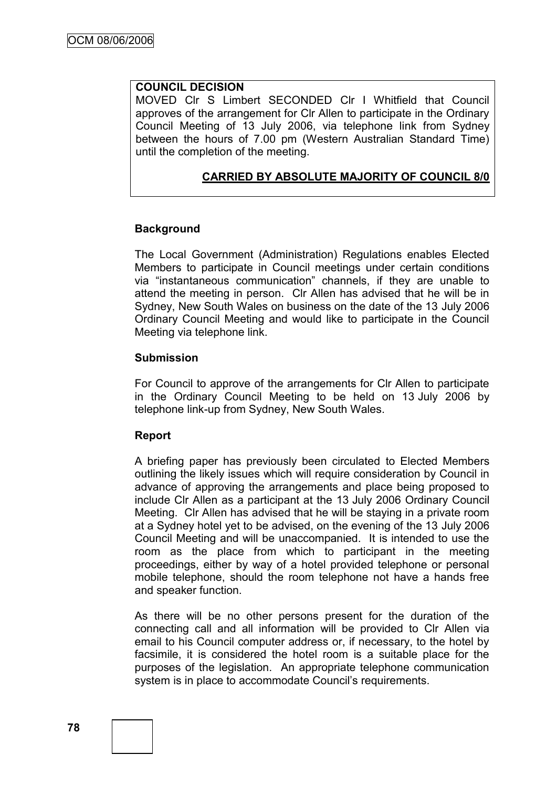#### **COUNCIL DECISION**

MOVED Clr S Limbert SECONDED Clr I Whitfield that Council approves of the arrangement for Clr Allen to participate in the Ordinary Council Meeting of 13 July 2006, via telephone link from Sydney between the hours of 7.00 pm (Western Australian Standard Time) until the completion of the meeting.

#### **CARRIED BY ABSOLUTE MAJORITY OF COUNCIL 8/0**

#### **Background**

The Local Government (Administration) Regulations enables Elected Members to participate in Council meetings under certain conditions via "instantaneous communication" channels, if they are unable to attend the meeting in person. Clr Allen has advised that he will be in Sydney, New South Wales on business on the date of the 13 July 2006 Ordinary Council Meeting and would like to participate in the Council Meeting via telephone link.

#### **Submission**

For Council to approve of the arrangements for Clr Allen to participate in the Ordinary Council Meeting to be held on 13 July 2006 by telephone link-up from Sydney, New South Wales.

#### **Report**

A briefing paper has previously been circulated to Elected Members outlining the likely issues which will require consideration by Council in advance of approving the arrangements and place being proposed to include Clr Allen as a participant at the 13 July 2006 Ordinary Council Meeting. Clr Allen has advised that he will be staying in a private room at a Sydney hotel yet to be advised, on the evening of the 13 July 2006 Council Meeting and will be unaccompanied. It is intended to use the room as the place from which to participant in the meeting proceedings, either by way of a hotel provided telephone or personal mobile telephone, should the room telephone not have a hands free and speaker function.

As there will be no other persons present for the duration of the connecting call and all information will be provided to Clr Allen via email to his Council computer address or, if necessary, to the hotel by facsimile, it is considered the hotel room is a suitable place for the purposes of the legislation. An appropriate telephone communication system is in place to accommodate Council's requirements.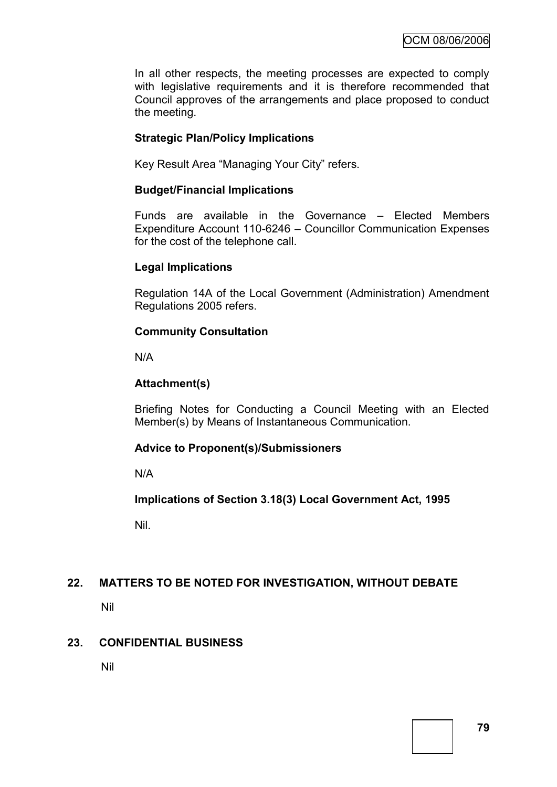In all other respects, the meeting processes are expected to comply with legislative requirements and it is therefore recommended that Council approves of the arrangements and place proposed to conduct the meeting.

### **Strategic Plan/Policy Implications**

Key Result Area "Managing Your City" refers.

#### **Budget/Financial Implications**

Funds are available in the Governance – Elected Members Expenditure Account 110-6246 – Councillor Communication Expenses for the cost of the telephone call.

### **Legal Implications**

Regulation 14A of the Local Government (Administration) Amendment Regulations 2005 refers.

### **Community Consultation**

N/A

### **Attachment(s)**

Briefing Notes for Conducting a Council Meeting with an Elected Member(s) by Means of Instantaneous Communication.

#### **Advice to Proponent(s)/Submissioners**

N/A

**Implications of Section 3.18(3) Local Government Act, 1995**

Nil.

### **22. MATTERS TO BE NOTED FOR INVESTIGATION, WITHOUT DEBATE**

Nil

#### **23. CONFIDENTIAL BUSINESS**

Nil